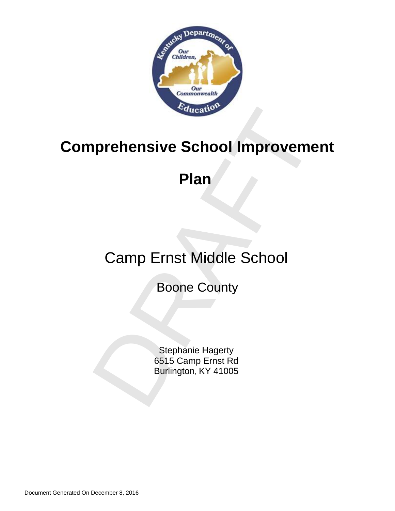

# Prehensive School Improvement<br>Plan<br>Camp Ernst Middle School<br>Boone County<br>Stephanie Hagerty<br>6515 Camp Ernst Rd<br>Burlington, KY 41005 **Comprehensive School Improvement**

# **Plan**

# Camp Ernst Middle School

Boone County

Stephanie Hagerty 6515 Camp Ernst Rd Burlington, KY 41005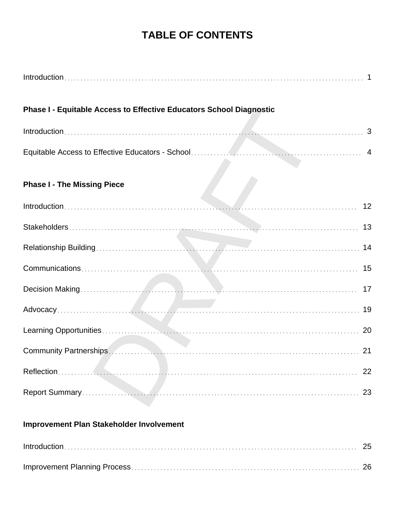# **TABLE OF CONTENTS**

| <b>Phase I - Equitable Access to Effective Educators School Diagnostic</b> |    |
|----------------------------------------------------------------------------|----|
|                                                                            |    |
|                                                                            |    |
| <b>Phase I - The Missing Piece</b>                                         |    |
|                                                                            |    |
|                                                                            |    |
|                                                                            | 14 |
|                                                                            | 15 |
|                                                                            |    |
|                                                                            |    |
|                                                                            | 20 |
|                                                                            | 21 |
|                                                                            | 22 |
|                                                                            | 23 |
| <b>Improvement Plan Stakeholder Involvement</b>                            |    |
|                                                                            | 25 |

Improvement Planning Process 26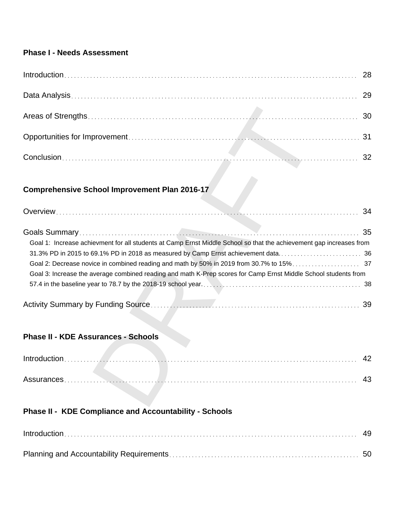# **Phase I - Needs Assessment**

# **Comprehensive School Improvement Plan 2016-17**

|                                                                                                                                                                                                                                        | 30        |
|----------------------------------------------------------------------------------------------------------------------------------------------------------------------------------------------------------------------------------------|-----------|
|                                                                                                                                                                                                                                        | 31        |
|                                                                                                                                                                                                                                        | 32        |
| <b>Comprehensive School Improvement Plan 2016-17</b>                                                                                                                                                                                   |           |
|                                                                                                                                                                                                                                        |           |
| Goal 1: Increase achievment for all students at Camp Ernst Middle School so that the achievement gap increases from<br>Goal 3: Increase the average combined reading and math K-Prep scores for Camp Ernst Middle School students from | -38<br>39 |
| <b>Phase II - KDE Assurances - Schools</b>                                                                                                                                                                                             |           |
|                                                                                                                                                                                                                                        | 42        |
|                                                                                                                                                                                                                                        | 43        |

# **Phase II - KDE Assurances - Schools**

| Introduction |  |
|--------------|--|
| Assurances.  |  |

# **Phase II - KDE Compliance and Accountability - Schools**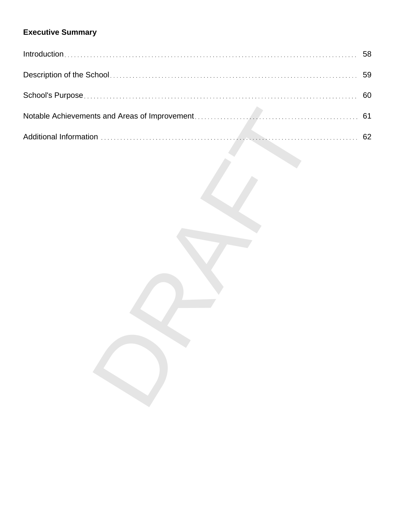# **Executive Summary**

| 58 |
|----|
| 59 |
| 60 |
| 61 |
| 62 |
|    |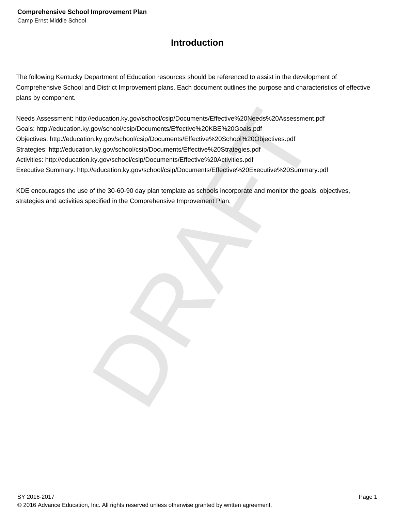# **Introduction**

The following Kentucky Department of Education resources should be referenced to assist in the development of Comprehensive School and District Improvement plans. Each document outlines the purpose and characteristics of effective plans by component.

Production.ky.gov/school/csip/Documents/Effective%20Needs%20Assessment.pdf<br>gov/school/csip/Documents/Effective%20KBE%20Goals.pdf<br>h.ky.gov/school/csip/Documents/Effective%20School%20Objectives.pdf<br>h.ky.gov/school/csip/Docum Needs Assessment: http://education.ky.gov/school/csip/Documents/Effective%20Needs%20Assessment.pdf Goals: http://education.ky.gov/school/csip/Documents/Effective%20KBE%20Goals.pdf Objectives: http://education.ky.gov/school/csip/Documents/Effective%20School%20Objectives.pdf Strategies: http://education.ky.gov/school/csip/Documents/Effective%20Strategies.pdf Activities: http://education.ky.gov/school/csip/Documents/Effective%20Activities.pdf Executive Summary: http://education.ky.gov/school/csip/Documents/Effective%20Executive%20Summary.pdf

KDE encourages the use of the 30-60-90 day plan template as schools incorporate and monitor the goals, objectives, strategies and activities specified in the Comprehensive Improvement Plan.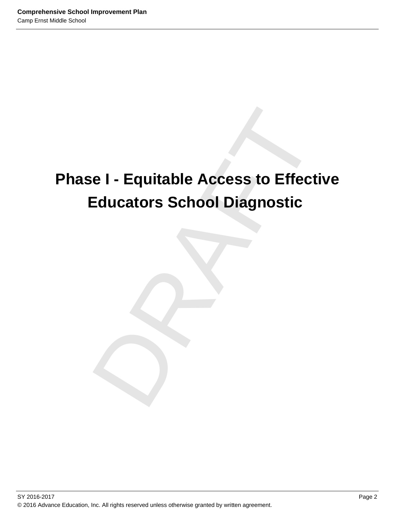# e I - Equitable Access to Effective<br>Educators School Diagnostic<br>Dragmostic **Phase I - Equitable Access to Effective Educators School Diagnostic**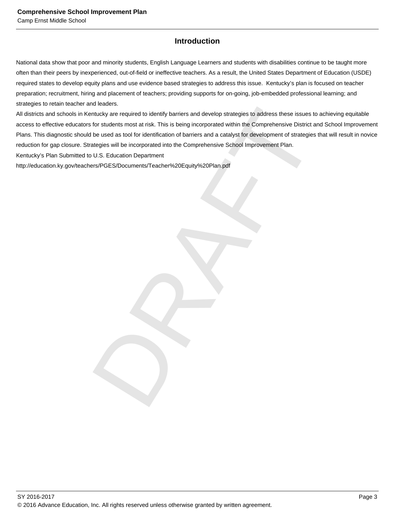# **Introduction**

National data show that poor and minority students, English Language Learners and students with disabilities continue to be taught more often than their peers by inexperienced, out-of-field or ineffective teachers. As a result, the United States Department of Education (USDE) required states to develop equity plans and use evidence based strategies to address this issue. Kentucky's plan is focused on teacher preparation; recruitment, hiring and placement of teachers; providing supports for on-going, job-embedded professional learning; and strategies to retain teacher and leaders.

in kucking<br>
in the captured to identify barriers and develop strategies to address these issues to achieving<br>
for students most at risk. This is being incorporated within the Comprehensive District and School<br>
be used as t All districts and schools in Kentucky are required to identify barriers and develop strategies to address these issues to achieving equitable access to effective educators for students most at risk. This is being incorporated within the Comprehensive District and School Improvement Plans. This diagnostic should be used as tool for identification of barriers and a catalyst for development of strategies that will result in novice reduction for gap closure. Strategies will be incorporated into the Comprehensive School Improvement Plan.

Kentucky's Plan Submitted to U.S. Education Department

http://education.ky.gov/teachers/PGES/Documents/Teacher%20Equity%20Plan.pdf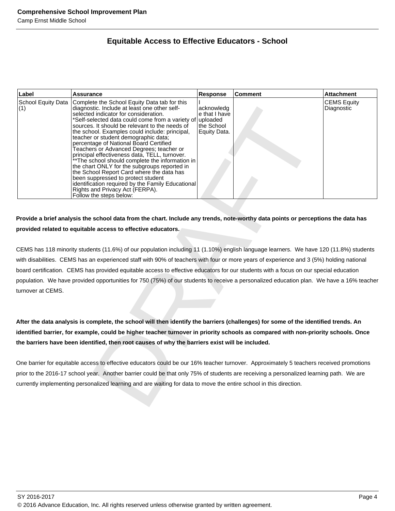# **Equitable Access to Effective Educators - School**

| Label                     | <b>Assurance</b>                                                                                                                                                                                                                                                                                                                                                                                                                                                                                                                                                                                                                                                                                                                                                                       | <b>Response</b>                                                       | <b>Comment</b> | <b>Attachment</b>                |
|---------------------------|----------------------------------------------------------------------------------------------------------------------------------------------------------------------------------------------------------------------------------------------------------------------------------------------------------------------------------------------------------------------------------------------------------------------------------------------------------------------------------------------------------------------------------------------------------------------------------------------------------------------------------------------------------------------------------------------------------------------------------------------------------------------------------------|-----------------------------------------------------------------------|----------------|----------------------------------|
| School Equity Data<br>(1) | Complete the School Equity Data tab for this<br>diagnostic. Include at least one other self-<br>selected indicator for consideration.<br>*Self-selected data could come from a variety of<br>sources. It should be relevant to the needs of<br>the school. Examples could include: principal,<br>teacher or student demographic data;<br>percentage of National Board Certified<br>Teachers or Advanced Degrees; teacher or<br>principal effectiveness data, TELL, turnover.<br>** The school should complete the information in<br>the chart ONLY for the subgroups reported in<br>the School Report Card where the data has<br>been suppressed to protect student<br>identification required by the Family Educational<br>Rights and Privacy Act (FERPA).<br>Follow the steps below: | acknowledg<br>e that I have<br>uploaded<br>the School<br>Equity Data. |                | <b>CEMS Equity</b><br>Diagnostic |
|                           |                                                                                                                                                                                                                                                                                                                                                                                                                                                                                                                                                                                                                                                                                                                                                                                        |                                                                       |                |                                  |
|                           |                                                                                                                                                                                                                                                                                                                                                                                                                                                                                                                                                                                                                                                                                                                                                                                        |                                                                       |                |                                  |
|                           | Provide a brief analysis the school data from the chart. Include any trends, note-worthy data points or perceptions the data has                                                                                                                                                                                                                                                                                                                                                                                                                                                                                                                                                                                                                                                       |                                                                       |                |                                  |
|                           | provided related to equitable access to effective educators.                                                                                                                                                                                                                                                                                                                                                                                                                                                                                                                                                                                                                                                                                                                           |                                                                       |                |                                  |
|                           | CEMS has 118 minority students (11.6%) of our population including 11 (1.10%) english language learners. We have 120 (11.8%) students                                                                                                                                                                                                                                                                                                                                                                                                                                                                                                                                                                                                                                                  |                                                                       |                |                                  |
|                           | with disabilities. CEMS has an experienced staff with 90% of teachers with four or more years of experience and 3 (5%) holding national                                                                                                                                                                                                                                                                                                                                                                                                                                                                                                                                                                                                                                                |                                                                       |                |                                  |
|                           | board certification. CEMS has provided equitable access to effective educators for our students with a focus on our special education                                                                                                                                                                                                                                                                                                                                                                                                                                                                                                                                                                                                                                                  |                                                                       |                |                                  |
|                           | population. We have provided opportunities for 750 (75%) of our students to receive a personalized education plan. We have a 16% teacher                                                                                                                                                                                                                                                                                                                                                                                                                                                                                                                                                                                                                                               |                                                                       |                |                                  |
| turnover at CEMS.         |                                                                                                                                                                                                                                                                                                                                                                                                                                                                                                                                                                                                                                                                                                                                                                                        |                                                                       |                |                                  |
|                           |                                                                                                                                                                                                                                                                                                                                                                                                                                                                                                                                                                                                                                                                                                                                                                                        |                                                                       |                |                                  |
|                           |                                                                                                                                                                                                                                                                                                                                                                                                                                                                                                                                                                                                                                                                                                                                                                                        |                                                                       |                |                                  |
|                           | After the data analysis is complete, the school will then identify the barriers (challenges) for some of the identified trends. An                                                                                                                                                                                                                                                                                                                                                                                                                                                                                                                                                                                                                                                     |                                                                       |                |                                  |
|                           | identified barrier, for example, could be higher teacher turnover in priority schools as compared with non-priority schools. Once                                                                                                                                                                                                                                                                                                                                                                                                                                                                                                                                                                                                                                                      |                                                                       |                |                                  |
|                           | the barriers have been identified, then root causes of why the barriers exist will be included.                                                                                                                                                                                                                                                                                                                                                                                                                                                                                                                                                                                                                                                                                        |                                                                       |                |                                  |
|                           |                                                                                                                                                                                                                                                                                                                                                                                                                                                                                                                                                                                                                                                                                                                                                                                        |                                                                       |                |                                  |
|                           | One barrier for equitable access to effective educators could be our 16% teacher turnover. Approximately 5 teachers received promotions                                                                                                                                                                                                                                                                                                                                                                                                                                                                                                                                                                                                                                                |                                                                       |                |                                  |
|                           | prior to the 2016-17 school year. Another barrier could be that only 75% of students are receiving a personalized learning path. We are                                                                                                                                                                                                                                                                                                                                                                                                                                                                                                                                                                                                                                                |                                                                       |                |                                  |
|                           | currently implementing personalized learning and are waiting for data to move the entire school in this direction.                                                                                                                                                                                                                                                                                                                                                                                                                                                                                                                                                                                                                                                                     |                                                                       |                |                                  |
|                           |                                                                                                                                                                                                                                                                                                                                                                                                                                                                                                                                                                                                                                                                                                                                                                                        |                                                                       |                |                                  |
|                           |                                                                                                                                                                                                                                                                                                                                                                                                                                                                                                                                                                                                                                                                                                                                                                                        |                                                                       |                |                                  |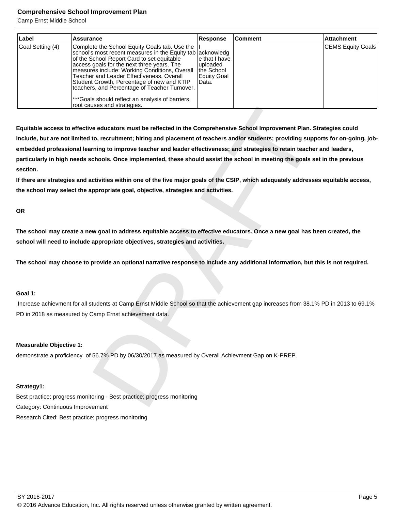Camp Ernst Middle School

| Label            | Assurance                                                                                                                                                                                                                                                                                                                                                                                                                                                                               | Response                                                          | <b>Comment</b> | <b>Attachment</b> |
|------------------|-----------------------------------------------------------------------------------------------------------------------------------------------------------------------------------------------------------------------------------------------------------------------------------------------------------------------------------------------------------------------------------------------------------------------------------------------------------------------------------------|-------------------------------------------------------------------|----------------|-------------------|
| Goal Setting (4) | Complete the School Equity Goals tab. Use the<br>school's most recent measures in the Equity tab acknowledg<br>of the School Report Card to set equitable<br>access goals for the next three years. The<br>measures include: Working Conditions, Overall<br>Teacher and Leader Effectiveness, Overall<br>Student Growth, Percentage of new and KTIP<br>teachers, and Percentage of Teacher Turnover.<br>***Goals should reflect an analysis of barriers,<br>root causes and strategies. | le that I have<br>luploaded<br>the School<br>Equity Goal<br>Data. |                | CEMS Equity Goals |

uses and strategies.<br>
Ye educators must be reflected in the Comprehensive School Improvement Plan. Strategies<br>
to, recruitment; hiring and placement of teachers and/or students; providing supports for<br>
cruitment, hiring to **Equitable access to effective educators must be reflected in the Comprehensive School Improvement Plan. Strategies could include, but are not limited to, recruitment; hiring and placement of teachers and/or students; providing supports for on-going, jobembedded professional learning to improve teacher and leader effectiveness; and strategies to retain teacher and leaders, particularly in high needs schools. Once implemented, these should assist the school in meeting the goals set in the previous section.**

**If there are strategies and activities within one of the five major goals of the CSIP, which adequately addresses equitable access, the school may select the appropriate goal, objective, strategies and activities.**

**OR**

**The school may create a new goal to address equitable access to effective educators. Once a new goal has been created, the school will need to include appropriate objectives, strategies and activities.**

**The school may choose to provide an optional narrative response to include any additional information, but this is not required.**

# **Goal 1:**

 Increase achievment for all students at Camp Ernst Middle School so that the achievement gap increases from 38.1% PD in 2013 to 69.1% PD in 2018 as measured by Camp Ernst achievement data.

# **Measurable Objective 1:**

demonstrate a proficiency of 56.7% PD by 06/30/2017 as measured by Overall Achievment Gap on K-PREP.

# **Strategy1:**

Best practice; progress monitoring - Best practice; progress monitoring Category: Continuous Improvement Research Cited: Best practice; progress monitoring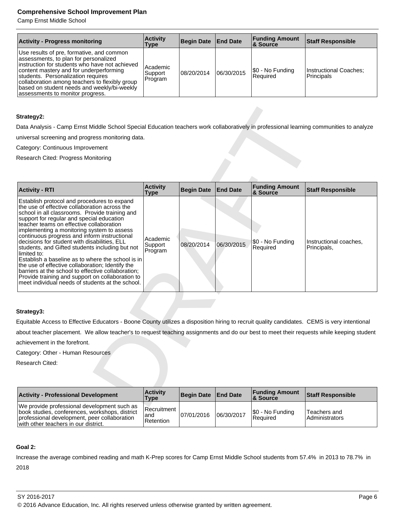Camp Ernst Middle School

| <b>Activity - Progress monitoring</b>                                                                                                                                                                                                                                                                                                                      | <b>Activity</b><br>Type          | Begin Date   End Date |            | <b>Funding Amount</b><br>8. Source | <b>Staff Responsible</b>             |
|------------------------------------------------------------------------------------------------------------------------------------------------------------------------------------------------------------------------------------------------------------------------------------------------------------------------------------------------------------|----------------------------------|-----------------------|------------|------------------------------------|--------------------------------------|
| Use results of pre, formative, and common<br>assessments, to plan for personalized<br>instruction for students who have not achieved<br>content mastery and for underperforming<br>students. Personalization requires<br>collaboration among teachers to flexibly group<br>based on student needs and weekly/bi-weekly<br>assessments to monitor progress. | l Academic<br>Support<br>Program | 08/20/2014            | 06/30/2015 | \$0 - No Funding<br>l Reauired     | Instructional Coaches:<br>Principals |

# **Strategy2:**

| Strategy2:                                                                                                                                                                                                                                                                                                                                                                                                                                                                                                                                                                                                                                                                                                                     |                                |                   |                 |                                   |                                       |
|--------------------------------------------------------------------------------------------------------------------------------------------------------------------------------------------------------------------------------------------------------------------------------------------------------------------------------------------------------------------------------------------------------------------------------------------------------------------------------------------------------------------------------------------------------------------------------------------------------------------------------------------------------------------------------------------------------------------------------|--------------------------------|-------------------|-----------------|-----------------------------------|---------------------------------------|
| Data Analysis - Camp Ernst Middle School Special Education teachers work collaboratively in professional learning communities to analyze                                                                                                                                                                                                                                                                                                                                                                                                                                                                                                                                                                                       |                                |                   |                 |                                   |                                       |
| universal screening and progress monitoring data.                                                                                                                                                                                                                                                                                                                                                                                                                                                                                                                                                                                                                                                                              |                                |                   |                 |                                   |                                       |
| Category: Continuous Improvement                                                                                                                                                                                                                                                                                                                                                                                                                                                                                                                                                                                                                                                                                               |                                |                   |                 |                                   |                                       |
| Research Cited: Progress Monitoring                                                                                                                                                                                                                                                                                                                                                                                                                                                                                                                                                                                                                                                                                            |                                |                   |                 |                                   |                                       |
|                                                                                                                                                                                                                                                                                                                                                                                                                                                                                                                                                                                                                                                                                                                                |                                |                   |                 |                                   |                                       |
|                                                                                                                                                                                                                                                                                                                                                                                                                                                                                                                                                                                                                                                                                                                                |                                |                   |                 |                                   |                                       |
| <b>Activity - RTI</b>                                                                                                                                                                                                                                                                                                                                                                                                                                                                                                                                                                                                                                                                                                          | <b>Activity</b><br><b>Type</b> | <b>Begin Date</b> | <b>End Date</b> | <b>Funding Amount</b><br>& Source | <b>Staff Responsible</b>              |
| Establish protocol and procedures to expand<br>the use of effective collaboration across the<br>school in all classrooms. Provide training and<br>support for regular and special education<br>teacher teams on effective collaboration<br>implementing a monitoring system to assess<br>continuous progress and inform instructional<br>decisions for student with disabilities, ELL<br>students, and Gifted students including but not<br>limited to:<br>Establish a baseline as to where the school is in<br>the use of effective collaboration; Identify the<br>barriers at the school to effective collaboration;<br>Provide training and support on collaboration to<br>meet individual needs of students at the school. | Academic<br>Support<br>Program | 08/20/2014        | 06/30/2015      | \$0 - No Funding<br>Required      | Instructional coaches,<br>Principals, |
| Strategy3:                                                                                                                                                                                                                                                                                                                                                                                                                                                                                                                                                                                                                                                                                                                     |                                |                   |                 |                                   |                                       |
| Equitable Access to Effective Educators - Boone County utilizes a disposition hiring to recruit quality candidates. CEMS is very intentional                                                                                                                                                                                                                                                                                                                                                                                                                                                                                                                                                                                   |                                |                   |                 |                                   |                                       |
| about teacher placement. We allow teacher's to request teaching assignments and do our best to meet their requests while keeping student                                                                                                                                                                                                                                                                                                                                                                                                                                                                                                                                                                                       |                                |                   |                 |                                   |                                       |
| achievement in the forefront.                                                                                                                                                                                                                                                                                                                                                                                                                                                                                                                                                                                                                                                                                                  |                                |                   |                 |                                   |                                       |
| Category: Other - Human Resources                                                                                                                                                                                                                                                                                                                                                                                                                                                                                                                                                                                                                                                                                              |                                |                   |                 |                                   |                                       |
| Research Cited:                                                                                                                                                                                                                                                                                                                                                                                                                                                                                                                                                                                                                                                                                                                |                                |                   |                 |                                   |                                       |
|                                                                                                                                                                                                                                                                                                                                                                                                                                                                                                                                                                                                                                                                                                                                | <b>Activity</b>                |                   |                 | <b>Funding Amount</b>             |                                       |
| <b>Activity - Professional Development</b>                                                                                                                                                                                                                                                                                                                                                                                                                                                                                                                                                                                                                                                                                     | <b>Type</b>                    | <b>Begin Date</b> | <b>End Date</b> | & Source                          | <b>Staff Responsible</b>              |
| We provide professional development such as                                                                                                                                                                                                                                                                                                                                                                                                                                                                                                                                                                                                                                                                                    |                                |                   |                 |                                   |                                       |

# **Strategy3:**

| <b>Activity - Professional Development</b>                                                                                                                                            | <b>Activity</b><br>Type           | Begin Date   End Date |            | <b>Funding Amount</b><br>∣& Source | <b>Staff Responsible</b>              |
|---------------------------------------------------------------------------------------------------------------------------------------------------------------------------------------|-----------------------------------|-----------------------|------------|------------------------------------|---------------------------------------|
| We provide professional development such as<br>book studies, conferences, workshops, district<br>professional development, peer collaboration<br>with other teachers in our district. | Recruitment  <br>and<br>Retention | 107/01/2016           | 06/30/2017 | S0 - No Funding<br>l Reauired      | Teachers and<br><b>Administrators</b> |

# **Goal 2:**

Increase the average combined reading and math K-Prep scores for Camp Ernst Middle School students from 57.4% in 2013 to 78.7% in 2018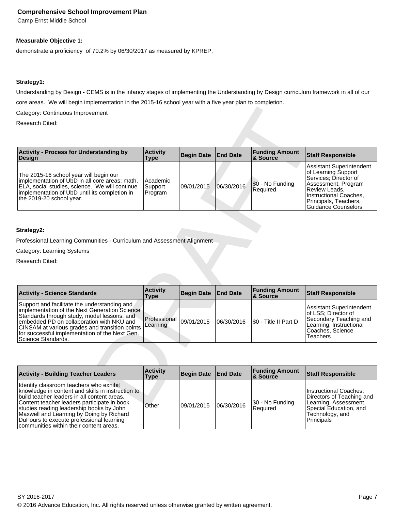Camp Ernst Middle School

# **Measurable Objective 1:**

demonstrate a proficiency of 70.2% by 06/30/2017 as measured by KPREP.

# **Strategy1:**

Understanding by Design - CEMS is in the infancy stages of implementing the Understanding by Design curriculum framework in all of our core areas. We will begin implementation in the 2015-16 school year with a five year plan to completion.

| Category: Continuous Improvement                                                                                                                                                                                                                                                                                    |                                |                   |                 |                                   |                                                                                                                                                                                                   |
|---------------------------------------------------------------------------------------------------------------------------------------------------------------------------------------------------------------------------------------------------------------------------------------------------------------------|--------------------------------|-------------------|-----------------|-----------------------------------|---------------------------------------------------------------------------------------------------------------------------------------------------------------------------------------------------|
| Research Cited:                                                                                                                                                                                                                                                                                                     |                                |                   |                 |                                   |                                                                                                                                                                                                   |
|                                                                                                                                                                                                                                                                                                                     |                                |                   |                 |                                   |                                                                                                                                                                                                   |
| <b>Activity - Process for Understanding by</b><br><b>Design</b>                                                                                                                                                                                                                                                     | <b>Activity</b><br><b>Type</b> | <b>Begin Date</b> | <b>End Date</b> | <b>Funding Amount</b><br>& Source | <b>Staff Responsible</b>                                                                                                                                                                          |
| The 2015-16 school year will begin our<br>implementation of UbD in all core areas; math,<br>ELA, social studies, science. We will continue<br>implementation of UbD until its completion in<br>the 2019-20 school year.                                                                                             | Academic<br>Support<br>Program | 09/01/2015        | 06/30/2016      | \$0 - No Funding<br>Required      | Assistant Superintendent<br>of Learning Support<br>Services; Director of<br>Assessment; Program<br>Review Leads,<br>Instructional Coaches,<br>Principals, Teachers,<br><b>Guidance Counselors</b> |
|                                                                                                                                                                                                                                                                                                                     |                                |                   |                 |                                   |                                                                                                                                                                                                   |
| Strategy2:                                                                                                                                                                                                                                                                                                          |                                |                   |                 |                                   |                                                                                                                                                                                                   |
| Professional Learning Communities - Curriculum and Assessment Alignment                                                                                                                                                                                                                                             |                                |                   |                 |                                   |                                                                                                                                                                                                   |
| Category: Learning Systems                                                                                                                                                                                                                                                                                          |                                |                   |                 |                                   |                                                                                                                                                                                                   |
| Research Cited:                                                                                                                                                                                                                                                                                                     |                                |                   |                 |                                   |                                                                                                                                                                                                   |
|                                                                                                                                                                                                                                                                                                                     |                                |                   |                 |                                   |                                                                                                                                                                                                   |
|                                                                                                                                                                                                                                                                                                                     |                                |                   |                 |                                   |                                                                                                                                                                                                   |
| <b>Activity - Science Standards</b>                                                                                                                                                                                                                                                                                 | <b>Activity</b><br><b>Type</b> | <b>Begin Date</b> | <b>End Date</b> | <b>Funding Amount</b><br>& Source | <b>Staff Responsible</b>                                                                                                                                                                          |
| Support and facilitate the understanding and<br>implementation of the Next Generation Science<br>Standards through study, model lessons, and<br>embedded PD on collaboration with NKU and<br>CINSAM at various grades and transition points<br>for successful implementation of the Next Gen.<br>Science Standards. | Professional<br>Learning       | 09/01/2015        | 06/30/2016      | \$0 - Title II Part D             | Assistant Superintendent<br>of LSS; Director of<br>Secondary Teaching and<br>Learning; Instructional<br>Coaches, Science<br>Teachers                                                              |
|                                                                                                                                                                                                                                                                                                                     |                                |                   |                 |                                   |                                                                                                                                                                                                   |
| <b>Activity - Building Teacher Leaders</b>                                                                                                                                                                                                                                                                          | <b>Activity</b><br><b>Type</b> | <b>Begin Date</b> | <b>End Date</b> | <b>Funding Amount</b><br>& Source | <b>Staff Responsible</b>                                                                                                                                                                          |
| Identify classroom teachers who exhibit<br>knowledge in content and skills in instruction to<br>build teacher leaders in all content areas.<br>Content teacher leaders participate in book                                                                                                                          | Other                          | 09/01/2015        | 106/30/2016     | \$0 - No Funding                  | Instructional Coaches;<br>Directors of Teaching and<br>Learning, Assessment,                                                                                                                      |

# **Strategy2:**

| <b>Activity - Science Standards</b>                                                                                                                                                                                                                                                                                 | <b>Activity</b><br>Type    | Begin Date End Date |            | <b>Funding Amount</b><br>∣& Source | <b>Staff Responsible</b>                                                                                                              |
|---------------------------------------------------------------------------------------------------------------------------------------------------------------------------------------------------------------------------------------------------------------------------------------------------------------------|----------------------------|---------------------|------------|------------------------------------|---------------------------------------------------------------------------------------------------------------------------------------|
| Support and facilitate the understanding and<br>implementation of the Next Generation Science<br>Standards through study, model lessons, and<br>embedded PD on collaboration with NKU and<br>CINSAM at various grades and transition points<br>for successful implementation of the Next Gen.<br>Science Standards. | l Professional<br>Learning | 09/01/2015          | 06/30/2016 | S0 - Title II Part D               | Assistant Superintendent<br>lof LSS: Director of<br>Secondary Teaching and<br>Learning; Instructional<br>Coaches, Science<br>Teachers |

| <b>Activity - Building Teacher Leaders</b>                                                                                                                                                                                                                                                                                                                                | <b>Activity</b><br>Type | Begin Date End Date |            | <b>Funding Amount</b><br><b>&amp; Source</b> | Staff Responsible                                                                                                                       |
|---------------------------------------------------------------------------------------------------------------------------------------------------------------------------------------------------------------------------------------------------------------------------------------------------------------------------------------------------------------------------|-------------------------|---------------------|------------|----------------------------------------------|-----------------------------------------------------------------------------------------------------------------------------------------|
| Identify classroom teachers who exhibit<br>knowledge in content and skills in instruction to<br>build teacher leaders in all content areas.<br>Content teacher leaders participate in book<br>studies reading leadership books by John<br>Maxwell and Learning by Doing by Richard<br>DuFours to execute professional learning<br>communities within their content areas. | Other                   | 109/01/2015         | 06/30/2016 | \$0 - No Funding<br>Required                 | Instructional Coaches:<br>Directors of Teaching and<br>Learning, Assessment,<br>Special Education, and<br>Technology, and<br>Principals |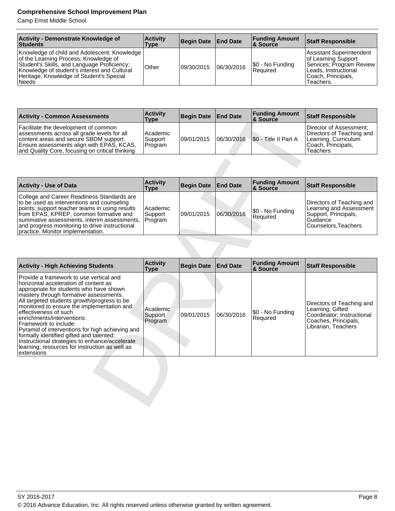| Activity - Demonstrate Knowledge of<br>Students                                                                                                                                                                                           | <b>Activity</b><br>Type | Begin Date   End Date |            | <b>Funding Amount</b><br>8 Source | <b>Staff Responsible</b>                                                                                                                |
|-------------------------------------------------------------------------------------------------------------------------------------------------------------------------------------------------------------------------------------------|-------------------------|-----------------------|------------|-----------------------------------|-----------------------------------------------------------------------------------------------------------------------------------------|
| Knowledge of child and Adolescent; Knowledge<br>of the Learning Process; Knowledge of<br>Student's Skills, and Language Proficiency;<br>Knowledge of student's interest and Cultural<br>Heritage; Knowledge of Student's Special<br>Needs | Other                   | 09/30/2015            | 06/30/2016 | \$0 - No Funding<br>Required      | Assistant Superintendent<br>of Learning Support<br>Services; Program Review<br>Leads, Instructional<br> Coach, Principals,<br>Teachers. |

| <b>Activity - Common Assessments</b>                                                                                                                                                                                          | <b>Activity</b><br>Type        | Begin Date   End Date |            | <b>Funding Amount</b><br>& Source | Staff Responsible                                                                                               |
|-------------------------------------------------------------------------------------------------------------------------------------------------------------------------------------------------------------------------------|--------------------------------|-----------------------|------------|-----------------------------------|-----------------------------------------------------------------------------------------------------------------|
| Facilitate the development of common<br>assessments across all grade levels for all<br>content areas and secure SBDM support.<br>Ensure assessments align with EPAS, KCAS,<br>and Quality Core, focusing on critical thinking | Academic<br>Support<br>Program | 09/01/2015            | 06/30/2016 | SO - Title II Part A              | Director of Assessment;<br>Directors of Teaching and<br>Learning, Curriculum<br> Coach, Principals,<br>Teachers |

| <b>Activity - Use of Data</b>                                                                                                                                                                                                                                                                                              | <b>Activity</b><br>Type        | Begin Date End Date |            | <b>Funding Amount</b><br><b>&amp; Source</b> | <b>Staff Responsible</b>                                                                                           |
|----------------------------------------------------------------------------------------------------------------------------------------------------------------------------------------------------------------------------------------------------------------------------------------------------------------------------|--------------------------------|---------------------|------------|----------------------------------------------|--------------------------------------------------------------------------------------------------------------------|
| College and Career Readiness Standards are<br>to be used as interventions and counseling<br>points; support teacher teams in using results<br>from EPAS, KPREP, common formative and<br>summative assessments, interim assessments,<br>and progress monitoring to drive instructional<br>practice. Monitor implementation. | Academic<br>Support<br>Program | 09/01/2015          | 06/30/2016 | \$0 - No Funding<br><b>Required</b>          | Directors of Teaching and<br>Learning and Assessment<br>Support, Principals,<br>l Guidance<br>Counselors, Teachers |

| <b>Activity - Common Assessments</b>                                                                                                                                                                                                                                                                                                                                                                                                                                                                                                                                | <b>Activity</b><br><b>Type</b> | <b>Begin Date</b> | <b>End Date</b> | <b>Funding Amount</b><br>& Source | <b>Staff Responsible</b>                                                                                                   |
|---------------------------------------------------------------------------------------------------------------------------------------------------------------------------------------------------------------------------------------------------------------------------------------------------------------------------------------------------------------------------------------------------------------------------------------------------------------------------------------------------------------------------------------------------------------------|--------------------------------|-------------------|-----------------|-----------------------------------|----------------------------------------------------------------------------------------------------------------------------|
| Facilitate the development of common<br>assessments across all grade levels for all<br>content areas and secure SBDM support.<br>Ensure assessments align with EPAS, KCAS,<br>and Quality Core, focusing on critical thinking                                                                                                                                                                                                                                                                                                                                       | Academic<br>Support<br>Program | 09/01/2015        | 06/30/2016      | \$0 - Title II Part A             | Director of Assessment;<br>Directors of Teaching and<br>Learning, Curriculum<br>Coach, Principals,<br><b>Teachers</b>      |
|                                                                                                                                                                                                                                                                                                                                                                                                                                                                                                                                                                     |                                |                   |                 |                                   |                                                                                                                            |
| <b>Activity - Use of Data</b>                                                                                                                                                                                                                                                                                                                                                                                                                                                                                                                                       | <b>Activity</b><br><b>Type</b> | <b>Begin Date</b> | <b>End Date</b> | <b>Funding Amount</b><br>& Source | <b>Staff Responsible</b>                                                                                                   |
| College and Career Readiness Standards are<br>to be used as interventions and counseling<br>points; support teacher teams in using results<br>from EPAS, KPREP, common formative and<br>summative assessments, interim assessments,<br>and progress monitoring to drive instructional<br>practice. Monitor implementation.                                                                                                                                                                                                                                          | Academic<br>Support<br>Program | 09/01/2015        | 06/30/2016      | \$0 - No Funding<br>Required      | Directors of Teaching and<br>Learning and Assessment<br>Support, Principals,<br>Guidance<br>Counselors, Teachers           |
|                                                                                                                                                                                                                                                                                                                                                                                                                                                                                                                                                                     |                                |                   |                 |                                   |                                                                                                                            |
|                                                                                                                                                                                                                                                                                                                                                                                                                                                                                                                                                                     |                                |                   |                 |                                   |                                                                                                                            |
|                                                                                                                                                                                                                                                                                                                                                                                                                                                                                                                                                                     |                                |                   |                 |                                   |                                                                                                                            |
| <b>Activity - High Achieving Students</b>                                                                                                                                                                                                                                                                                                                                                                                                                                                                                                                           | <b>Activity</b><br><b>Type</b> | <b>Begin Date</b> | <b>End Date</b> | <b>Funding Amount</b><br>& Source | <b>Staff Responsible</b>                                                                                                   |
| Provide a framework to use vertical and<br>horizontal acceleration of content as<br>appropriate for students who have shown<br>mastery through formative assessments.<br>All targeted students growth/progress to be<br>monitored to ensure the implementation and<br>effectiveness of such<br>enrichments/interventions.<br>Framework to include:<br>Pyramid of interventions for high achieving and<br>formally identified gifted and talented;<br>Instructional strategies to enhance/accelerate<br>learning; resources for instruction as well as<br>extensions | Academic<br>Support<br>Program | 09/01/2015        | 06/30/2016      | \$0 - No Funding<br>Required      | Directors of Teaching and<br>Learning; Gifted<br>Coordinator; Instructional<br>Coaches, Principals,<br>Librarian, Teachers |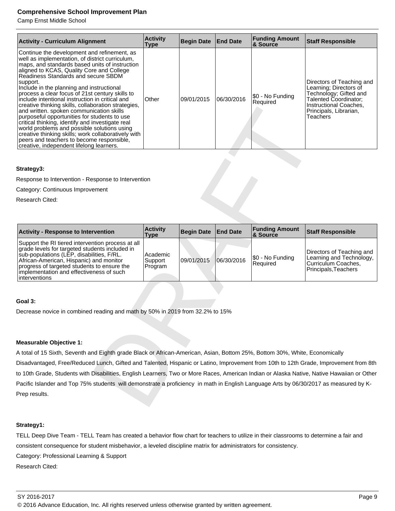Camp Ernst Middle School

| <b>Activity - Curriculum Alignment</b>                                                                                                                                                                                                                                                                                                                                                                                                                                                                                                                                                                                                                                                                                                                                                                    | <b>Activity</b><br><b>Type</b> | Begin Date End Date |            | <b>Funding Amount</b><br>& Source | <b>Staff Responsible</b>                                                                                                                                               |
|-----------------------------------------------------------------------------------------------------------------------------------------------------------------------------------------------------------------------------------------------------------------------------------------------------------------------------------------------------------------------------------------------------------------------------------------------------------------------------------------------------------------------------------------------------------------------------------------------------------------------------------------------------------------------------------------------------------------------------------------------------------------------------------------------------------|--------------------------------|---------------------|------------|-----------------------------------|------------------------------------------------------------------------------------------------------------------------------------------------------------------------|
| Continue the development and refinement, as<br>well as implementation, of district curriculum,<br>maps, and standards based units of instruction<br>aligned to KCAS, Quality Core and College<br>Readiness Standards and secure SBDM<br>support.<br>Include in the planning and instructional<br>process a clear focus of 21st century skills to<br>include intentional instruction in critical and<br>creative thinking skills, collaboration strategies,<br>and written. spoken communication skills<br>purposeful opportunities for students to use<br>critical thinking, identify and investigate real<br>world problems and possible solutions using<br>creative thinking skills; work collaboratively with<br>peers and teachers to become responsible.<br>creative, independent lifelong learners. | Other                          | 09/01/2015          | 06/30/2016 | \$0 - No Funding<br>l Reauired    | Directors of Teaching and<br>Learning: Directors of<br>Technology: Gifted and<br>Talented Coordinator:<br>Instructional Coaches,<br>Principals, Librarian,<br>Teachers |

# **Strategy3:**

| creative thinking skills, collaboration strategies,<br>and written. spoken communication skills<br>purposeful opportunities for students to use<br>critical thinking, identify and investigate real<br>world problems and possible solutions using<br>creative thinking skills; work collaboratively with<br>peers and teachers to become responsible,<br>creative, independent lifelong learners. |                                |                   |                 |                                   | instructional Coacnes,<br>Principals, Librarian,<br>Teachers                                         |
|----------------------------------------------------------------------------------------------------------------------------------------------------------------------------------------------------------------------------------------------------------------------------------------------------------------------------------------------------------------------------------------------------|--------------------------------|-------------------|-----------------|-----------------------------------|------------------------------------------------------------------------------------------------------|
|                                                                                                                                                                                                                                                                                                                                                                                                    |                                |                   |                 |                                   |                                                                                                      |
| Strategy3:                                                                                                                                                                                                                                                                                                                                                                                         |                                |                   |                 |                                   |                                                                                                      |
| Response to Intervention - Response to Intervention                                                                                                                                                                                                                                                                                                                                                |                                |                   |                 |                                   |                                                                                                      |
| Category: Continuous Improvement                                                                                                                                                                                                                                                                                                                                                                   |                                |                   |                 |                                   |                                                                                                      |
| Research Cited:                                                                                                                                                                                                                                                                                                                                                                                    |                                |                   |                 |                                   |                                                                                                      |
|                                                                                                                                                                                                                                                                                                                                                                                                    |                                |                   |                 |                                   |                                                                                                      |
| <b>Activity - Response to Intervention</b>                                                                                                                                                                                                                                                                                                                                                         | <b>Activity</b><br><b>Type</b> | <b>Begin Date</b> | <b>End Date</b> | <b>Funding Amount</b><br>& Source | <b>Staff Responsible</b>                                                                             |
| Support the RI tiered intervention process at all<br>grade levels for targeted students included in<br>sub-populations (LEP, disabilities, F/RL.<br>African-American, Hispanic) and monitor<br>progress of targeted students to ensure the<br>implementation and effectiveness of such<br>interventions                                                                                            | Academic<br>Support<br>Program | 09/01/2015        | 06/30/2016      | \$0 - No Funding<br>Required      | Directors of Teaching and<br>Learning and Technology,<br>Curriculum Coaches,<br>Principals, Teachers |
|                                                                                                                                                                                                                                                                                                                                                                                                    |                                |                   |                 |                                   |                                                                                                      |
| Goal 3:                                                                                                                                                                                                                                                                                                                                                                                            |                                |                   |                 |                                   |                                                                                                      |
| Decrease novice in combined reading and math by 50% in 2019 from 32.2% to 15%                                                                                                                                                                                                                                                                                                                      |                                |                   |                 |                                   |                                                                                                      |
|                                                                                                                                                                                                                                                                                                                                                                                                    |                                |                   |                 |                                   |                                                                                                      |
| <b>Measurable Objective 1:</b>                                                                                                                                                                                                                                                                                                                                                                     |                                |                   |                 |                                   |                                                                                                      |
| A total of 15 Sixth, Seventh and Eighth grade Black or African-American, Asian, Bottom 25%, Bottom 30%, White, Economically                                                                                                                                                                                                                                                                        |                                |                   |                 |                                   |                                                                                                      |
| Disadvantaged, Free/Reduced Lunch, Gifted and Talented, Hispanic or Latino, Improvement from 10th to 12th Grade, Improvement from 8th                                                                                                                                                                                                                                                              |                                |                   |                 |                                   |                                                                                                      |
| to 10th Grade, Students with Disabilities, English Learners, Two or More Races, American Indian or Alaska Native, Native Hawaiian or Other                                                                                                                                                                                                                                                         |                                |                   |                 |                                   |                                                                                                      |
| Pacific Islander and Top 75% students will demonstrate a proficiency in math in English Language Arts by 06/30/2017 as measured by K-<br>Prep results.                                                                                                                                                                                                                                             |                                |                   |                 |                                   |                                                                                                      |
|                                                                                                                                                                                                                                                                                                                                                                                                    |                                |                   |                 |                                   |                                                                                                      |

# **Goal 3:**

# **Measurable Objective 1:**

# **Strategy1:**

TELL Deep Dive Team - TELL Team has created a behavior flow chart for teachers to utilize in their classrooms to determine a fair and consistent consequence for student misbehavior, a leveled discipline matrix for administrators for consistency. Category: Professional Learning & Support

Research Cited: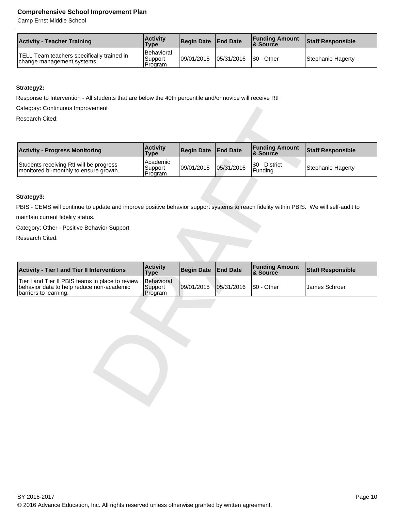Camp Ernst Middle School

| <b>Activity - Teacher Training</b>                                              | <b>Activity</b><br><b>Type</b>          | Begin Date End Date |            | <b>Funding Amount</b><br><b>8 Source</b> | <b>Staff Responsible</b> |
|---------------------------------------------------------------------------------|-----------------------------------------|---------------------|------------|------------------------------------------|--------------------------|
| <b>TELL Team teachers specifically trained in</b><br>change management systems. | <b>Behavioral</b><br>Support<br>Program | 109/01/2015         | 05/31/2016 | S0 - Other                               | Stephanie Hagerty        |

# **Strategy2:**

Response to Intervention - All students that are below the 40th percentile and/or novice will receive RtI

| Category: Continuous Improvement                                                                                                       |                                               |                   |                 |                                   |                          |
|----------------------------------------------------------------------------------------------------------------------------------------|-----------------------------------------------|-------------------|-----------------|-----------------------------------|--------------------------|
| Research Cited:                                                                                                                        |                                               |                   |                 |                                   |                          |
|                                                                                                                                        |                                               |                   |                 |                                   |                          |
| <b>Activity - Progress Monitoring</b>                                                                                                  | <b>Activity</b>                               | <b>Begin Date</b> | <b>End Date</b> | <b>Funding Amount</b><br>& Source | <b>Staff Responsible</b> |
| Students receiving RtI will be progress<br>monitored bi-monthly to ensure growth.                                                      | <b>Type</b><br>Academic<br>Support<br>Program | 09/01/2015        | 05/31/2016      | \$0 - District<br>Funding         | <b>Stephanie Hagerty</b> |
|                                                                                                                                        |                                               |                   |                 |                                   |                          |
| Strategy3:                                                                                                                             |                                               |                   |                 |                                   |                          |
| PBIS - CEMS will continue to update and improve positive behavior support systems to reach fidelity within PBIS. We will self-audit to |                                               |                   |                 |                                   |                          |
| maintain current fidelity status.                                                                                                      |                                               |                   |                 |                                   |                          |
| Category: Other - Positive Behavior Support                                                                                            |                                               |                   |                 |                                   |                          |
| Research Cited:                                                                                                                        |                                               |                   |                 |                                   |                          |
|                                                                                                                                        |                                               |                   |                 |                                   |                          |
|                                                                                                                                        |                                               |                   |                 |                                   |                          |
| <b>Activity - Tier I and Tier II Interventions</b>                                                                                     | <b>Activity</b><br><b>Type</b>                | <b>Begin Date</b> | <b>End Date</b> | <b>Funding Amount</b><br>& Source | <b>Staff Responsible</b> |
| Tier I and Tier II PBIS teams in place to review<br>behavior data to help reduce non-academic<br>barriers to learning.                 | <b>Behavioral</b><br>Support<br>Program       | 09/01/2015        | 05/31/2016      | \$0 - Other                       | James Schroer            |
|                                                                                                                                        |                                               |                   |                 |                                   |                          |
|                                                                                                                                        |                                               |                   |                 |                                   |                          |
|                                                                                                                                        |                                               |                   |                 |                                   |                          |
|                                                                                                                                        |                                               |                   |                 |                                   |                          |
|                                                                                                                                        |                                               |                   |                 |                                   |                          |
|                                                                                                                                        |                                               |                   |                 |                                   |                          |
|                                                                                                                                        |                                               |                   |                 |                                   |                          |
|                                                                                                                                        |                                               |                   |                 |                                   |                          |
|                                                                                                                                        |                                               |                   |                 |                                   |                          |
|                                                                                                                                        |                                               |                   |                 |                                   |                          |
|                                                                                                                                        |                                               |                   |                 |                                   |                          |
|                                                                                                                                        |                                               |                   |                 |                                   |                          |

# **Strategy3:**

| <b>Activity - Tier I and Tier II Interventions</b>                                                                     | <b>Activity</b><br><b>Type</b>    | Begin Date   End Date                 | <b>Funding Amount</b><br><b>&amp; Source</b> | <b>Staff Responsible</b> |
|------------------------------------------------------------------------------------------------------------------------|-----------------------------------|---------------------------------------|----------------------------------------------|--------------------------|
| Tier I and Tier II PBIS teams in place to review<br>behavior data to help reduce non-academic<br>barriers to learning. | Behavioral<br>Support<br>IProgram | $ 09/01/2015 05/31/2016 $ \$0 - Other |                                              | <b>James Schroer</b>     |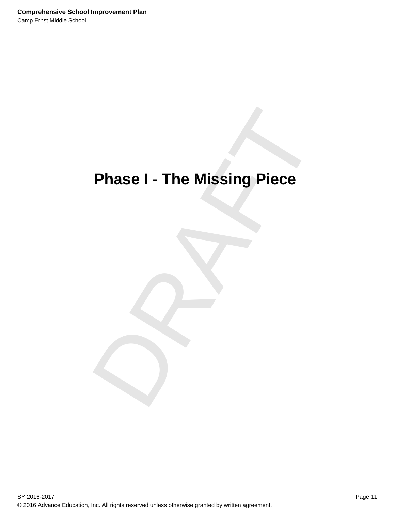# Phase I - The Missing Piece **Phase I - The Missing Piece**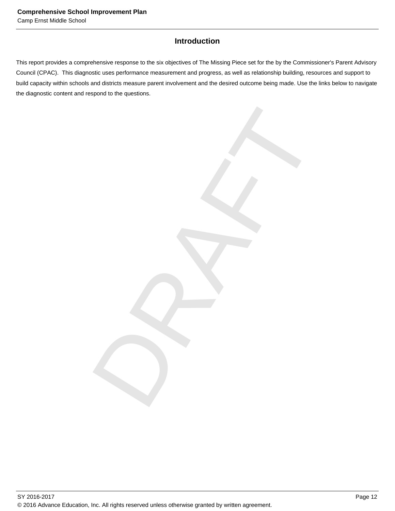# **Introduction**

This report provides a comprehensive response to the six objectives of The Missing Piece set for the by the Commissioner's Parent Advisory Council (CPAC). This diagnostic uses performance measurement and progress, as well as relationship building, resources and support to build capacity within schools and districts measure parent involvement and the desired outcome being made. Use the links below to navigate the diagnostic content and respond to the questions.

DRAFT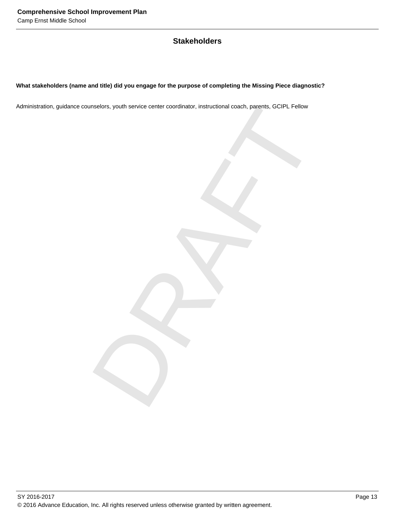# **Stakeholders**

# **What stakeholders (name and title) did you engage for the purpose of completing the Missing Piece diagnostic?**

melors, youth service center coordinator, instructional coach, parents, GCIPL Fellow<br>
Service Center Coordinator, instructional coach, parents, GCIPL Fellow<br>
Contract on the Coordinator of the Coordinator of the Coordinato Administration, guidance counselors, youth service center coordinator, instructional coach, parents, GCIPL Fellow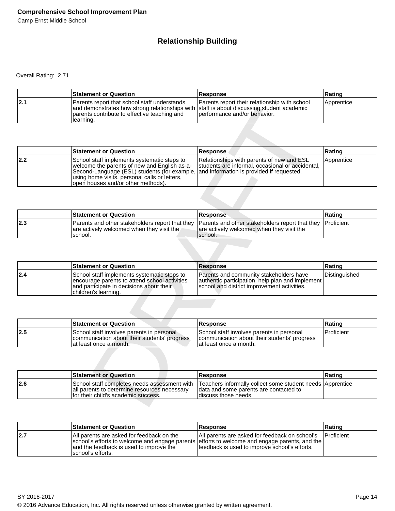# **Relationship Building**

Overall Rating: 2.71

|     | <b>Statement or Question</b>                                                                                                                                                                           | <b>Response</b>                                                               | Rating     |
|-----|--------------------------------------------------------------------------------------------------------------------------------------------------------------------------------------------------------|-------------------------------------------------------------------------------|------------|
| 2.1 | Parents report that school staff understands<br>and demonstrates how strong relationships with staff is about discussing student academic<br>parents contribute to effective teaching and<br>Hearning. | Parents report their relationship with school<br>performance and/or behavior. | Apprentice |

|             | and demonstrates how strong relationships with staff is about discussing student academic<br>parents contribute to effective teaching and<br>learning.                                                                             | performance and/or behavior.                                                                                                               |               |
|-------------|------------------------------------------------------------------------------------------------------------------------------------------------------------------------------------------------------------------------------------|--------------------------------------------------------------------------------------------------------------------------------------------|---------------|
|             |                                                                                                                                                                                                                                    |                                                                                                                                            |               |
|             | <b>Statement or Question</b>                                                                                                                                                                                                       | Response                                                                                                                                   | Rating        |
| 2.2         | School staff implements systematic steps to<br>welcome the parents of new and English as-a-<br>Second-Language (ESL) students (for example,<br>using home visits, personal calls or letters,<br>open houses and/or other methods). | Relationships with parents of new and ESL<br>students are informal, occasional or accidental,<br>and information is provided if requested. | Apprentice    |
|             |                                                                                                                                                                                                                                    |                                                                                                                                            |               |
|             | <b>Statement or Question</b>                                                                                                                                                                                                       | Response                                                                                                                                   | Rating        |
| 2.3         | Parents and other stakeholders report that they<br>are actively welcomed when they visit the<br>school.                                                                                                                            | Parents and other stakeholders report that they<br>are actively welcomed when they visit the<br>school.                                    | Proficient    |
|             |                                                                                                                                                                                                                                    |                                                                                                                                            |               |
|             |                                                                                                                                                                                                                                    |                                                                                                                                            |               |
|             | <b>Statement or Question</b>                                                                                                                                                                                                       | <b>Response</b>                                                                                                                            | Rating        |
|             | School staff implements systematic steps to<br>encourage parents to attend school activities<br>and participate in decisions about their<br>children's learning.                                                                   | Parents and community stakeholders have<br>authentic participation, help plan and implement<br>school and district improvement activities. | Distinguished |
|             |                                                                                                                                                                                                                                    |                                                                                                                                            |               |
|             | <b>Statement or Question</b>                                                                                                                                                                                                       | <b>Response</b>                                                                                                                            | Rating        |
| 2.4 <br>2.5 | School staff involves parents in personal<br>communication about their students' progress<br>at least once a month.                                                                                                                | School staff involves parents in personal<br>communication about their students' progress<br>at least once a month.                        | Proficient    |
|             |                                                                                                                                                                                                                                    |                                                                                                                                            |               |
|             | <b>Statement or Question</b>                                                                                                                                                                                                       | <b>Response</b>                                                                                                                            | Rating        |

|     | <b>Statement or Question</b>                          | <b>Response</b>                                                                                                                                                     | ∣Ratinɑ |
|-----|-------------------------------------------------------|---------------------------------------------------------------------------------------------------------------------------------------------------------------------|---------|
| 2.3 | are actively welcomed when they visit the<br>Ischool. | Parents and other stakeholders report that they Parents and other stakeholders report that they Proficient<br>are actively welcomed when they visit the<br>Ischool. |         |

|     | <b>Statement or Question</b>                                                                                                                                     | Response                                                                                                                                    | Rating        |
|-----|------------------------------------------------------------------------------------------------------------------------------------------------------------------|---------------------------------------------------------------------------------------------------------------------------------------------|---------------|
| 2.4 | School staff implements systematic steps to<br>encourage parents to attend school activities<br>and participate in decisions about their<br>children's learning. | IParents and community stakeholders have<br>authentic participation, help plan and implement<br>school and district improvement activities. | Distinguished |

|      | <b>Statement or Question</b>                                                                                         | <b>Response</b>                                                                                                      | Ratinɑ       |
|------|----------------------------------------------------------------------------------------------------------------------|----------------------------------------------------------------------------------------------------------------------|--------------|
| 12.5 | School staff involves parents in personal<br>communication about their students' progress<br>lat least once a month. | School staff involves parents in personal<br>communication about their students' progress<br>lat least once a month. | l Proficient |

|     | <b>Statement or Question</b>                                                        | <b>Response</b>                                                                                                                                                            | ∣Ratinq |
|-----|-------------------------------------------------------------------------------------|----------------------------------------------------------------------------------------------------------------------------------------------------------------------------|---------|
| 2.6 | all parents to determine resources necessary<br>for their child's academic success. | School staff completes needs assessment with ITeachers informally collect some student needs Apprentice<br>data and some parents are contacted to<br>Idiscuss those needs. |         |

|     | <b>Statement or Question</b>                                                                              | Response                                                                                                                                                                                         | <b>Rating</b>      |
|-----|-----------------------------------------------------------------------------------------------------------|--------------------------------------------------------------------------------------------------------------------------------------------------------------------------------------------------|--------------------|
| 2.7 | All parents are asked for feedback on the<br>and the feedback is used to improve the<br>school's efforts. | All parents are asked for feedback on school's<br>school's efforts to welcome and engage parents efforts to welcome and engage parents, and the<br>feedback is used to improve school's efforts. | <b>IProficient</b> |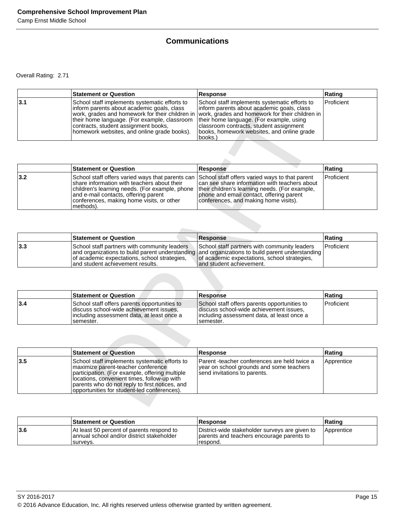# **Communications**

Overall Rating: 2.71

|     | <b>Statement or Question</b>                                                                                                                                                                                                       | Response                                                                                                                                                                                                                                                                                                                                         | Rating     |
|-----|------------------------------------------------------------------------------------------------------------------------------------------------------------------------------------------------------------------------------------|--------------------------------------------------------------------------------------------------------------------------------------------------------------------------------------------------------------------------------------------------------------------------------------------------------------------------------------------------|------------|
| 3.1 | School staff implements systematic efforts to<br>Inform parents about academic goals, class<br>their home language. (For example, classroom<br>contracts, student assignment books,<br>homework websites, and online grade books). | School staff implements systematic efforts to<br>linform parents about academic goals, class<br>work, grades and homework for their children in vwork, grades and homework for their children in<br>their home language. (For example, using<br>classroom contracts, student assignment<br>books, homework websites, and online grade<br>books.) | Proficient |

|     | <b>Statement or Question</b>                                                                                                                                                                                                                                                                        | <b>Response</b>                                                                                                                                                                      | Rating            |
|-----|-----------------------------------------------------------------------------------------------------------------------------------------------------------------------------------------------------------------------------------------------------------------------------------------------------|--------------------------------------------------------------------------------------------------------------------------------------------------------------------------------------|-------------------|
| 3.2 | School staff offers varied ways that parents can School staff offers varied ways to that parent<br>share information with teachers about their<br>children's learning needs. (For example, phone<br>and e-mail contacts, offering parent<br>conferences, making home visits, or other<br> methods). | can see share information with teachers about<br>their children's learning needs. (For example,<br>phone and email contact, offering parent<br>conferences, and making home visits). | <b>Proficient</b> |

|     | <b>Statement or Question</b>                                                                                                      | <b>Response</b>                                                                                                                                                                                                              | ∣Ratinɑ    |
|-----|-----------------------------------------------------------------------------------------------------------------------------------|------------------------------------------------------------------------------------------------------------------------------------------------------------------------------------------------------------------------------|------------|
| 3.3 | School staff partners with community leaders<br>of academic expectations, school strategies,<br>land student achievement results. | School staff partners with community leaders<br>and organizations to build parent understanding and organizations to build parent understanding<br>of academic expectations, school strategies,<br>land student achievement. | Proficient |

|     | <b>Statement or Question</b>                                                                                                                         | <b>Response</b>                                                                                                                                      | ∣Ratinɑ           |
|-----|------------------------------------------------------------------------------------------------------------------------------------------------------|------------------------------------------------------------------------------------------------------------------------------------------------------|-------------------|
| 3.4 | School staff offers parents opportunities to<br>discuss school-wide achievement issues.<br>lincluding assessment data, at least once a<br>Isemester. | School staff offers parents opportunities to<br>discuss school-wide achievement issues.<br>lincluding assessment data, at least once a<br>Isemester. | <b>Proficient</b> |

|     | inform parents about academic goals, class<br>work, grades and homework for their children in<br>their home language. (For example, classroom<br>contracts, student assignment books,<br>homework websites, and online grade books).                                                  | inform parents about academic goals, class<br>work, grades and homework for their children in<br>their home language. (For example, using<br>classroom contracts, student assignment<br>books, homework websites, and online grade<br>books.) |            |
|-----|---------------------------------------------------------------------------------------------------------------------------------------------------------------------------------------------------------------------------------------------------------------------------------------|-----------------------------------------------------------------------------------------------------------------------------------------------------------------------------------------------------------------------------------------------|------------|
|     |                                                                                                                                                                                                                                                                                       |                                                                                                                                                                                                                                               |            |
|     | <b>Statement or Question</b>                                                                                                                                                                                                                                                          | <b>Response</b>                                                                                                                                                                                                                               | Rating     |
| 3.2 | School staff offers varied ways that parents can<br>share information with teachers about their<br>children's learning needs. (For example, phone<br>and e-mail contacts, offering parent<br>conferences, making home visits, or other<br>methods).                                   | School staff offers varied ways to that parent<br>can see share information with teachers about<br>their children's learning needs. (For example,<br>phone and email contact, offering parent<br>conferences, and making home visits).        | Proficient |
|     |                                                                                                                                                                                                                                                                                       |                                                                                                                                                                                                                                               |            |
|     | <b>Statement or Question</b>                                                                                                                                                                                                                                                          | <b>Response</b>                                                                                                                                                                                                                               | Rating     |
| 3.3 | School staff partners with community leaders<br>and organizations to build parent understanding<br>of academic expectations, school strategies,<br>and student achievement results.                                                                                                   | School staff partners with community leaders<br>and organizations to build parent understanding<br>of academic expectations, school strategies,<br>and student achievement.                                                                   | Proficient |
|     |                                                                                                                                                                                                                                                                                       |                                                                                                                                                                                                                                               |            |
|     | <b>Statement or Question</b>                                                                                                                                                                                                                                                          | <b>Response</b>                                                                                                                                                                                                                               | Rating     |
| 3.4 | School staff offers parents opportunities to<br>discuss school-wide achievement issues,<br>including assessment data, at least once a<br>semester.                                                                                                                                    | School staff offers parents opportunities to<br>discuss school-wide achievement issues,<br>including assessment data, at least once a<br>semester.                                                                                            | Proficient |
|     |                                                                                                                                                                                                                                                                                       |                                                                                                                                                                                                                                               |            |
|     | <b>Statement or Question</b>                                                                                                                                                                                                                                                          | Response                                                                                                                                                                                                                                      | Rating     |
| 3.5 | School staff implements systematic efforts to<br>maximize parent-teacher conference<br>participation. (For example, offering multiple<br>locations, convenient times, follow-up with<br>parents who do not reply to first notices, and<br>opportunities for student-led conferences). | Parent -teacher conferences are held twice a<br>year on school grounds and some teachers<br>send invitations to parents.                                                                                                                      | Apprentice |
|     |                                                                                                                                                                                                                                                                                       |                                                                                                                                                                                                                                               |            |

|     | <b>Statement or Question</b>                                                                         | Response                                                                                                 | ∣Ratinɑ    |
|-----|------------------------------------------------------------------------------------------------------|----------------------------------------------------------------------------------------------------------|------------|
| 3.6 | At least 50 percent of parents respond to<br>lannual school and/or district stakeholder<br>Isurvevs. | District-wide stakeholder surveys are given to<br>parents and teachers encourage parents to<br>Trespond. | Apprentice |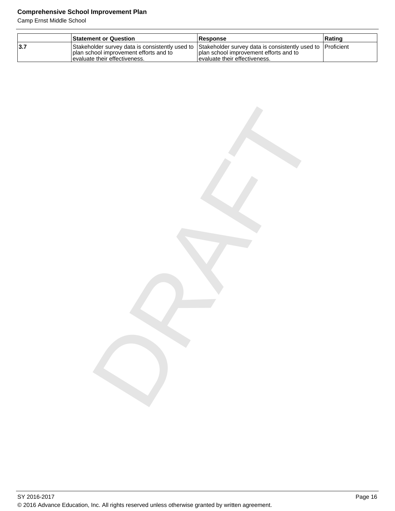Camp Ernst Middle School

|     | <b>Statement or Question</b>                                                                                                                                                               | <b>Response</b>                                                            | ∣Ratinɑ |
|-----|--------------------------------------------------------------------------------------------------------------------------------------------------------------------------------------------|----------------------------------------------------------------------------|---------|
| 3.7 | Stakeholder survey data is consistently used to Stakeholder survey data is consistently used to [Proficient]<br>I plan school improvement efforts and to<br>levaluate their effectiveness. | I plan school improvement efforts and to<br>levaluate their effectiveness. |         |

DRAFT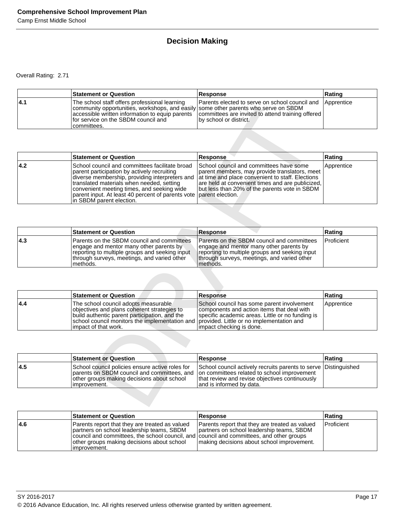# **Decision Making**

Overall Rating: 2.71

|      | <b>Statement or Question</b>                                                                                                                                                                 | <b>Response</b>                                                                                                                                                                              | Rating |
|------|----------------------------------------------------------------------------------------------------------------------------------------------------------------------------------------------|----------------------------------------------------------------------------------------------------------------------------------------------------------------------------------------------|--------|
| 14.1 | 'The school staff offers professional learning<br>community opportunities, workshops, and easily some other parents who serve on SBDM<br>for service on the SBDM council and<br>Icommittees. | Parents elected to serve on school council and Apprentice<br>  accessible written information to equip parents   committees are invited to attend training offered<br>by school or district. |        |

|     | community opportunities, workshops, and easily some other parents who serve on SBDM<br>accessible written information to equip parents<br>for service on the SBDM council and<br>committees.                                                                                                                                | committees are invited to attend training offered<br>by school or district.                                                                                                                                                                                           |               |
|-----|-----------------------------------------------------------------------------------------------------------------------------------------------------------------------------------------------------------------------------------------------------------------------------------------------------------------------------|-----------------------------------------------------------------------------------------------------------------------------------------------------------------------------------------------------------------------------------------------------------------------|---------------|
|     |                                                                                                                                                                                                                                                                                                                             |                                                                                                                                                                                                                                                                       |               |
|     | <b>Statement or Question</b>                                                                                                                                                                                                                                                                                                | Response                                                                                                                                                                                                                                                              | Rating        |
| 4.2 | School council and committees facilitate broad<br>parent participation by actively recruiting<br>diverse membership, providing interpreters and<br>translated materials when needed, setting<br>convenient meeting times, and seeking wide<br>parent input. At least 40 percent of parents vote<br>in SBDM parent election. | School council and committees have some<br>parent members, may provide translators, meet<br>at time and place convenient to staff. Elections<br>are held at convenient times and are publicized,<br>but less than 20% of the parents vote in SBDM<br>parent election. | Apprentice    |
|     |                                                                                                                                                                                                                                                                                                                             |                                                                                                                                                                                                                                                                       |               |
|     | <b>Statement or Question</b>                                                                                                                                                                                                                                                                                                | Response                                                                                                                                                                                                                                                              | Rating        |
| 4.3 | Parents on the SBDM council and committees<br>engage and mentor many other parents by<br>reporting to multiple groups and seeking input<br>through surveys, meetings, and varied other<br>methods.                                                                                                                          | Parents on the SBDM council and committees<br>engage and mentor many other parents by<br>reporting to multiple groups and seeking input<br>through surveys, meetings, and varied other<br>methods.                                                                    | Proficient    |
|     |                                                                                                                                                                                                                                                                                                                             |                                                                                                                                                                                                                                                                       |               |
|     | <b>Statement or Question</b>                                                                                                                                                                                                                                                                                                | <b>Response</b>                                                                                                                                                                                                                                                       | Rating        |
| 4.4 | The school council adopts measurable<br>objectives and plans coherent strategies to<br>build authentic parent participation, and the<br>school council monitors the implementation and<br>impact of that work.                                                                                                              | School council has some parent involvement<br>components and action items that deal with<br>specific academic areas. Little or no funding is<br>provided. Little or no implementation and<br>impact checking is done.                                                 | Apprentice    |
|     |                                                                                                                                                                                                                                                                                                                             |                                                                                                                                                                                                                                                                       |               |
|     | <b>Statement or Question</b>                                                                                                                                                                                                                                                                                                | <b>Response</b>                                                                                                                                                                                                                                                       | Rating        |
| 4.5 | School council policies ensure active roles for<br>parents on SBDM council and committees, and<br>other groups making decisions about school<br>improvement.                                                                                                                                                                | School council actively recruits parents to serve<br>on committees related to school improvement<br>that review and revise objectives continuously<br>and is informed by data.                                                                                        | Distinguished |
|     |                                                                                                                                                                                                                                                                                                                             |                                                                                                                                                                                                                                                                       |               |

|     | <b>Statement or Question</b>                                                                                                                                                                         | <b>Response</b>                                                                                                                                                                                    | Rating     |
|-----|------------------------------------------------------------------------------------------------------------------------------------------------------------------------------------------------------|----------------------------------------------------------------------------------------------------------------------------------------------------------------------------------------------------|------------|
| 4.3 | Parents on the SBDM council and committees<br>engage and mentor many other parents by<br>reporting to multiple groups and seeking input<br>Ithrough surveys, meetings, and varied other<br>Imethods. | Parents on the SBDM council and committees<br>engage and mentor many other parents by<br>reporting to multiple groups and seeking input<br>through surveys, meetings, and varied other<br>methods. | Proficient |

|     | <b>Statement or Question</b>                                                                                                                                                                                                                              | <b>Response</b>                                                                                                                                                          | Rating     |
|-----|-----------------------------------------------------------------------------------------------------------------------------------------------------------------------------------------------------------------------------------------------------------|--------------------------------------------------------------------------------------------------------------------------------------------------------------------------|------------|
| 4.4 | The school council adopts measurable<br>objectives and plans coherent strategies to<br>build authentic parent participation, and the<br>school council monitors the implementation and provided. Little or no implementation and<br>limpact of that work. | School council has some parent involvement<br>components and action items that deal with<br>specific academic areas. Little or no funding is<br>impact checking is done. | Apprentice |

|     | <b>Statement or Question</b>                                                                                                                                                                              | Response                                                                                                                                       | Rating |
|-----|-----------------------------------------------------------------------------------------------------------------------------------------------------------------------------------------------------------|------------------------------------------------------------------------------------------------------------------------------------------------|--------|
| 4.5 | School council policies ensure active roles for<br>parents on SBDM council and committees, and on committees related to school improvement<br>other groups making decisions about school<br>limprovement. | School council actively recruits parents to serve Distinguished<br>that review and revise objectives continuously<br>land is informed by data. |        |

|     | <b>Statement or Question</b>                                                                                                                                                                                                                           | <b>Response</b>                                                                                                                           | Rating            |
|-----|--------------------------------------------------------------------------------------------------------------------------------------------------------------------------------------------------------------------------------------------------------|-------------------------------------------------------------------------------------------------------------------------------------------|-------------------|
| 4.6 | Parents report that they are treated as valued<br>partners on school leadership teams, SBDM<br>council and committees, the school council, and council and committees, and other groups<br>other groups making decisions about school<br>limprovement. | Parents report that they are treated as valued<br>partners on school leadership teams, SBDM<br>making decisions about school improvement. | <b>Proficient</b> |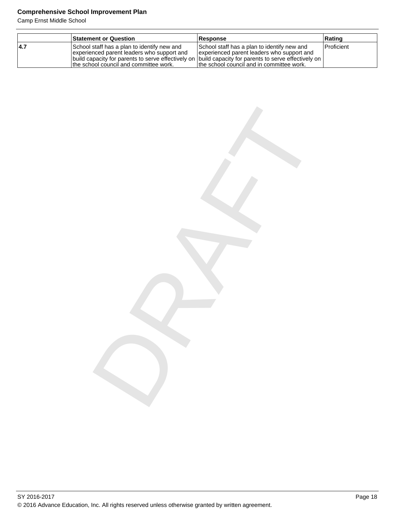Camp Ernst Middle School

|      | <b>Statement or Question</b>                                                                                                                                                                                                                     | <b>Response</b>                                                                                                                         | Rating       |
|------|--------------------------------------------------------------------------------------------------------------------------------------------------------------------------------------------------------------------------------------------------|-----------------------------------------------------------------------------------------------------------------------------------------|--------------|
| 14.7 | School staff has a plan to identify new and<br>experienced parent leaders who support and<br> build capacity for parents to serve effectively on  build capacity for parents to serve effectively on  <br>the school council and committee work. | School staff has a plan to identify new and<br>experienced parent leaders who support and<br>Ithe school council and in committee work. | l Proficient |

DRAFT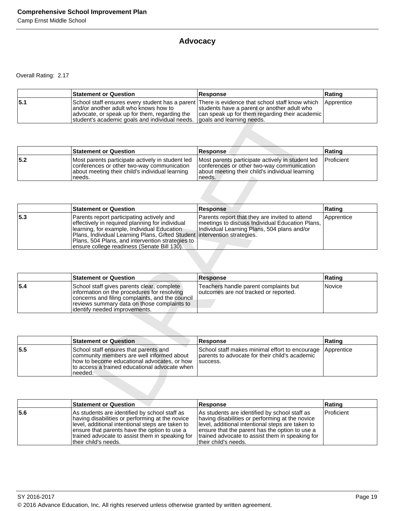# **Advocacy**

Overall Rating: 2.17

|     | <b>Statement or Question</b>                                                                                                                                                                                                                                           | <b>Response</b>                                                                               | Rating     |
|-----|------------------------------------------------------------------------------------------------------------------------------------------------------------------------------------------------------------------------------------------------------------------------|-----------------------------------------------------------------------------------------------|------------|
| 5.1 | School staff ensures every student has a parent There is evidence that school staff know which<br>and/or another adult who knows how to<br>advocate, or speak up for them, regarding the<br>student's academic goals and individual needs.   goals and learning needs. | students have a parent or another adult who<br>can speak up for them regarding their academic | Apprentice |

|      | <b>Statement or Question</b>                                                                                                                                 | <b>Response</b>                                                                                                                                             | ∣Ratinɑ    |
|------|--------------------------------------------------------------------------------------------------------------------------------------------------------------|-------------------------------------------------------------------------------------------------------------------------------------------------------------|------------|
| 15.2 | Most parents participate actively in student led<br>conferences or other two-way communication<br>about meeting their child's individual learning<br>'needs. | Most parents participate actively in student led<br>conferences or other two-way communication<br>about meeting their child's individual learning<br>needs. | Proficient |

|       | and/or another adult who knows how to<br>advocate, or speak up for them, regarding the<br>student's academic goals and individual needs.                                                                                                                                                           | students have a parent or another adult who<br>can speak up for them regarding their academic<br>goals and learning needs.                                                   |            |
|-------|----------------------------------------------------------------------------------------------------------------------------------------------------------------------------------------------------------------------------------------------------------------------------------------------------|------------------------------------------------------------------------------------------------------------------------------------------------------------------------------|------------|
|       |                                                                                                                                                                                                                                                                                                    |                                                                                                                                                                              |            |
|       | <b>Statement or Question</b>                                                                                                                                                                                                                                                                       | Response                                                                                                                                                                     | Rating     |
| $5.2$ | Most parents participate actively in student led<br>conferences or other two-way communication<br>about meeting their child's individual learning<br>needs.                                                                                                                                        | Most parents participate actively in student led<br>conferences or other two-way communication<br>about meeting their child's individual learning<br>needs.                  | Proficient |
|       |                                                                                                                                                                                                                                                                                                    |                                                                                                                                                                              |            |
|       | <b>Statement or Question</b>                                                                                                                                                                                                                                                                       | <b>Response</b>                                                                                                                                                              | Rating     |
| 5.3   | Parents report participating actively and<br>effectively in required planning for individual<br>learning, for example, Individual Education<br>Plans, Individual Learning Plans, Gifted Student<br>Plans, 504 Plans, and intervention strategies to<br>ensure college readiness (Senate Bill 130). | Parents report that they are invited to attend<br>meetings to discuss Individual Education Plans,<br>Individual Learning Plans, 504 plans and/or<br>intervention strategies. | Apprentice |
|       |                                                                                                                                                                                                                                                                                                    |                                                                                                                                                                              |            |
|       | <b>Statement or Question</b>                                                                                                                                                                                                                                                                       | <b>Response</b>                                                                                                                                                              | Rating     |
| 5.4   | School staff gives parents clear, complete<br>information on the procedures for resolving<br>concerns and filing complaints, and the council<br>reviews summary data on those complaints to<br>identify needed improvements.                                                                       | Teachers handle parent complaints but<br>outcomes are not tracked or reported.                                                                                               | Novice     |
|       |                                                                                                                                                                                                                                                                                                    |                                                                                                                                                                              |            |
|       | <b>Statement or Question</b>                                                                                                                                                                                                                                                                       | Response                                                                                                                                                                     | Rating     |
| 5.5   | School staff ensures that parents and<br>community members are well informed about<br>how to become educational advocates, or how<br>to access a trained educational advocate when<br>needed.                                                                                                      | School staff makes minimal effort to encourage<br>parents to advocate for their child's academic<br>success.                                                                 | Apprentice |
|       |                                                                                                                                                                                                                                                                                                    |                                                                                                                                                                              |            |
|       | <b>Statement or Question</b>                                                                                                                                                                                                                                                                       | <b>Response</b>                                                                                                                                                              | Rating     |

|     | <b>Statement or Question</b>                                                                                                                                                                                                  | <b>Response</b>                                                                 | Rating |
|-----|-------------------------------------------------------------------------------------------------------------------------------------------------------------------------------------------------------------------------------|---------------------------------------------------------------------------------|--------|
| 5.4 | School staff gives parents clear, complete<br>information on the procedures for resolving<br>concerns and filing complaints, and the council<br>reviews summary data on those complaints to<br>lidentify needed improvements. | Teachers handle parent complaints but<br>Joutcomes are not tracked or reported. | Novice |

|      | <b>Statement or Question</b>                                                                                                                                                                  | <b>Response</b>                                                                                                           | Rating |
|------|-----------------------------------------------------------------------------------------------------------------------------------------------------------------------------------------------|---------------------------------------------------------------------------------------------------------------------------|--------|
| 15.5 | School staff ensures that parents and<br>community members are well informed about<br>how to become educational advocates, or how<br>to access a trained educational advocate when<br>needed. | School staff makes minimal effort to encourage Apprentice<br>Iparents to advocate for their child's academic<br>Isuccess. |        |

|     | <b>Statement or Question</b>                                                                                                                                                                                                                                                     | <b>Response</b>                                                                                                                                                                                                                                                                    | Rating            |
|-----|----------------------------------------------------------------------------------------------------------------------------------------------------------------------------------------------------------------------------------------------------------------------------------|------------------------------------------------------------------------------------------------------------------------------------------------------------------------------------------------------------------------------------------------------------------------------------|-------------------|
| 5.6 | As students are identified by school staff as<br>having disabilities or performing at the novice<br>level, additional intentional steps are taken to<br>ensure that parents have the option to use a<br>trained advocate to assist them in speaking for<br>Itheir child's needs. | As students are identified by school staff as<br>having disabilities or performing at the novice<br>level, additional intentional steps are taken to<br>ensure that the parent has the option to use a<br>trained advocate to assist them in speaking for<br>ltheir child's needs. | <b>Proficient</b> |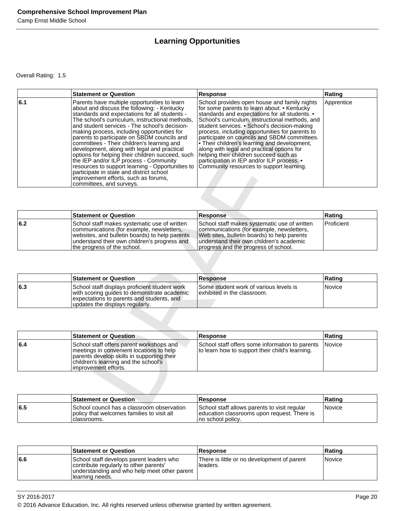# **Learning Opportunities**

Overall Rating: 1.5

|     | <b>Statement or Question</b>                                                                                                                                                                                                                                                                                                                                                                                                                                                                                                                                                                                                                                                                                  | <b>Response</b>                                                                                                                                                                                                                                                                                                                                                                                                                                                                                                                                                                       | Rating     |
|-----|---------------------------------------------------------------------------------------------------------------------------------------------------------------------------------------------------------------------------------------------------------------------------------------------------------------------------------------------------------------------------------------------------------------------------------------------------------------------------------------------------------------------------------------------------------------------------------------------------------------------------------------------------------------------------------------------------------------|---------------------------------------------------------------------------------------------------------------------------------------------------------------------------------------------------------------------------------------------------------------------------------------------------------------------------------------------------------------------------------------------------------------------------------------------------------------------------------------------------------------------------------------------------------------------------------------|------------|
| 6.1 | Parents have multiple opportunities to learn<br>about and discuss the following: - Kentucky<br>standards and expectations for all students -<br>The school's curriculum, instructional methods,<br>and student services - The school's decision-<br>making process, including opportunities for<br>parents to participate on SBDM councils and<br>committees - Their children's learning and<br>development, along with legal and practical<br>options for helping their children succeed, such<br>the IEP and/or ILP process - Community<br>resources to support learning - Opportunities to<br>participate in state and district school<br>improvement efforts, such as forums,<br>committees, and surveys. | School provides open house and family nights<br>for some parents to learn about: • Kentucky<br>standards and expectations for all students. •<br>School's curriculum, instructional methods, and<br>student services. • School's decision-making<br>process, including opportunities for parents to<br>participate on councils and SBDM committees.<br>. Their children's learning and development,<br>along with legal and practical options for<br>helping their children succeed such as<br>participation in IEP and/or ILP process. •<br>Community resources to support learning. | Apprentice |
|     |                                                                                                                                                                                                                                                                                                                                                                                                                                                                                                                                                                                                                                                                                                               |                                                                                                                                                                                                                                                                                                                                                                                                                                                                                                                                                                                       |            |
|     | <b>Statement or Question</b>                                                                                                                                                                                                                                                                                                                                                                                                                                                                                                                                                                                                                                                                                  | <b>Response</b>                                                                                                                                                                                                                                                                                                                                                                                                                                                                                                                                                                       | Rating     |
| 6.2 | School staff makes systematic use of written<br>communications (for example, newsletters,<br>websites, and bulletin boards) to help parents<br>understand their own children's progress and<br>the progress of the school.                                                                                                                                                                                                                                                                                                                                                                                                                                                                                    | School staff makes systematic use of written<br>communications (for example, newsletters,<br>Web sites, bulletin boards) to help parents<br>understand their own children's academic<br>progress and the progress of school.                                                                                                                                                                                                                                                                                                                                                          | Proficient |
|     | <b>Statement or Question</b>                                                                                                                                                                                                                                                                                                                                                                                                                                                                                                                                                                                                                                                                                  | <b>Response</b>                                                                                                                                                                                                                                                                                                                                                                                                                                                                                                                                                                       | Rating     |
| 6.3 | School staff displays proficient student work<br>with scoring guides to demonstrate academic<br>expectations to parents and students, and<br>updates the displays regularly.                                                                                                                                                                                                                                                                                                                                                                                                                                                                                                                                  | Some student work of various levels is<br>exhibited in the classroom.                                                                                                                                                                                                                                                                                                                                                                                                                                                                                                                 | Novice     |
|     |                                                                                                                                                                                                                                                                                                                                                                                                                                                                                                                                                                                                                                                                                                               |                                                                                                                                                                                                                                                                                                                                                                                                                                                                                                                                                                                       |            |
|     | <b>Statement or Question</b>                                                                                                                                                                                                                                                                                                                                                                                                                                                                                                                                                                                                                                                                                  | <b>Response</b>                                                                                                                                                                                                                                                                                                                                                                                                                                                                                                                                                                       | Rating     |
| 6.4 | School staff offers parent workshops and<br>meetings in convenient locations to help<br>parents develop skills in supporting their<br>children's learning and the school's<br>improvement efforts.                                                                                                                                                                                                                                                                                                                                                                                                                                                                                                            | School staff offers some information to parents<br>to learn how to support their child's learning.                                                                                                                                                                                                                                                                                                                                                                                                                                                                                    | Novice     |
|     |                                                                                                                                                                                                                                                                                                                                                                                                                                                                                                                                                                                                                                                                                                               |                                                                                                                                                                                                                                                                                                                                                                                                                                                                                                                                                                                       |            |
|     | <b>Statement or Question</b>                                                                                                                                                                                                                                                                                                                                                                                                                                                                                                                                                                                                                                                                                  | <b>Response</b>                                                                                                                                                                                                                                                                                                                                                                                                                                                                                                                                                                       | Rating     |
| r F | Cabaal aannail baa a alaaanaana ah                                                                                                                                                                                                                                                                                                                                                                                                                                                                                                                                                                                                                                                                            | Cabaal staff allawn waxanta ta viait yaayilay                                                                                                                                                                                                                                                                                                                                                                                                                                                                                                                                         | Martina.   |

|     | <b>Statement or Question</b>                                                                                                                                                                                               | <b>Response</b>                                                                                                                                                                                                              | Rating     |
|-----|----------------------------------------------------------------------------------------------------------------------------------------------------------------------------------------------------------------------------|------------------------------------------------------------------------------------------------------------------------------------------------------------------------------------------------------------------------------|------------|
| 6.2 | School staff makes systematic use of written<br>communications (for example, newsletters,<br>websites, and bulletin boards) to help parents<br>understand their own children's progress and<br>the progress of the school. | School staff makes systematic use of written<br>communications (for example, newsletters,<br>Web sites, bulletin boards) to help parents<br>understand their own children's academic<br>progress and the progress of school. | Proficient |

|     | Statement or Question                                                                                                                                                        | <b>Response</b>                                                        | <b>Rating</b> |
|-----|------------------------------------------------------------------------------------------------------------------------------------------------------------------------------|------------------------------------------------------------------------|---------------|
| 6.3 | School staff displays proficient student work<br>with scoring guides to demonstrate academic<br>expectations to parents and students, and<br>updates the displays regularly. | Some student work of various levels is<br>lexhibited in the classroom. | Novice        |

|     | <b>Statement or Question</b>                                                                                                                                                                        | Response                                                                                                  | Rating |
|-----|-----------------------------------------------------------------------------------------------------------------------------------------------------------------------------------------------------|-----------------------------------------------------------------------------------------------------------|--------|
| 6.4 | School staff offers parent workshops and<br>meetings in convenient locations to help<br>parents develop skills in supporting their<br>children's learning and the school's<br>limprovement efforts. | School staff offers some information to parents Novice<br>to learn how to support their child's learning. |        |

|     | <b>Statement or Question</b>                                                                              | <b>Response</b>                                                                                                   | Rating |
|-----|-----------------------------------------------------------------------------------------------------------|-------------------------------------------------------------------------------------------------------------------|--------|
| 6.5 | ISchool council has a classroom observation<br>policy that welcomes families to visit all<br>Iclassrooms. | School staff allows parents to visit regular<br>education classrooms upon request. There is<br>Ino school policv. | Novice |

|     | <b>Statement or Question</b>                                                                                                                           | <b>Response</b>                                         | Rating |
|-----|--------------------------------------------------------------------------------------------------------------------------------------------------------|---------------------------------------------------------|--------|
| 6.6 | School staff develops parent leaders who<br>contribute regularly to other parents'<br>understanding and who help meet other parent<br>Ilearning needs. | There is little or no development of parent<br>Headers. | Novice |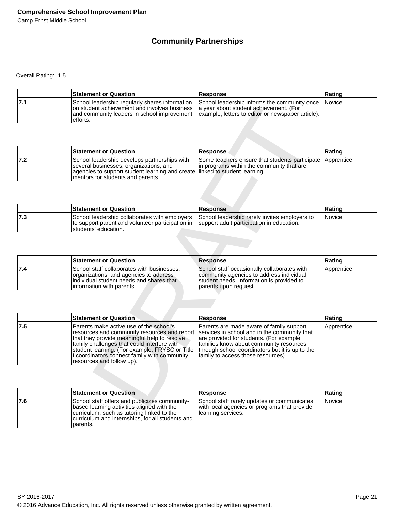# **Community Partnerships**

Overall Rating: 1.5

|     | <b>Statement or Question</b>                                                                                                                                                                       | Response                                                                                           | Rating |
|-----|----------------------------------------------------------------------------------------------------------------------------------------------------------------------------------------------------|----------------------------------------------------------------------------------------------------|--------|
| 7.1 | on student achievement and involves business a year about student achievement. (For<br>and community leaders in school improvement   example, letters to editor or newspaper article).<br>efforts. | School leadership regularly shares information School leadership informs the community once Novice |        |

|     | <b>Statement or Question</b>                                                                                                                                                                                | <b>Response</b>                                                                                        | <b>Rating</b> |
|-----|-------------------------------------------------------------------------------------------------------------------------------------------------------------------------------------------------------------|--------------------------------------------------------------------------------------------------------|---------------|
| 7.2 | School leadership develops partnerships with<br>several businesses, organizations, and<br>agencies to support student learning and create linked to student learning.<br>Imentors for students and parents. | Some teachers ensure that students participate Apprentice<br>In programs within the community that are |               |

|     | <b>Statement or Question</b>                                                                                                                                         | Response                                      | ∣Ratinɑ       |
|-----|----------------------------------------------------------------------------------------------------------------------------------------------------------------------|-----------------------------------------------|---------------|
| 7.3 | School leadership collaborates with employers<br>to support parent and volunteer participation in Support adult participation in education.<br>Istudents' education. | School leadership rarely invites employers to | <i>Novice</i> |

|     | <b>Statement or Question</b>                                                                                                                                   | <b>Response</b>                                                                                                                                                | Rating     |
|-----|----------------------------------------------------------------------------------------------------------------------------------------------------------------|----------------------------------------------------------------------------------------------------------------------------------------------------------------|------------|
| 7.4 | School staff collaborates with businesses,<br>organizations, and agencies to address<br>individual student needs and shares that<br>linformation with parents. | School staff occasionally collaborates with<br>community agencies to address individual<br>student needs. Information is provided to<br>Iparents upon request. | Apprentice |

|       | on student achievement and involves business<br>and community leaders in school improvement<br>efforts.                                                                                                                                                                                                               | a year about student achievement. (For<br>example, letters to editor or newspaper article).                                                                                                                                                                              |            |
|-------|-----------------------------------------------------------------------------------------------------------------------------------------------------------------------------------------------------------------------------------------------------------------------------------------------------------------------|--------------------------------------------------------------------------------------------------------------------------------------------------------------------------------------------------------------------------------------------------------------------------|------------|
|       |                                                                                                                                                                                                                                                                                                                       |                                                                                                                                                                                                                                                                          |            |
|       | <b>Statement or Question</b>                                                                                                                                                                                                                                                                                          | Response                                                                                                                                                                                                                                                                 | Rating     |
| $7.2$ | School leadership develops partnerships with<br>several businesses, organizations, and<br>agencies to support student learning and create<br>mentors for students and parents.                                                                                                                                        | Some teachers ensure that students participate<br>in programs within the community that are<br>linked to student learning.                                                                                                                                               | Apprentice |
|       |                                                                                                                                                                                                                                                                                                                       |                                                                                                                                                                                                                                                                          |            |
|       | <b>Statement or Question</b>                                                                                                                                                                                                                                                                                          | <b>Response</b>                                                                                                                                                                                                                                                          | Rating     |
| 7.3   | School leadership collaborates with employers<br>to support parent and volunteer participation in<br>students' education.                                                                                                                                                                                             | School leadership rarely invites employers to<br>support adult participation in education.                                                                                                                                                                               | Novice     |
|       |                                                                                                                                                                                                                                                                                                                       |                                                                                                                                                                                                                                                                          |            |
|       | <b>Statement or Question</b>                                                                                                                                                                                                                                                                                          | <b>Response</b>                                                                                                                                                                                                                                                          | Rating     |
| 7.4   | School staff collaborates with businesses,<br>organizations, and agencies to address<br>individual student needs and shares that<br>information with parents.                                                                                                                                                         | School staff occasionally collaborates with<br>community agencies to address individual<br>student needs. Information is provided to<br>parents upon request.                                                                                                            | Apprentice |
|       |                                                                                                                                                                                                                                                                                                                       |                                                                                                                                                                                                                                                                          |            |
|       | <b>Statement or Question</b>                                                                                                                                                                                                                                                                                          | <b>Response</b>                                                                                                                                                                                                                                                          | Rating     |
| 7.5   | Parents make active use of the school's<br>resources and community resources and report<br>that they provide meaningful help to resolve<br>family challenges that could interfere with<br>student learning. (For example, FRYSC or Title<br>I coordinators connect family with community<br>resources and follow up). | Parents are made aware of family support<br>services in school and in the community that<br>are provided for students. (For example,<br>families know about community resources<br>through school coordinators but it is up to the<br>family to access those resources). | Apprentice |
|       |                                                                                                                                                                                                                                                                                                                       |                                                                                                                                                                                                                                                                          |            |
|       | <b>Statement or Question</b>                                                                                                                                                                                                                                                                                          | <b>Response</b>                                                                                                                                                                                                                                                          | Rating     |
| 7.6   | School staff offers and publicizes community-<br>boood loorning oothution olignad with the                                                                                                                                                                                                                            | School staff rarely updates or communicates<br>with loopl ogeneies or programs that provide                                                                                                                                                                              | Novice     |

|     | <b>Statement or Question</b>                                                                                                                                                                              | Response                                                                                                          | ∣Ratinɑ |
|-----|-----------------------------------------------------------------------------------------------------------------------------------------------------------------------------------------------------------|-------------------------------------------------------------------------------------------------------------------|---------|
| 7.6 | School staff offers and publicizes community-<br>based learning activities aligned with the<br>curriculum, such as tutoring linked to the<br>curriculum and internships, for all students and<br>parents. | School staff rarely updates or communicates<br>with local agencies or programs that provide<br>Iearning services. | Novice  |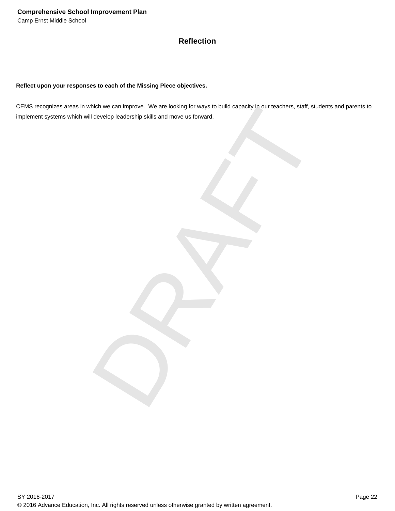# **Reflection**

# **Reflect upon your responses to each of the Missing Piece objectives.**

hich we can improve. We are looking for ways to build capacity in our teachers, staff, students and<br>develop leadership skills and move us forward. CEMS recognizes areas in which we can improve. We are looking for ways to build capacity in our teachers, staff, students and parents to implement systems which will develop leadership skills and move us forward.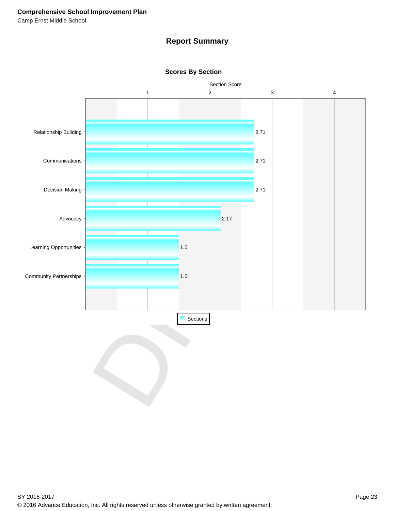# **Report Summary**



**Scores By Section**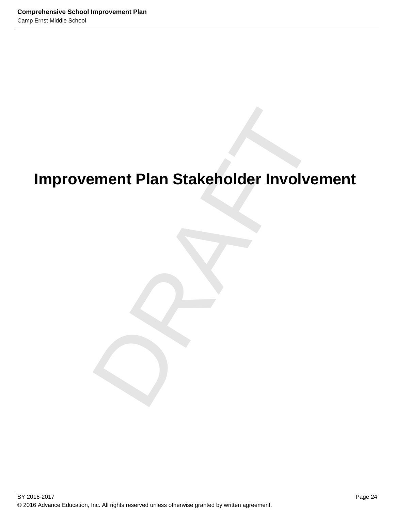# ement Plan Stakeholder Involveme<br>Drama<br>Drama<br>Drama<br>Drama<br>Drama<br>Drama<br>Drama<br>Drama<br>Drama<br>Drama<br>Drama<br>Drama<br>Drama<br>Drama<br>Drama<br>Drama<br>Drama<br>Drama<br>Drama<br>Drama<br>Drama<br>Drama<br>Drama<br>Drama<br>Drama<br>Drama<br>Drama<br>Drama<br>Drama<br>Drama<br>Drama<br>Dra **Improvement Plan Stakeholder Involvement**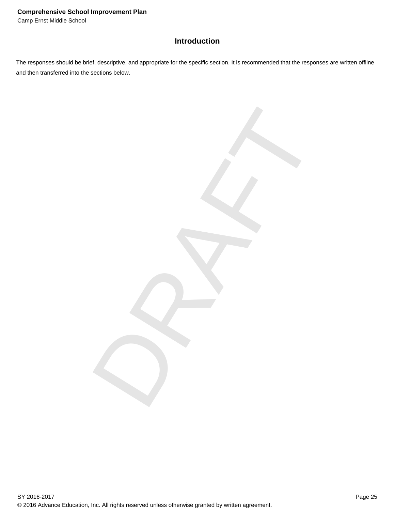# **Introduction**

The responses should be brief, descriptive, and appropriate for the specific section. It is recommended that the responses are written offline and then transferred into the sections below.

DRAFT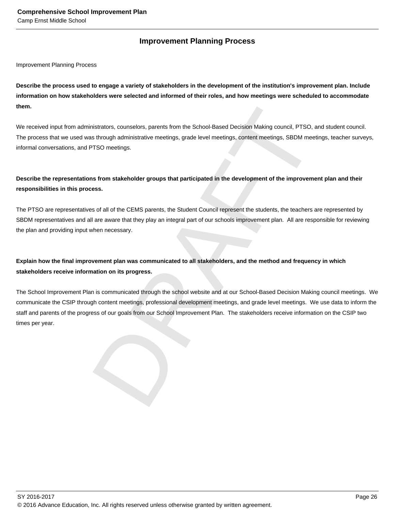# **Improvement Planning Process**

Improvement Planning Process

**Describe the process used to engage a variety of stakeholders in the development of the institution's improvement plan. Include information on how stakeholders were selected and informed of their roles, and how meetings were scheduled to accommodate them.** 

We received input from administrators, counselors, parents from the School-Based Decision Making council, PTSO, and student council. The process that we used was through administrative meetings, grade level meetings, content meetings, SBDM meetings, teacher surveys, informal conversations, and PTSO meetings.

# **Describe the representations from stakeholder groups that participated in the development of the improvement plan and their responsibilities in this process.**

The PTSO are representatives of all of the CEMS parents, the Student Council represent the students, the teachers are represented by SBDM representatives and all are aware that they play an integral part of our schools improvement plan. All are responsible for reviewing the plan and providing input when necessary.

# **Explain how the final improvement plan was communicated to all stakeholders, and the method and frequency in which stakeholders receive information on its progress.**

mistrators, counselors, parents from the School-Based Decision Making council, PTSO, and student intertings as through administrative meetings, grade level meetings, content meetings, SBDM meetings, teach<br>TFSO meetings.<br>Ar The School Improvement Plan is communicated through the school website and at our School-Based Decision Making council meetings. We communicate the CSIP through content meetings, professional development meetings, and grade level meetings. We use data to inform the staff and parents of the progress of our goals from our School Improvement Plan. The stakeholders receive information on the CSIP two times per year.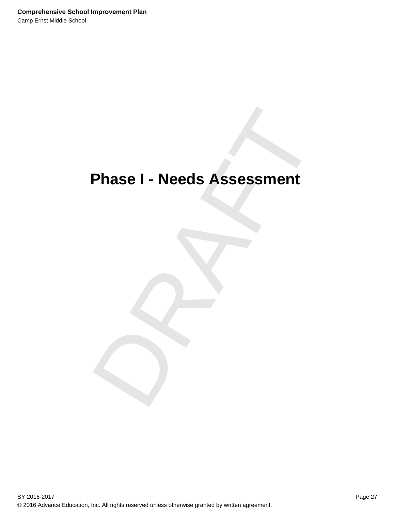# Phase I - Needs Assessment<br>
Phase I - Needs Assessment<br>
Phase I - Needs Assessment<br>
Phase I - Needs Assessment **Phase I - Needs Assessment**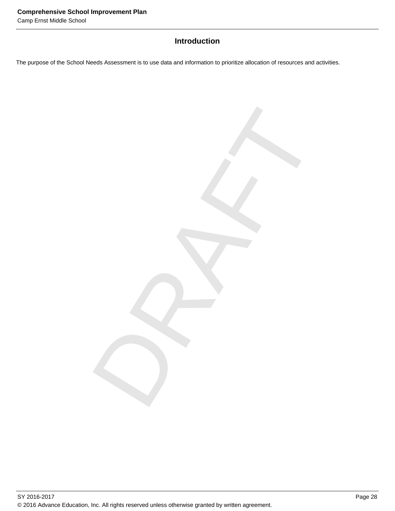# **Introduction**

DRAFT

The purpose of the School Needs Assessment is to use data and information to prioritize allocation of resources and activities.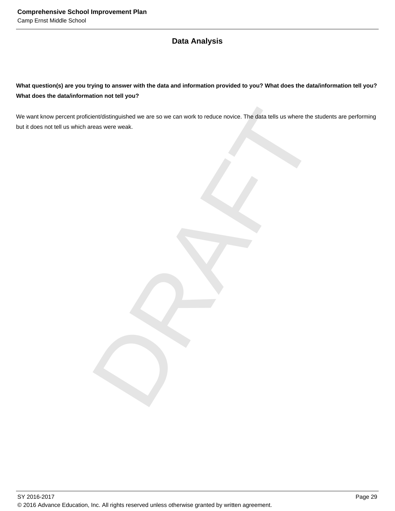# **Data Analysis**

**What question(s) are you trying to answer with the data and information provided to you? What does the data/information tell you? What does the data/information not tell you?**

ient/distinguished we are so we can work to reduce novice. The data tells us where the students areas were weak. We want know percent proficient/distinguished we are so we can work to reduce novice. The data tells us where the students are performing but it does not tell us which areas were weak.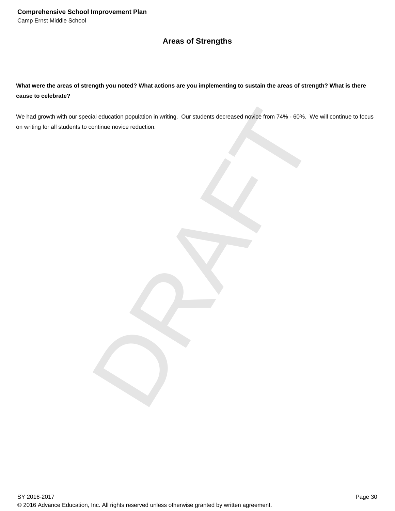# **Areas of Strengths**

**What were the areas of strength you noted? What actions are you implementing to sustain the areas of strength? What is there cause to celebrate?**

tial education population in writing. Our students decreased novice from 74% - 60%. We will continue novice reduction. We had growth with our special education population in writing. Our students decreased novice from 74% - 60%. We will continue to focus on writing for all students to continue novice reduction.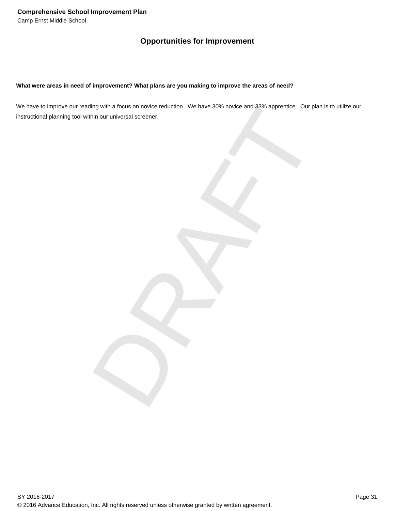# **Opportunities for Improvement**

# **What were areas in need of improvement? What plans are you making to improve the areas of need?**

Ing with a focus on novice reduction. We have 30% novice and 33% apprentice. Our plan is to ult<br>hin our universal screener. We have to improve our reading with a focus on novice reduction. We have 30% novice and 33% apprentice. Our plan is to utilize our instructional planning tool within our universal screener.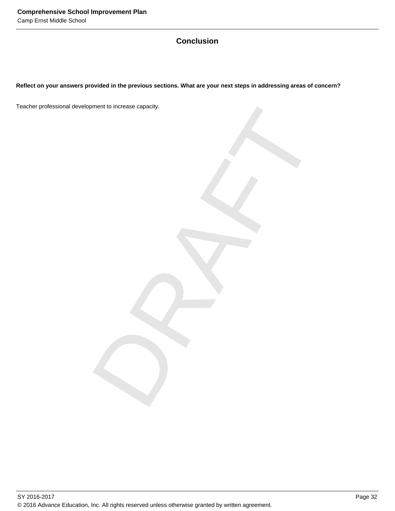# **Conclusion**

**Reflect on your answers provided in the previous sections. What are your next steps in addressing areas of concern?**

DRAFT Teacher professional development to increase capacity.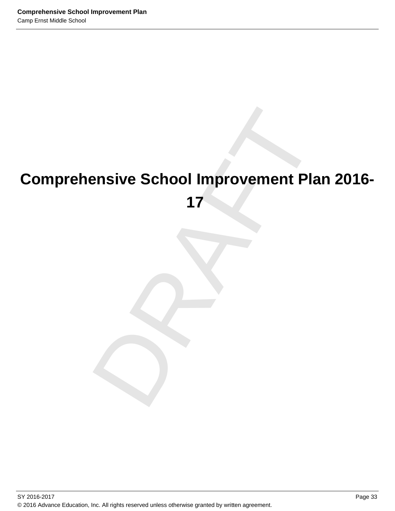# ensive School Improvement Plan 2<br>17<br>December 2020 **Comprehensive School Improvement Plan 2016- 17**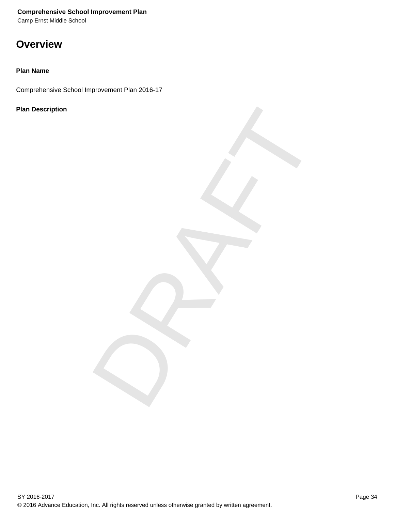Camp Ernst Middle School

# **Overview**

# **Plan Name**

Comprehensive School Improvement Plan 2016-17

# **Plan Description**

DRAFT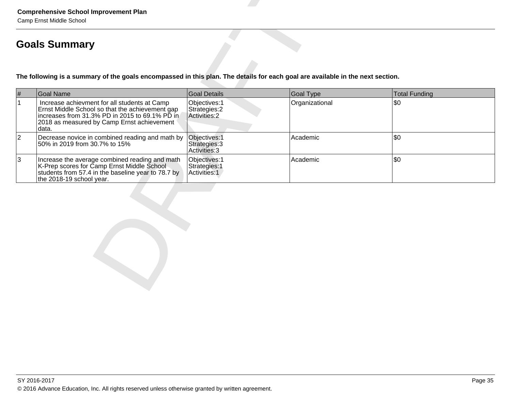|                | <b>Comprehensive School Improvement Plan</b><br>Camp Ernst Middle School                                                                                                                                  |                                                 |                  |                      |  |
|----------------|-----------------------------------------------------------------------------------------------------------------------------------------------------------------------------------------------------------|-------------------------------------------------|------------------|----------------------|--|
|                | <b>Goals Summary</b>                                                                                                                                                                                      |                                                 |                  |                      |  |
|                | The following is a summary of the goals encompassed in this plan. The details for each goal are available in the next section.                                                                            |                                                 |                  |                      |  |
| $\#$           | Goal Name                                                                                                                                                                                                 | <b>Goal Details</b>                             | <b>Goal Type</b> | <b>Total Funding</b> |  |
| $\mathbf{1}$   | Increase achievment for all students at Camp<br>Ernst Middle School so that the achievement gap<br>increases from 31.3% PD in 2015 to 69.1% PD in<br>2018 as measured by Camp Ernst achievement<br>∣data. | Objectives: 1<br>Strategies: 2<br>Activities: 2 | Organizational   | l\$0.                |  |
| $ 2\rangle$    | Decrease novice in combined reading and math by<br>50% in 2019 from 30.7% to 15%                                                                                                                          | Objectives: 1<br>Strategies: 3<br>Activities: 3 | Academic         | l\$0.                |  |
| $\overline{3}$ | Increase the average combined reading and math<br>K-Prep scores for Camp Ernst Middle School<br>students from 57.4 in the baseline year to 78.7 by<br>the 2018-19 school year.                            | Objectives: 1<br>Strategies: 1<br>Activities: 1 | Academic         | l\$0.                |  |
|                |                                                                                                                                                                                                           |                                                 |                  |                      |  |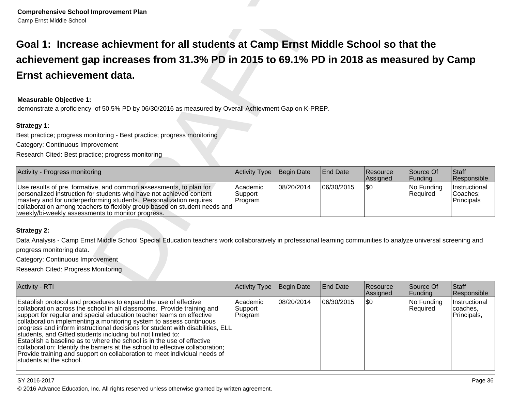| <b>Comprehensive School Improvement Plan</b><br>Camp Ernst Middle School                                                                                                                                                                                                                                                                          |                                |            |                 |                      |                        |                                         |
|---------------------------------------------------------------------------------------------------------------------------------------------------------------------------------------------------------------------------------------------------------------------------------------------------------------------------------------------------|--------------------------------|------------|-----------------|----------------------|------------------------|-----------------------------------------|
| Goal 1: Increase achievment for all students at Camp Ernst Middle School so that the                                                                                                                                                                                                                                                              |                                |            |                 |                      |                        |                                         |
| achievement gap increases from 31.3% PD in 2015 to 69.1% PD in 2018 as measured by Camp                                                                                                                                                                                                                                                           |                                |            |                 |                      |                        |                                         |
| Ernst achievement data.                                                                                                                                                                                                                                                                                                                           |                                |            |                 |                      |                        |                                         |
| <b>Measurable Objective 1:</b><br>demonstrate a proficiency of 50.5% PD by 06/30/2016 as measured by Overall Achievment Gap on K-PREP.                                                                                                                                                                                                            |                                |            |                 |                      |                        |                                         |
| Strategy 1:                                                                                                                                                                                                                                                                                                                                       |                                |            |                 |                      |                        |                                         |
| Best practice; progress monitoring - Best practice; progress monitoring                                                                                                                                                                                                                                                                           |                                |            |                 |                      |                        |                                         |
| Category: Continuous Improvement                                                                                                                                                                                                                                                                                                                  |                                |            |                 |                      |                        |                                         |
| Research Cited: Best practice; progress monitoring                                                                                                                                                                                                                                                                                                |                                |            |                 |                      |                        |                                         |
| Activity - Progress monitoring                                                                                                                                                                                                                                                                                                                    | Activity Type                  | Begin Date | <b>End Date</b> | Resource<br>Assigned | Source Of<br>Funding   | Staff<br>Responsible                    |
| Use results of pre, formative, and common assessments, to plan for<br>personalized instruction for students who have not achieved content<br>mastery and for underperforming students. Personalization requires<br>collaboration among teachers to flexibly group based on student needs and<br>weekly/bi-weekly assessments to monitor progress. | Academic<br>Support<br>Program | 08/20/2014 | 06/30/2015      | \$0                  | No Funding<br>Required | Instructional<br>Coaches;<br>Principals |
|                                                                                                                                                                                                                                                                                                                                                   |                                |            |                 |                      |                        |                                         |
| <b>Strategy 2:</b>                                                                                                                                                                                                                                                                                                                                |                                |            |                 |                      |                        |                                         |
| Data Analysis - Camp Ernst Middle School Special Education teachers work collaboratively in professional learning communities to analyze universal screening and                                                                                                                                                                                  |                                |            |                 |                      |                        |                                         |
| progress monitoring data.                                                                                                                                                                                                                                                                                                                         |                                |            |                 |                      |                        |                                         |
| Category: Continuous Improvement                                                                                                                                                                                                                                                                                                                  |                                |            |                 |                      |                        |                                         |
| Research Cited: Progress Monitoring                                                                                                                                                                                                                                                                                                               |                                |            |                 |                      |                        |                                         |
| <b>Activity - RTI</b>                                                                                                                                                                                                                                                                                                                             | Activity Type                  | Begin Date | <b>End Date</b> | Resource             | Source Of              | Staff                                   |

| <b>Activity - RTI</b>                                                                                                                                                                                                                                                                                                                                                                                                                                                                                                                                                                                                                                                                                            | <b>Activity Type</b>           | Begin Date | <b>End Date</b> | <b>Resource</b><br>Assigned | Source Of<br> Funding  | Staff<br>Responsible                      |
|------------------------------------------------------------------------------------------------------------------------------------------------------------------------------------------------------------------------------------------------------------------------------------------------------------------------------------------------------------------------------------------------------------------------------------------------------------------------------------------------------------------------------------------------------------------------------------------------------------------------------------------------------------------------------------------------------------------|--------------------------------|------------|-----------------|-----------------------------|------------------------|-------------------------------------------|
| Establish protocol and procedures to expand the use of effective<br>collaboration across the school in all classrooms. Provide training and<br>support for regular and special education teacher teams on effective<br>collaboration implementing a monitoring system to assess continuous<br>progress and inform instructional decisions for student with disabilities, ELL<br>students, and Gifted students including but not limited to:<br>Establish a baseline as to where the school is in the use of effective<br>collaboration; Identify the barriers at the school to effective collaboration;<br>Provide training and support on collaboration to meet individual needs of<br>Istudents at the school. | Academic<br>Support<br>Program | 08/20/2014 | 06/30/2015      | \$0                         | No Funding<br>Required | Instructional<br> coaches,<br>Principals, |

# SY 2016-2017

© 2016 Advance Education, Inc. All rights reserved unless otherwise granted by written agreement.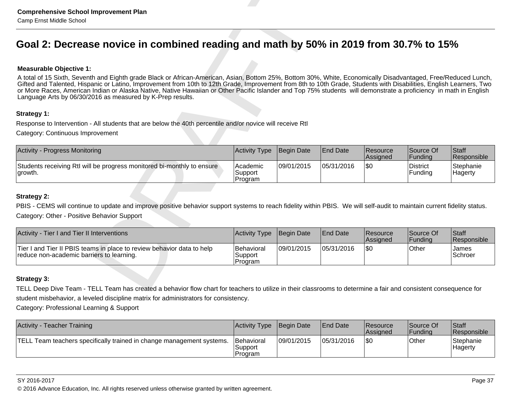| <b>Comprehensive School Improvement Plan</b><br>Camp Ernst Middle School                                                                                                                                                                                                                                                                                                                                                                                                                                                                                                 |                                  |                   |                 |                      |                            |                      |
|--------------------------------------------------------------------------------------------------------------------------------------------------------------------------------------------------------------------------------------------------------------------------------------------------------------------------------------------------------------------------------------------------------------------------------------------------------------------------------------------------------------------------------------------------------------------------|----------------------------------|-------------------|-----------------|----------------------|----------------------------|----------------------|
| Goal 2: Decrease novice in combined reading and math by 50% in 2019 from 30.7% to 15%                                                                                                                                                                                                                                                                                                                                                                                                                                                                                    |                                  |                   |                 |                      |                            |                      |
| <b>Measurable Objective 1:</b>                                                                                                                                                                                                                                                                                                                                                                                                                                                                                                                                           |                                  |                   |                 |                      |                            |                      |
| A total of 15 Sixth, Seventh and Eighth grade Black or African-American, Asian, Bottom 25%, Bottom 30%, White, Economically Disadvantaged, Free/Reduced Lunch,<br>Gifted and Talented, Hispanic or Latino, Improvement from 10th to 12th Grade, Improvement from 8th to 10th Grade, Students with Disabilities, English Learners, Two<br>or More Races, American Indian or Alaska Native, Native Hawaiian or Other Pacific Islander and Top 75% students will demonstrate a proficiency in math in English<br>Language Arts by 06/30/2016 as measured by K-Prep results. |                                  |                   |                 |                      |                            |                      |
| Strategy 1:                                                                                                                                                                                                                                                                                                                                                                                                                                                                                                                                                              |                                  |                   |                 |                      |                            |                      |
| Response to Intervention - All students that are below the 40th percentile and/or novice will receive RtI                                                                                                                                                                                                                                                                                                                                                                                                                                                                |                                  |                   |                 |                      |                            |                      |
| Category: Continuous Improvement                                                                                                                                                                                                                                                                                                                                                                                                                                                                                                                                         |                                  |                   |                 |                      |                            |                      |
| <b>Activity - Progress Monitoring</b>                                                                                                                                                                                                                                                                                                                                                                                                                                                                                                                                    | Activity Type                    | Begin Date        | <b>End Date</b> | Resource<br>Assigned | Source Of<br>Funding       | Staff<br>Responsible |
| Students receiving RtI will be progress monitored bi-monthly to ensure<br>growth.                                                                                                                                                                                                                                                                                                                                                                                                                                                                                        | Academic<br>Support<br>Program   | 09/01/2015        | 05/31/2016      | l\$0                 | <b>District</b><br>Funding | Stephanie<br>Hagerty |
| <b>Strategy 2:</b>                                                                                                                                                                                                                                                                                                                                                                                                                                                                                                                                                       |                                  |                   |                 |                      |                            |                      |
| PBIS - CEMS will continue to update and improve positive behavior support systems to reach fidelity within PBIS. We will self-audit to maintain current fidelity status.                                                                                                                                                                                                                                                                                                                                                                                                 |                                  |                   |                 |                      |                            |                      |
| Category: Other - Positive Behavior Support                                                                                                                                                                                                                                                                                                                                                                                                                                                                                                                              |                                  |                   |                 |                      |                            |                      |
| Activity - Tier I and Tier II Interventions                                                                                                                                                                                                                                                                                                                                                                                                                                                                                                                              | Activity Type                    | <b>Begin Date</b> | <b>End Date</b> | Resource<br>Assigned | Source Of<br>Funding       | Staff<br>Responsible |
| Tier I and Tier II PBIS teams in place to review behavior data to help<br>reduce non-academic barriers to learning.                                                                                                                                                                                                                                                                                                                                                                                                                                                      | Behavioral<br>Support<br>Program | 09/01/2015        | 05/31/2016      | l\$0                 | Other                      | James<br>Schroer     |
| <b>Strategy 3:</b>                                                                                                                                                                                                                                                                                                                                                                                                                                                                                                                                                       |                                  |                   |                 |                      |                            |                      |
| TELL Deep Dive Team - TELL Team has created a behavior flow chart for teachers to utilize in their classrooms to determine a fair and consistent consequence for                                                                                                                                                                                                                                                                                                                                                                                                         |                                  |                   |                 |                      |                            |                      |
| student misbehavior, a leveled discipline matrix for administrators for consistency.                                                                                                                                                                                                                                                                                                                                                                                                                                                                                     |                                  |                   |                 |                      |                            |                      |
| Category: Professional Learning & Support                                                                                                                                                                                                                                                                                                                                                                                                                                                                                                                                |                                  |                   |                 |                      |                            |                      |

| Activity - Tier I and Tier II Interventions                                                                         | <b>Activity Type</b> Begin Date          |            | <b>End Date</b> | Resource<br><b>Assigned</b> | Source Of<br> Fundina | <b>Staff</b><br><b>Responsible</b> |
|---------------------------------------------------------------------------------------------------------------------|------------------------------------------|------------|-----------------|-----------------------------|-----------------------|------------------------------------|
| Tier I and Tier II PBIS teams in place to review behavior data to help<br>reduce non-academic barriers to learning. | <b>Behavioral</b><br>Support<br>IProgram | 09/01/2015 | 05/31/2016      | 1\$0                        | Other                 | James<br>Schroer                   |

| Activity -<br>- Teacher Training                                      | Activity Type                            | Begin Date | <b>End Date</b> | Resource<br><b>Assigned</b> | Source Of<br> Fundina | <b>Staff</b><br><b>Responsible</b> |
|-----------------------------------------------------------------------|------------------------------------------|------------|-----------------|-----------------------------|-----------------------|------------------------------------|
| TELL Team teachers specifically trained in change management systems. | <b>Behavioral</b><br>'Support<br>Program | 09/01/2015 | 05/31/2016      | \$0                         | Other                 | Stephanie<br>Hagerty               |

SY 2016-2017

© 2016 Advance Education, Inc. All rights reserved unless otherwise granted by written agreement.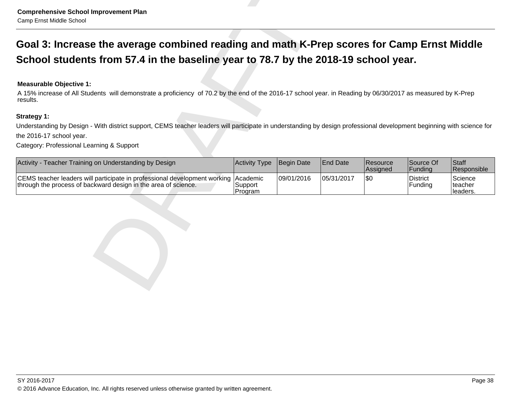| <b>Comprehensive School Improvement Plan</b><br>Camp Ernst Middle School                                                                                                                                  |                                |                   |                 |                      |                      |                                 |  |
|-----------------------------------------------------------------------------------------------------------------------------------------------------------------------------------------------------------|--------------------------------|-------------------|-----------------|----------------------|----------------------|---------------------------------|--|
| Goal 3: Increase the average combined reading and math K-Prep scores for Camp Ernst Middle                                                                                                                |                                |                   |                 |                      |                      |                                 |  |
| School students from 57.4 in the baseline year to 78.7 by the 2018-19 school year.                                                                                                                        |                                |                   |                 |                      |                      |                                 |  |
| <b>Measurable Objective 1:</b><br>A 15% increase of All Students will demonstrate a proficiency of 70.2 by the end of the 2016-17 school year. in Reading by 06/30/2017 as measured by K-Prep<br>results. |                                |                   |                 |                      |                      |                                 |  |
| <b>Strategy 1:</b>                                                                                                                                                                                        |                                |                   |                 |                      |                      |                                 |  |
| Understanding by Design - With district support, CEMS teacher leaders will participate in understanding by design professional development beginning with science for                                     |                                |                   |                 |                      |                      |                                 |  |
| the 2016-17 school year.                                                                                                                                                                                  |                                |                   |                 |                      |                      |                                 |  |
| Category: Professional Learning & Support                                                                                                                                                                 |                                |                   |                 |                      |                      |                                 |  |
| Activity - Teacher Training on Understanding by Design                                                                                                                                                    | <b>Activity Type</b>           | <b>Begin Date</b> | <b>End Date</b> | Resource<br>Assigned | Source Of<br>Funding | Staff<br>Responsible            |  |
| CEMS teacher leaders will participate in professional development working<br>through the process of backward design in the area of science.                                                               | Academic<br>Support<br>Program | 09/01/2016        | 05/31/2017      | l\$0                 | District<br>Funding  | Science<br>lteacher<br>leaders. |  |
|                                                                                                                                                                                                           |                                |                   |                 |                      |                      |                                 |  |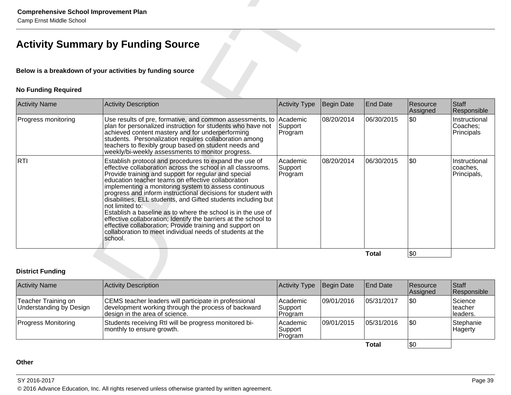| <b>Comprehensive School Improvement Plan</b><br>Camp Ernst Middle School |                                                                                                                                                                                                                                                                                                                                                                                                                                                                                                                                                                                                                                                                                                                          |                                |            |                 |                      |                                          |
|--------------------------------------------------------------------------|--------------------------------------------------------------------------------------------------------------------------------------------------------------------------------------------------------------------------------------------------------------------------------------------------------------------------------------------------------------------------------------------------------------------------------------------------------------------------------------------------------------------------------------------------------------------------------------------------------------------------------------------------------------------------------------------------------------------------|--------------------------------|------------|-----------------|----------------------|------------------------------------------|
|                                                                          | <b>Activity Summary by Funding Source</b>                                                                                                                                                                                                                                                                                                                                                                                                                                                                                                                                                                                                                                                                                |                                |            |                 |                      |                                          |
|                                                                          | Below is a breakdown of your activities by funding source                                                                                                                                                                                                                                                                                                                                                                                                                                                                                                                                                                                                                                                                |                                |            |                 |                      |                                          |
| <b>No Funding Required</b>                                               |                                                                                                                                                                                                                                                                                                                                                                                                                                                                                                                                                                                                                                                                                                                          |                                |            |                 |                      |                                          |
| <b>Activity Name</b>                                                     | <b>Activity Description</b>                                                                                                                                                                                                                                                                                                                                                                                                                                                                                                                                                                                                                                                                                              | <b>Activity Type</b>           | Begin Date | <b>End Date</b> | Resource<br>Assigned | <b>Staff</b><br>Responsible              |
| Progress monitoring                                                      | Use results of pre, formative, and common assessments, to<br>plan for personalized instruction for students who have not<br>achieved content mastery and for underperforming<br>students. Personalization requires collaboration among<br>teachers to flexibly group based on student needs and<br>weekly/bi-weekly assessments to monitor progress.                                                                                                                                                                                                                                                                                                                                                                     | Academic<br>Support<br>Program | 08/20/2014 | 06/30/2015      | \$0                  | Instructional<br>Coaches;<br>Principals  |
| RTI                                                                      | Establish protocol and procedures to expand the use of<br>effective collaboration across the school in all classrooms.<br>Provide training and support for regular and special<br>education teacher teams on effective collaboration<br>implementing a monitoring system to assess continuous<br>progress and inform instructional decisions for student with<br>disabilities, ELL students, and Gifted students including but<br>not limited to:<br>Establish a baseline as to where the school is in the use of<br>effective collaboration; Identify the barriers at the school to<br>effective collaboration; Provide training and support on<br>collaboration to meet individual needs of students at the<br>school. | Academic<br>Support<br>Program | 08/20/2014 | 06/30/2015      | \$0                  | Instructional<br>coaches.<br>Principals, |
|                                                                          |                                                                                                                                                                                                                                                                                                                                                                                                                                                                                                                                                                                                                                                                                                                          |                                |            | <b>Total</b>    | \$0                  |                                          |
| <b>District Funding</b>                                                  |                                                                                                                                                                                                                                                                                                                                                                                                                                                                                                                                                                                                                                                                                                                          |                                |            |                 |                      |                                          |
| <b>Activity Name</b>                                                     | <b>Activity Description</b>                                                                                                                                                                                                                                                                                                                                                                                                                                                                                                                                                                                                                                                                                              | Activity Type                  | Begin Date | <b>End Date</b> | Resource             | <b>Staff</b>                             |

| <b>Activity Name</b>                           | Activity Description                                                                                                                           | Activity Type                    | Begin Date  | <b>End Date</b> | <b>Resource</b><br>Assigned | Staff<br>Responsible             |
|------------------------------------------------|------------------------------------------------------------------------------------------------------------------------------------------------|----------------------------------|-------------|-----------------|-----------------------------|----------------------------------|
| Teacher Training on<br>Understanding by Design | CEMS teacher leaders will participate in professional<br>development working through the process of backward<br>design in the area of science. | Academic<br>Support<br> Program  | 109/01/2016 | 105/31/2017     | \$0                         | Science<br>lteacher<br>lleaders. |
| <b>Progress Monitoring</b>                     | Students receiving RtI will be progress monitored bi-<br>monthly to ensure growth.                                                             | Academic<br> Support<br> Program | 09/01/2015  | 05/31/2016      | \$0                         | Stephanie<br>Hagerty             |
|                                                |                                                                                                                                                |                                  |             | Total           | \$0                         |                                  |

# **Other**

# SY 2016-2017

en and the set of the set of the set of the set of the set of the set of the set of the set of the set of the set of the set of the set of the set of the set of the set of the set of the set of the set of the set of the se © 2016 Advance Education, Inc. All rights reserved unless otherwise granted by written agreement.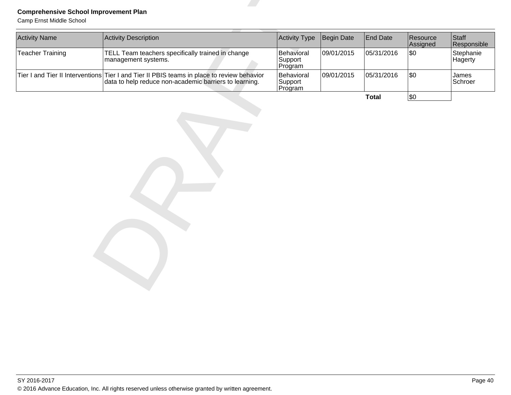| <b>Teacher Training</b> | TELL Team teachers specifically trained in change<br>management systems.                                                                             | Behavioral                       |            |              | Assigned | Responsible          |
|-------------------------|------------------------------------------------------------------------------------------------------------------------------------------------------|----------------------------------|------------|--------------|----------|----------------------|
|                         |                                                                                                                                                      | Support<br>Program               | 09/01/2015 | 05/31/2016   | \$0      | Stephanie<br>Hagerty |
|                         | Tier I and Tier II Interventions Tier I and Tier II PBIS teams in place to review behavior<br>data to help reduce non-academic barriers to learning. | Behavioral<br>Support<br>Program | 09/01/2015 | 05/31/2016   | \$0      | James<br>Schroer     |
|                         |                                                                                                                                                      |                                  |            | <b>Total</b> | \$0      |                      |
|                         |                                                                                                                                                      |                                  |            |              |          |                      |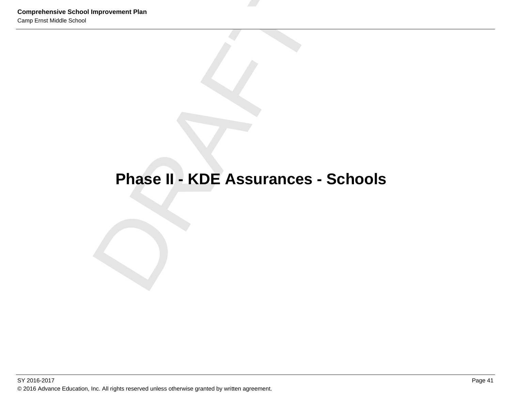# **Comprehensive School Improvement Plan**<br> **Phase II - KDE Assurances - Schools**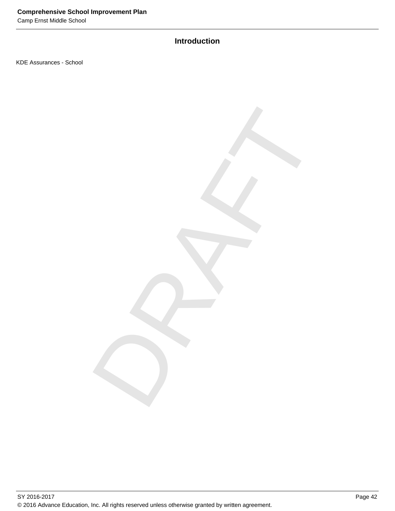Camp Ernst Middle School

# **Introduction**

DRAFT

KDE Assurances - School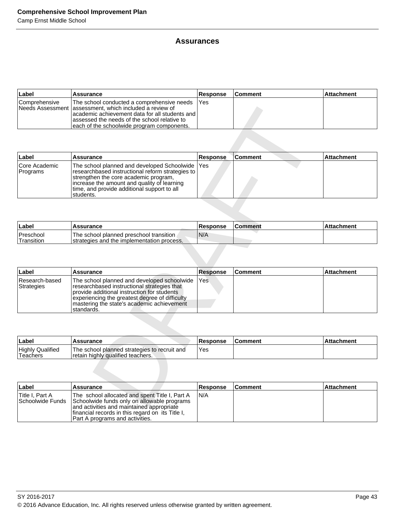# **Assurances**

| ∣Label        | Assurance                                                                                                                                                                                                                                                  | <b>Response</b> | <b>Comment</b> | <b>Attachment</b> |
|---------------|------------------------------------------------------------------------------------------------------------------------------------------------------------------------------------------------------------------------------------------------------------|-----------------|----------------|-------------------|
| Comprehensive | The school conducted a comprehensive needs<br>INeeds Assessment lassessment, which included a review of<br>lacademic achievement data for all students and l<br>assessed the needs of the school relative to<br>each of the schoolwide program components. | <b>IYes</b>     |                |                   |

|                                            | Needs Assessment assessment, which included a review of<br>academic achievement data for all students and<br>assessed the needs of the school relative to<br>each of the schoolwide program components.                                                 |                 |                |                   |
|--------------------------------------------|---------------------------------------------------------------------------------------------------------------------------------------------------------------------------------------------------------------------------------------------------------|-----------------|----------------|-------------------|
|                                            |                                                                                                                                                                                                                                                         |                 |                |                   |
| Label                                      | <b>Assurance</b>                                                                                                                                                                                                                                        | Response        | <b>Comment</b> | <b>Attachment</b> |
| Core Academic<br>Programs                  | The school planned and developed Schoolwide<br>researchbased instructional reform strategies to<br>strengthen the core academic program,<br>increase the amount and quality of learning<br>time, and provide additional support to all<br>students.     | Yes             |                |                   |
|                                            |                                                                                                                                                                                                                                                         |                 |                |                   |
| Label                                      | Assurance                                                                                                                                                                                                                                               | Response        | <b>Comment</b> | <b>Attachment</b> |
| Preschool<br>Transition                    | The school planned preschool transition<br>strategies and the implementation process.                                                                                                                                                                   | N/A             |                |                   |
|                                            |                                                                                                                                                                                                                                                         |                 |                |                   |
| Label                                      | <b>Assurance</b>                                                                                                                                                                                                                                        | <b>Response</b> | <b>Comment</b> | <b>Attachment</b> |
| Research-based<br><b>Strategies</b>        | The school planned and developed schoolwide<br>researchbased instructional strategies that<br>provide additional instruction for students<br>experiencing the greatest degree of difficulty<br>mastering the state's academic achievement<br>standards. | Yes             |                |                   |
|                                            |                                                                                                                                                                                                                                                         |                 |                |                   |
| Label                                      | <b>Assurance</b>                                                                                                                                                                                                                                        | <b>Response</b> | <b>Comment</b> | Attachment        |
| <b>Highly Qualified</b><br><b>Teachers</b> | The school planned strategies to recruit and<br>retain highly qualified teachers.                                                                                                                                                                       | Yes             |                |                   |
|                                            |                                                                                                                                                                                                                                                         |                 |                |                   |
| Label                                      | Assurance                                                                                                                                                                                                                                               | <b>Response</b> | Comment        | Attachment        |
| Title I, Part A<br>Schoolwide Funds        | The school allocated and spent Title I, Part A<br>Schoolwide funds only on allowable programs<br>and octivities and maintained appropriate                                                                                                              | N/A             |                |                   |

| ∣Label                               | Assurance                                                                              | <b>Response</b> | l Comment | <b>Attachment</b> |
|--------------------------------------|----------------------------------------------------------------------------------------|-----------------|-----------|-------------------|
| Preschool<br><sup>1</sup> Transition | The school planned preschool transition<br>Istrategies and the implementation process. | 'N/A            |           |                   |

| ∣Label                       | <b>Assurance</b>                                                                                                                                                                                                                                           | <b>Response</b> | ∣Comment | <b>Attachment</b> |
|------------------------------|------------------------------------------------------------------------------------------------------------------------------------------------------------------------------------------------------------------------------------------------------------|-----------------|----------|-------------------|
| Research-based<br>Strategies | The school planned and developed schoolwide<br>researchbased instructional strategies that<br>provide additional instruction for students<br>experiencing the greatest degree of difficulty<br>I mastering the state's academic achievement<br>Istandards. | <b>IYes</b>     |          |                   |

| ∣Labe                                | <b>Assurance</b>                                                                  | Response | <b>Comment</b> | Attachment |
|--------------------------------------|-----------------------------------------------------------------------------------|----------|----------------|------------|
| <b>Highly Qualified</b><br>'Teachers | The school planned strategies to recruit and<br>retain highly qualified teachers. | Yes      |                |            |

| ∣Label          | Assurance                                                                                                                                                                                                                                                  | <b>Response</b> | <b>Comment</b> | <b>Attachment</b> |
|-----------------|------------------------------------------------------------------------------------------------------------------------------------------------------------------------------------------------------------------------------------------------------------|-----------------|----------------|-------------------|
| Title I. Part A | The school allocated and spent Title I, Part A<br>Schoolwide Funds Schoolwide funds only on allowable programs<br>and activities and maintained appropriate<br>Ifinancial records in this regard on its Title I.<br><b>Part A programs and activities.</b> | IN/A            |                |                   |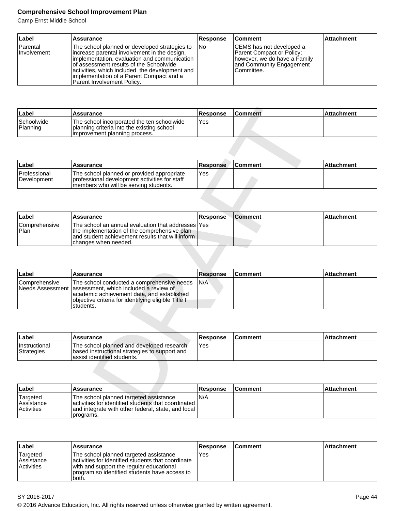| ∣Label                  | Assurance                                                                                                                                                                                                                                                                                                            | <b>Response</b> | <b>Comment</b>                                                                                                                   | <b>Attachment</b> |
|-------------------------|----------------------------------------------------------------------------------------------------------------------------------------------------------------------------------------------------------------------------------------------------------------------------------------------------------------------|-----------------|----------------------------------------------------------------------------------------------------------------------------------|-------------------|
| Parental<br>Involvement | The school planned or developed strategies to<br>increase parental involvement in the design,<br>implementation, evaluation and communication<br>of assessment results of the Schoolwide<br>activities, which included the development and<br>implementation of a Parent Compact and a<br>Parent Involvement Policy. | lNo             | CEMS has not developed a<br>Parent Compact or Policy;<br>Thowever, we do have a Family<br>and Community Engagement<br>Committee. |                   |

| ∣Label                 | <b>Assurance</b>                                                                                                           | <b>Response</b> | <b>Comment</b> | ⊺Attachment |
|------------------------|----------------------------------------------------------------------------------------------------------------------------|-----------------|----------------|-------------|
| Schoolwide<br>Planning | The school incorporated the ten schoolwide<br>planning criteria into the existing school<br>limprovement planning process. | Yes             |                |             |

| Label                       | <b>Assurance</b>                                                                                                                       | Response | ∣Comment | l Attachment |
|-----------------------------|----------------------------------------------------------------------------------------------------------------------------------------|----------|----------|--------------|
| Professional<br>Development | The school planned or provided appropriate<br>I professional development activities for staff<br>members who will be serving students. | Yes      |          |              |

| Label                                     | <b>Assurance</b>                                                                                                                                                                    | <b>Response</b> | <b>Comment</b> | <b>Attachment</b> |
|-------------------------------------------|-------------------------------------------------------------------------------------------------------------------------------------------------------------------------------------|-----------------|----------------|-------------------|
| <b>Comprehensive</b><br><sup>1</sup> Plan | The school an annual evaluation that addresses lYes<br>Ithe implementation of the comprehensive plan<br>land student achievement results that will inform I<br>changes when needed. |                 |                |                   |

| Label                                    | Assurance                                                                                                                                                                  | <b>Response</b> | <b>Comment</b> | <b>Attachment</b> |
|------------------------------------------|----------------------------------------------------------------------------------------------------------------------------------------------------------------------------|-----------------|----------------|-------------------|
| Schoolwide<br>Planning                   | The school incorporated the ten schoolwide<br>planning criteria into the existing school<br>improvement planning process.                                                  | Yes             |                |                   |
|                                          |                                                                                                                                                                            |                 |                |                   |
| Label                                    | <b>Assurance</b>                                                                                                                                                           | <b>Response</b> | <b>Comment</b> | <b>Attachment</b> |
| Professional<br>Development              | The school planned or provided appropriate<br>professional development activities for staff<br>members who will be serving students.                                       | Yes             |                |                   |
|                                          |                                                                                                                                                                            |                 |                |                   |
| Label                                    | <b>Assurance</b>                                                                                                                                                           | Response        | <b>Comment</b> | <b>Attachment</b> |
| Comprehensive<br>Plan                    | The school an annual evaluation that addresses<br>the implementation of the comprehensive plan<br>and student achievement results that will inform<br>changes when needed. | Yes             |                |                   |
| Label                                    | <b>Assurance</b>                                                                                                                                                           | <b>Response</b> | Comment        | <b>Attachment</b> |
| Comprehensive<br><b>Needs Assessment</b> | The school conducted a comprehensive needs<br>assessment, which included a review of                                                                                       | N/A             |                |                   |
|                                          | academic achievement data, and established<br>objective criteria for identifying eligible Title I<br>students.                                                             |                 |                |                   |
|                                          |                                                                                                                                                                            |                 |                |                   |
| Label                                    | <b>Assurance</b>                                                                                                                                                           | <b>Response</b> | <b>Comment</b> | <b>Attachment</b> |
| Instructional<br><b>Strategies</b>       | The school planned and developed research<br>based instructional strategies to support and<br>assist identified students.                                                  | Yes             |                |                   |
|                                          |                                                                                                                                                                            |                 |                |                   |
| Label                                    | <b>Assurance</b>                                                                                                                                                           | <b>Response</b> | <b>Comment</b> | <b>Attachment</b> |
| Targeted<br>Assistance                   | The school planned targeted assistance<br>activities for identified students that coordinated                                                                              | N/A             |                |                   |

| Label                              | <b>Assurance</b>                                                                                                           | <b>Response</b> | <b>Comment</b> | ⊺Attachment |
|------------------------------------|----------------------------------------------------------------------------------------------------------------------------|-----------------|----------------|-------------|
| <b>Instructional</b><br>Strategies | The school planned and developed research<br>based instructional strategies to support and<br>lassist identified students. | Yes             |                |             |

| ∣Label                                             | <b>Assurance</b>                                                                                                                                                   | Response | <b>Comment</b> | ⊺Attachment |
|----------------------------------------------------|--------------------------------------------------------------------------------------------------------------------------------------------------------------------|----------|----------------|-------------|
| Targeted<br><b>Assistance</b><br><b>Activities</b> | The school planned targeted assistance<br>activities for identified students that coordinated I<br>and integrate with other federal, state, and local<br>programs. | N/A      |                |             |

| Label                                          | Assurance                                                                                                                                                                                           | <b>Response</b> | ∣Comment | ∣Attachment |
|------------------------------------------------|-----------------------------------------------------------------------------------------------------------------------------------------------------------------------------------------------------|-----------------|----------|-------------|
| 'Targeted<br> Assistance <br><b>Activities</b> | The school planned targeted assistance<br>activities for identified students that coordinate<br>with and support the regular educational<br>program so identified students have access to<br>'both. | Yes             |          |             |

<sup>© 2016</sup> Advance Education, Inc. All rights reserved unless otherwise granted by written agreement.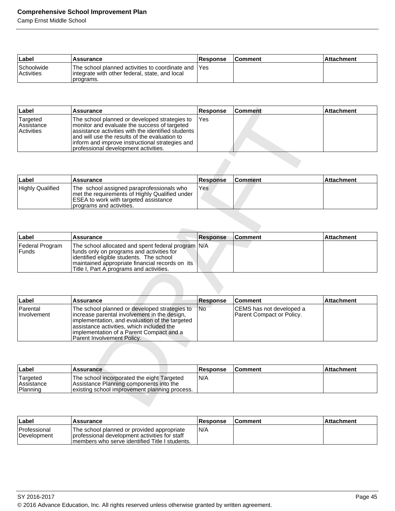| ∣Label                          | <b>Assurance</b>                                                                                                    | <b>Response</b> | ∣Comment | <b>Attachment</b> |
|---------------------------------|---------------------------------------------------------------------------------------------------------------------|-----------------|----------|-------------------|
| Schoolwide<br><b>Activities</b> | The school planned activities to coordinate and IYes<br>integrate with other federal, state, and local<br>programs. |                 |          |                   |

| Label                                              | Assurance                                                                                                                                                                                                                                                                                        | <b>Response</b> | ∣Comment | <b>Attachment</b> |
|----------------------------------------------------|--------------------------------------------------------------------------------------------------------------------------------------------------------------------------------------------------------------------------------------------------------------------------------------------------|-----------------|----------|-------------------|
| Targeted<br><b>Assistance</b><br><b>Activities</b> | The school planned or developed strategies to<br>monitor and evaluate the success of targeted<br>assistance activities with the identified students<br>and will use the results of the evaluation to<br>inform and improve instructional strategies and<br>Iprofessional development activities. | IYes            |          |                   |

| Label                   | <b>Assurance</b>                                                                                                                                                 | <b>Response</b> | <b>Comment</b> | Attachment |
|-------------------------|------------------------------------------------------------------------------------------------------------------------------------------------------------------|-----------------|----------------|------------|
| <b>Highly Qualified</b> | The school assigned paraprofessionals who<br>met the requirements of Highly Qualified under<br>ESEA to work with targeted assistance<br>programs and activities. | <b>Yes</b>      |                |            |

| ∣Label                    | Assurance                                                                                                                                                                                                                                     | <b>Response</b> | <b>Comment</b> | Attachment |
|---------------------------|-----------------------------------------------------------------------------------------------------------------------------------------------------------------------------------------------------------------------------------------------|-----------------|----------------|------------|
| Federal Program<br> Funds | The school allocated and spent federal program N/A<br>funds only on programs and activities for<br>lidentified eligible students. The school<br>  maintained appropriate financial records on its<br>Title I, Part A programs and activities. |                 |                |            |

| Label                                | <b>Assurance</b>                                                                                                                                                                                                                                                                                | Response        | <b>Comment</b>                                        | <b>Attachment</b> |
|--------------------------------------|-------------------------------------------------------------------------------------------------------------------------------------------------------------------------------------------------------------------------------------------------------------------------------------------------|-----------------|-------------------------------------------------------|-------------------|
| Targeted<br>Assistance<br>Activities | The school planned or developed strategies to<br>monitor and evaluate the success of targeted<br>assistance activities with the identified students<br>and will use the results of the evaluation to<br>inform and improve instructional strategies and<br>professional development activities. | Yes             |                                                       |                   |
|                                      |                                                                                                                                                                                                                                                                                                 |                 |                                                       |                   |
| Label                                | <b>Assurance</b>                                                                                                                                                                                                                                                                                | <b>Response</b> | <b>Comment</b>                                        | <b>Attachment</b> |
| <b>Highly Qualified</b>              | The school assigned paraprofessionals who<br>met the requirements of Highly Qualified under<br>ESEA to work with targeted assistance<br>programs and activities.                                                                                                                                | Yes             |                                                       |                   |
|                                      |                                                                                                                                                                                                                                                                                                 |                 |                                                       |                   |
| Label                                | <b>Assurance</b>                                                                                                                                                                                                                                                                                | <b>Response</b> | <b>Comment</b>                                        | <b>Attachment</b> |
| Federal Program<br><b>Funds</b>      | The school allocated and spent federal program N/A<br>funds only on programs and activities for<br>identified eligible students. The school<br>maintained appropriate financial records on its<br>Title I, Part A programs and activities.                                                      |                 |                                                       |                   |
|                                      |                                                                                                                                                                                                                                                                                                 |                 |                                                       |                   |
| Label                                | <b>Assurance</b>                                                                                                                                                                                                                                                                                | <b>Response</b> | <b>Comment</b>                                        | <b>Attachment</b> |
| Parental<br>Involvement              | The school planned or developed strategies to<br>increase parental involvement in the design,<br>implementation, and evaluation of the targeted<br>assistance activities, which included the<br>implementation of a Parent Compact and a<br>Parent Involvement Policy.                          | No              | CEMS has not developed a<br>Parent Compact or Policy. |                   |
|                                      |                                                                                                                                                                                                                                                                                                 |                 |                                                       |                   |
| Label                                | <b>Assurance</b>                                                                                                                                                                                                                                                                                | <b>Response</b> | <b>Comment</b>                                        | <b>Attachment</b> |
| Targeted<br>Assistance<br>Planning   | The school incorporated the eight Targeted<br>Assistance Planning components into the<br>existing school improvement planning process.                                                                                                                                                          | N/A             |                                                       |                   |
|                                      |                                                                                                                                                                                                                                                                                                 |                 |                                                       |                   |

| ∣Label                                     | <b>Assurance</b>                                                                                                                       | <b>Response</b> | <b>Comment</b> | <b>Attachment</b> |
|--------------------------------------------|----------------------------------------------------------------------------------------------------------------------------------------|-----------------|----------------|-------------------|
| 'Targeted<br><b>Assistance</b><br>Planning | The school incorporated the eight Targeted<br>Assistance Planning components into the<br>existing school improvement planning process. | N/A             |                |                   |

| ∣Label                             | <b>Assurance</b>                                                                                                                                 | <b>Response</b> | <b>Comment</b> | ⊺Attachment |
|------------------------------------|--------------------------------------------------------------------------------------------------------------------------------------------------|-----------------|----------------|-------------|
| <b>Professional</b><br>Development | The school planned or provided appropriate<br>I professional development activities for staff<br>Imembers who serve identified Title I students. | N/A             |                |             |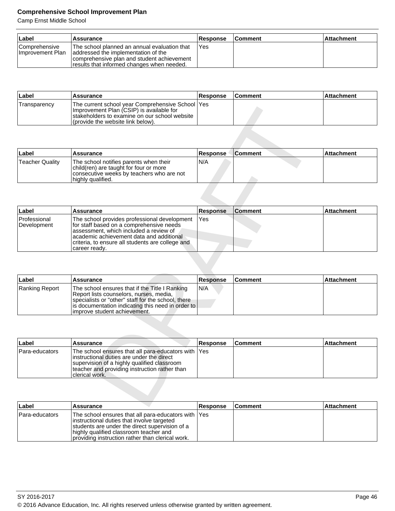| Label                                    | Assurance                                                                                                                                                                        | <b>Response</b> | <b>Comment</b> | <b>Attachment</b> |
|------------------------------------------|----------------------------------------------------------------------------------------------------------------------------------------------------------------------------------|-----------------|----------------|-------------------|
| <b>Comprehensive</b><br>Improvement Plan | The school planned an annual evaluation that<br>laddressed the implementation of the<br>comprehensive plan and student achievement<br>results that informed changes when needed. | l Yes           |                |                   |

| ⊦Label       | <b>Assurance</b>                                                                                                                                                                      | <b>Response</b> | <b>Comment</b> | l Attachment |
|--------------|---------------------------------------------------------------------------------------------------------------------------------------------------------------------------------------|-----------------|----------------|--------------|
| Transparency | The current school year Comprehensive School   Yes<br>Improvement Plan (CSIP) is available for<br>Istakeholders to examine on our school website<br>(provide the website link below). |                 |                |              |

| ∣Label          | <b>Assurance</b>                                                                                                                                   | <b>Response</b> | <b>Comment</b> | l Attachment |
|-----------------|----------------------------------------------------------------------------------------------------------------------------------------------------|-----------------|----------------|--------------|
| Teacher Quality | The school notifies parents when their<br>child(ren) are taught for four or more<br>consecutive weeks by teachers who are not<br>highly qualified. | N/A             |                |              |

| <b>Hansparency</b>          | The current scribble year Complementsive Scribble Lites<br>Improvement Plan (CSIP) is available for<br>stakeholders to examine on our school website<br>(provide the website link below)                                             |                 |                |                   |
|-----------------------------|--------------------------------------------------------------------------------------------------------------------------------------------------------------------------------------------------------------------------------------|-----------------|----------------|-------------------|
|                             |                                                                                                                                                                                                                                      |                 |                |                   |
| Label                       | Assurance                                                                                                                                                                                                                            | <b>Response</b> | <b>Comment</b> | <b>Attachment</b> |
| <b>Teacher Quality</b>      | The school notifies parents when their<br>child(ren) are taught for four or more<br>consecutive weeks by teachers who are not<br>highly qualified.                                                                                   | N/A             |                |                   |
|                             |                                                                                                                                                                                                                                      |                 |                |                   |
| Label                       | Assurance                                                                                                                                                                                                                            | <b>Response</b> | <b>Comment</b> | <b>Attachment</b> |
| Professional<br>Development | The school provides professional development<br>for staff based on a comprehensive needs<br>assessment, which included a review of<br>academic achievement data and additional<br>criteria, to ensure all students are college and   | Yes             |                |                   |
| Label                       | Assurance                                                                                                                                                                                                                            | <b>Response</b> | <b>Comment</b> | <b>Attachment</b> |
| Ranking Report              | The school ensures that if the Title I Ranking<br>Report lists counselors, nurses, media,<br>specialists or "other" staff for the school, there<br>is documentation indicating this need in order to<br>improve student achievement. | N/A             |                |                   |
|                             |                                                                                                                                                                                                                                      |                 |                |                   |
| Label                       | <b>Assurance</b>                                                                                                                                                                                                                     | <b>Response</b> | <b>Comment</b> | Attachment        |
| Para-educators              | The school ensures that all para-educators with<br>instructional duties are under the direct<br>supervision of a highly qualified classroom<br>teacher and providing instruction rather than<br>clerical work.                       | Yes             |                |                   |
| ll ahall                    | <b>Accurance</b>                                                                                                                                                                                                                     | <b>Response</b> | $Cc$ mmant     | <b>Attachmont</b> |

| ∣Label         | <b>Assurance</b>                                                                                                                                                                                                                          | <b>Response</b> | <b>Comment</b> | <b>Attachment</b> |
|----------------|-------------------------------------------------------------------------------------------------------------------------------------------------------------------------------------------------------------------------------------------|-----------------|----------------|-------------------|
| Ranking Report | The school ensures that if the Title I Ranking<br>Report lists counselors, nurses, media,<br>specialists or "other" staff for the school, there<br>  is documentation indicating this need in order to  <br>limprove student achievement. | N/A             |                |                   |

| ∣Label         | Assurance                                                                                                                                                                                                            | <b>Response</b> | <b>Comment</b> | <b>Attachment</b> |
|----------------|----------------------------------------------------------------------------------------------------------------------------------------------------------------------------------------------------------------------|-----------------|----------------|-------------------|
| Para-educators | The school ensures that all para-educators with Yes<br>linstructional duties are under the direct<br>supervision of a highly qualified classroom<br>teacher and providing instruction rather than<br>Iclerical work. |                 |                |                   |

| Label          | Assurance                                                                                                                                                                                                                                          | <b>Response</b> | <b>Comment</b> | <b>Attachment</b> |
|----------------|----------------------------------------------------------------------------------------------------------------------------------------------------------------------------------------------------------------------------------------------------|-----------------|----------------|-------------------|
| Para-educators | The school ensures that all para-educators with Yes<br>instructional duties that involve targeted<br>Istudents are under the direct supervision of a<br>highly qualified classroom teacher and<br>providing instruction rather than clerical work. |                 |                |                   |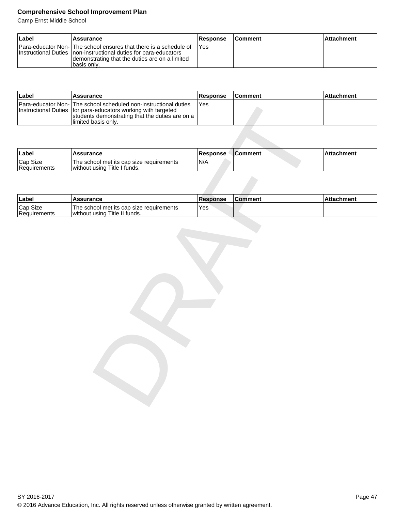| ∣Label | <b>Assurance</b>                                                                                                                                                                                         | Response | <b>Comment</b> | l Attachment |
|--------|----------------------------------------------------------------------------------------------------------------------------------------------------------------------------------------------------------|----------|----------------|--------------|
|        | Para-educator Non- The school ensures that there is a schedule of<br>Instructional Duties Inon-instructional duties for para-educators<br>demonstrating that the duties are on a limited<br>Ibasis onlv. | IYes     |                |              |

| ∣Label | Assurance                                                                                                                                                                                                      | <b>Response</b> | <b>Comment</b> | Attachment |
|--------|----------------------------------------------------------------------------------------------------------------------------------------------------------------------------------------------------------------|-----------------|----------------|------------|
|        | Para-educator Non- The school scheduled non-instructional duties<br>Instructional Duties   for para-educators working with targeted<br>students demonstrating that the duties are on a<br>Ilimited basis only. | Yes             |                |            |

| <b>Instructional Duties</b> | Para-educator Non-Time scribol scribduled non-instructional duties<br>for para-educators working with targeted<br>students demonstrating that the duties are on a<br>limited basis only. | 1E <sub>D</sub> |                |                   |
|-----------------------------|------------------------------------------------------------------------------------------------------------------------------------------------------------------------------------------|-----------------|----------------|-------------------|
|                             |                                                                                                                                                                                          |                 |                |                   |
| Label                       | <b>Assurance</b>                                                                                                                                                                         | <b>Response</b> | <b>Comment</b> | <b>Attachment</b> |
| Cap Size<br>Requirements    | The school met its cap size requirements<br>without using Title I funds.                                                                                                                 | N/A             |                |                   |
|                             |                                                                                                                                                                                          |                 |                |                   |
| Label                       | <b>Assurance</b>                                                                                                                                                                         | <b>Response</b> | <b>Comment</b> | <b>Attachment</b> |
| Cap Size<br>Requirements    | The school met its cap size requirements<br>without using Title II funds.                                                                                                                | Yes             |                |                   |
|                             |                                                                                                                                                                                          |                 |                |                   |
|                             |                                                                                                                                                                                          |                 |                |                   |
|                             |                                                                                                                                                                                          |                 |                |                   |
|                             |                                                                                                                                                                                          |                 |                |                   |
|                             |                                                                                                                                                                                          |                 |                |                   |
|                             |                                                                                                                                                                                          |                 |                |                   |
|                             |                                                                                                                                                                                          |                 |                |                   |
|                             |                                                                                                                                                                                          |                 |                |                   |
|                             |                                                                                                                                                                                          |                 |                |                   |
|                             |                                                                                                                                                                                          |                 |                |                   |
|                             |                                                                                                                                                                                          |                 |                |                   |
|                             |                                                                                                                                                                                          |                 |                |                   |

| ⊺Label                   | <b>Assurance</b>                                                          | <b>Response</b> | <b>Comment</b> | l Attachment |
|--------------------------|---------------------------------------------------------------------------|-----------------|----------------|--------------|
| Cap Size<br>Requirements | The school met its cap size requirements<br>without using Title II funds. | Yes             |                |              |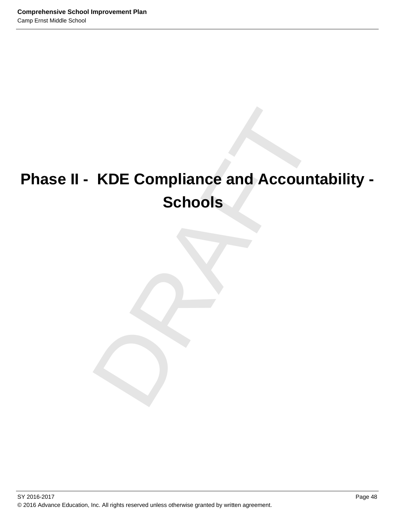# KDE Compliance and Accountabi<br>Schools<br>
Property of the Schools **Phase II - KDE Compliance and Accountability - Schools**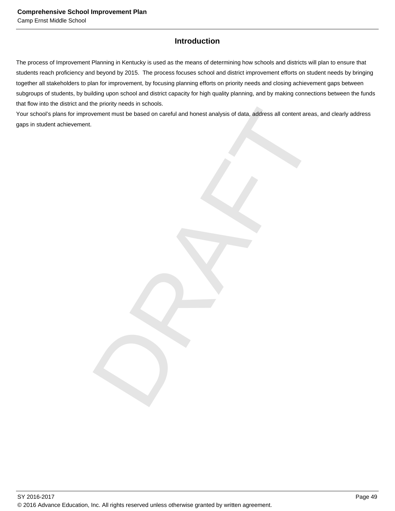# **Introduction**

The process of Improvement Planning in Kentucky is used as the means of determining how schools and districts will plan to ensure that students reach proficiency and beyond by 2015. The process focuses school and district improvement efforts on student needs by bringing together all stakeholders to plan for improvement, by focusing planning efforts on priority needs and closing achievement gaps between subgroups of students, by building upon school and district capacity for high quality planning, and by making connections between the funds that flow into the district and the priority needs in schools.

mont must be based on careful and honest analysis of data, address all content areas, and clear<br>wement must be based on careful and honest analysis of data, Your school's plans for improvement must be based on careful and honest analysis of data, address all content areas, and clearly address gaps in student achievement.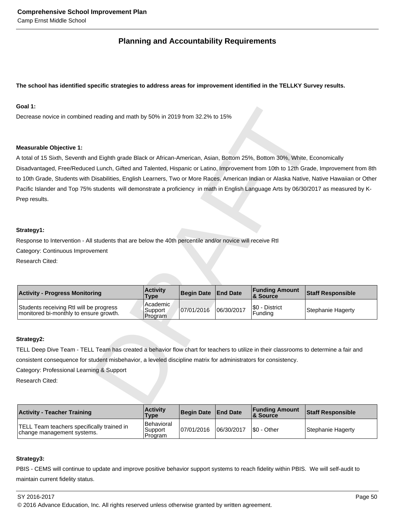# **Planning and Accountability Requirements**

# **The school has identified specific strategies to address areas for improvement identified in the TELLKY Survey results.**

# **Goal 1:**

Decrease novice in combined reading and math by 50% in 2019 from 32.2% to 15%

# **Measurable Objective 1:**

ding and math by 50% in 2019 from 32.2% to 15%<br>
and Eighth grade Black or African-American, Asian, Bottom 25%, Bottom 30%, While, Economically<br>
and Eighth grade Black or African-American, Asian, Bottom 25%, Bottom 30%, Whi A total of 15 Sixth, Seventh and Eighth grade Black or African-American, Asian, Bottom 25%, Bottom 30%, White, Economically Disadvantaged, Free/Reduced Lunch, Gifted and Talented, Hispanic or Latino, Improvement from 10th to 12th Grade, Improvement from 8th to 10th Grade, Students with Disabilities, English Learners, Two or More Races, American Indian or Alaska Native, Native Hawaiian or Other Pacific Islander and Top 75% students will demonstrate a proficiency in math in English Language Arts by 06/30/2017 as measured by K-Prep results.

# **Strategy1:**

Response to Intervention - All students that are below the 40th percentile and/or novice will receive RtI

Category: Continuous Improvement

Research Cited:

| <b>Activity - Progress Monitoring</b>                                             | <b>Activity</b><br><b>Type</b>   | Begin Date End Date |            | <b>Funding Amount</b><br>8. Source | <b>Staff Responsible</b> |
|-----------------------------------------------------------------------------------|----------------------------------|---------------------|------------|------------------------------------|--------------------------|
| Students receiving RtI will be progress<br>monitored bi-monthly to ensure growth. | l Academic<br>Support<br>Program | 07/01/2016          | 06/30/2017 | S0 - District<br>Fundina           | Stephanie Hagerty        |

# **Strategy2:**

TELL Deep Dive Team - TELL Team has created a behavior flow chart for teachers to utilize in their classrooms to determine a fair and consistent consequence for student misbehavior, a leveled discipline matrix for administrators for consistency.

Category: Professional Learning & Support

Research Cited:

| <b>Activity - Teacher Training</b>                                       | <b>Activity</b><br>Type          | Begin Date   End Date |            | <b>Funding Amount</b><br><b>&amp; Source</b> | <b>Staff Responsible</b> |
|--------------------------------------------------------------------------|----------------------------------|-----------------------|------------|----------------------------------------------|--------------------------|
| TELL Team teachers specifically trained in<br>change management systems. | Behavioral<br>Support<br>Program | 07/01/2016            | 06/30/2017 | S0 - Other                                   | Stephanie Hagerty        |

# **Strategy3:**

PBIS - CEMS will continue to update and improve positive behavior support systems to reach fidelity within PBIS. We will self-audit to maintain current fidelity status.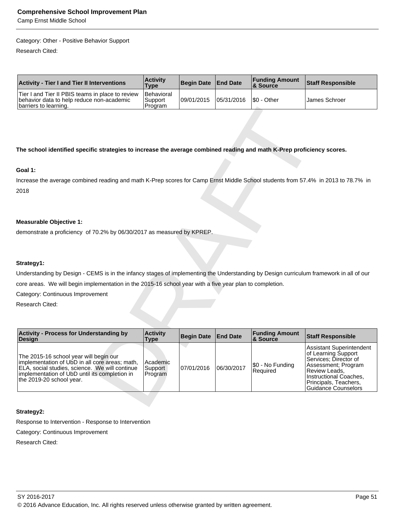Camp Ernst Middle School

## Category: Other - Positive Behavior Support

Research Cited:

| <b>Activity - Tier I and Tier II Interventions</b>                                                                     | <b>Activity</b><br><b>Type</b>    | Begin Date End Date |                        | <b>Funding Amount</b><br>& Source | <b>Staff Responsible</b> |
|------------------------------------------------------------------------------------------------------------------------|-----------------------------------|---------------------|------------------------|-----------------------------------|--------------------------|
| Tier I and Tier II PBIS teams in place to review<br>behavior data to help reduce non-academic<br>barriers to learning. | Behavioral<br>'Support<br>Program | 09/01/2015          | 105/31/2016 S0 - Other |                                   | IJames Schroer           |

# **The school identified specific strategies to increase the average combined reading and math K-Prep proficiency scores.**

# **Goal 1:**

# **Measurable Objective 1:**

# **Strategy1:**

| barriers to learning.                                                                                                                                                                                                   | Program                        |                   |                 |                                   |                                                                                                                                                                                                   |
|-------------------------------------------------------------------------------------------------------------------------------------------------------------------------------------------------------------------------|--------------------------------|-------------------|-----------------|-----------------------------------|---------------------------------------------------------------------------------------------------------------------------------------------------------------------------------------------------|
| The school identified specific strategies to increase the average combined reading and math K-Prep proficiency scores.                                                                                                  |                                |                   |                 |                                   |                                                                                                                                                                                                   |
| Goal 1:                                                                                                                                                                                                                 |                                |                   |                 |                                   |                                                                                                                                                                                                   |
| Increase the average combined reading and math K-Prep scores for Camp Ernst Middle School students from 57.4% in 2013 to 78.7% in<br>2018                                                                               |                                |                   |                 |                                   |                                                                                                                                                                                                   |
| <b>Measurable Objective 1:</b>                                                                                                                                                                                          |                                |                   |                 |                                   |                                                                                                                                                                                                   |
| demonstrate a proficiency of 70.2% by 06/30/2017 as measured by KPREP.                                                                                                                                                  |                                |                   |                 |                                   |                                                                                                                                                                                                   |
|                                                                                                                                                                                                                         |                                |                   |                 |                                   |                                                                                                                                                                                                   |
| Strategy1:                                                                                                                                                                                                              |                                |                   |                 |                                   |                                                                                                                                                                                                   |
| Understanding by Design - CEMS is in the infancy stages of implementing the Understanding by Design curriculum framework in all of our                                                                                  |                                |                   |                 |                                   |                                                                                                                                                                                                   |
| core areas. We will begin implementation in the 2015-16 school year with a five year plan to completion.                                                                                                                |                                |                   |                 |                                   |                                                                                                                                                                                                   |
| Category: Continuous Improvement                                                                                                                                                                                        |                                |                   |                 |                                   |                                                                                                                                                                                                   |
| Research Cited:                                                                                                                                                                                                         |                                |                   |                 |                                   |                                                                                                                                                                                                   |
|                                                                                                                                                                                                                         |                                |                   |                 |                                   |                                                                                                                                                                                                   |
| <b>Activity - Process for Understanding by</b><br>Design                                                                                                                                                                | <b>Activity</b><br><b>Type</b> | <b>Begin Date</b> | <b>End Date</b> | <b>Funding Amount</b><br>& Source | <b>Staff Responsible</b>                                                                                                                                                                          |
| The 2015-16 school year will begin our<br>implementation of UbD in all core areas; math,<br>ELA, social studies, science. We will continue<br>implementation of UbD until its completion in<br>the 2019-20 school year. | Academic<br>Support<br>Program | 07/01/2016        | 06/30/2017      | \$0 - No Funding<br>Required      | Assistant Superintendent<br>of Learning Support<br>Services; Director of<br>Assessment; Program<br>Review Leads,<br>Instructional Coaches,<br>Principals, Teachers,<br><b>Guidance Counselors</b> |
|                                                                                                                                                                                                                         |                                |                   |                 |                                   |                                                                                                                                                                                                   |

# **Strategy2:**

Response to Intervention - Response to Intervention

Category: Continuous Improvement

Research Cited: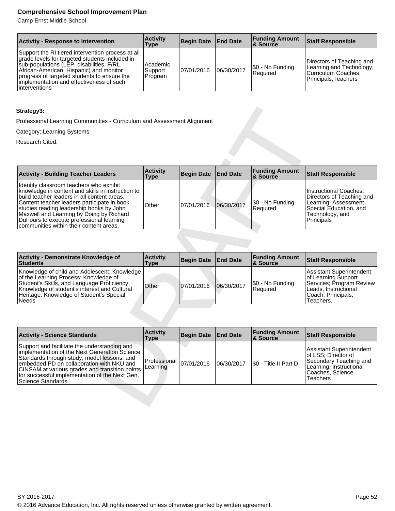Camp Ernst Middle School

| <b>Activity - Response to Intervention</b>                                                                                                                                                                                                                                                               | <b>Activity</b><br><b>Type</b> | Begin Date   End Date |            | <b>Funding Amount</b><br>∣& Source | <b>Staff Responsible</b>                                                                             |
|----------------------------------------------------------------------------------------------------------------------------------------------------------------------------------------------------------------------------------------------------------------------------------------------------------|--------------------------------|-----------------------|------------|------------------------------------|------------------------------------------------------------------------------------------------------|
| Support the RI tiered intervention process at all<br>grade levels for targeted students included in<br>sub-populations (LEP, disabilities, F/RL.<br>African-American, Hispanic) and monitor<br>progress of targeted students to ensure the<br>implementation and effectiveness of such<br>linterventions | Academic<br>Support<br>Program | 07/01/2016            | 06/30/2017 | $ \$0 - No Funding$<br>Required    | Directors of Teaching and<br>Learning and Technology,<br>Curriculum Coaches,<br>Principals, Teachers |

# **Strategy3:**

| Strategy3:                                                                                                                                                                                                                                                                                                                                                                |                                |                   |                 |                                   |                                                                                                                                                |
|---------------------------------------------------------------------------------------------------------------------------------------------------------------------------------------------------------------------------------------------------------------------------------------------------------------------------------------------------------------------------|--------------------------------|-------------------|-----------------|-----------------------------------|------------------------------------------------------------------------------------------------------------------------------------------------|
| Professional Learning Communities - Curriculum and Assessment Alignment                                                                                                                                                                                                                                                                                                   |                                |                   |                 |                                   |                                                                                                                                                |
| Category: Learning Systems                                                                                                                                                                                                                                                                                                                                                |                                |                   |                 |                                   |                                                                                                                                                |
| Research Cited:                                                                                                                                                                                                                                                                                                                                                           |                                |                   |                 |                                   |                                                                                                                                                |
|                                                                                                                                                                                                                                                                                                                                                                           |                                |                   |                 |                                   |                                                                                                                                                |
|                                                                                                                                                                                                                                                                                                                                                                           |                                |                   |                 |                                   |                                                                                                                                                |
| <b>Activity - Building Teacher Leaders</b>                                                                                                                                                                                                                                                                                                                                | <b>Activity</b><br><b>Type</b> | <b>Begin Date</b> | <b>End Date</b> | <b>Funding Amount</b><br>& Source | <b>Staff Responsible</b>                                                                                                                       |
| Identify classroom teachers who exhibit<br>knowledge in content and skills in instruction to<br>build teacher leaders in all content areas.<br>Content teacher leaders participate in book<br>studies reading leadership books by John<br>Maxwell and Learning by Doing by Richard<br>DuFours to execute professional learning<br>communities within their content areas. | Other                          | 07/01/2016        | 06/30/2017      | \$0 - No Funding<br>Required      | <b>Instructional Coaches;</b><br>Directors of Teaching and<br>Learning, Assessment,<br>Special Education, and<br>Technology, and<br>Principals |
|                                                                                                                                                                                                                                                                                                                                                                           |                                |                   |                 |                                   |                                                                                                                                                |
| Activity - Demonstrate Knowledge of<br><b>Students</b>                                                                                                                                                                                                                                                                                                                    | <b>Activity</b><br><b>Type</b> | <b>Begin Date</b> | <b>End Date</b> | <b>Funding Amount</b><br>& Source | <b>Staff Responsible</b>                                                                                                                       |
| Knowledge of child and Adolescent; Knowledge<br>of the Learning Process; Knowledge of<br>Student's Skills, and Language Proficiency;<br>Knowledge of student's interest and Cultural<br>Heritage; Knowledge of Student's Special<br><b>Needs</b>                                                                                                                          | Other                          | 07/01/2016        | 06/30/2017      | \$0 - No Funding<br>Required      | <b>Assistant Superintendent</b><br>of Learning Support<br>Services; Program Review<br>Leads, Instructional<br>Coach, Principals,<br>Teachers.  |
|                                                                                                                                                                                                                                                                                                                                                                           |                                |                   |                 |                                   |                                                                                                                                                |
| <b>Activity - Science Standards</b>                                                                                                                                                                                                                                                                                                                                       | <b>Activity</b><br><b>Type</b> | <b>Begin Date</b> | <b>End Date</b> | <b>Funding Amount</b><br>& Source | <b>Staff Responsible</b>                                                                                                                       |
| Support and facilitate the understanding and<br>implementation of the Next Generation Science<br>Standards through study, model lessons, and<br>embedded PD on collaboration with NKU and<br>CINSAM at various grades and transition points<br>for successful implementation of the Next Gen.<br>Science Standards.                                                       | Professional<br>Learning       | 07/01/2016        | 06/30/2017      | \$0 - Title II Part D             | <b>Assistant Superintendent</b><br>of LSS; Director of<br>Secondary Teaching and<br>Learning; Instructional<br>Coaches, Science<br>Teachers    |
|                                                                                                                                                                                                                                                                                                                                                                           |                                |                   |                 |                                   |                                                                                                                                                |

| <b>Activity - Demonstrate Knowledge of</b><br>Students                                                                                                                                                                                      | <b>Activity</b><br>Type | <b>Begin Date</b> | <b>End Date</b> | <b>Funding Amount</b><br>∣& Source | Staff Responsible                                                                                                                      |
|---------------------------------------------------------------------------------------------------------------------------------------------------------------------------------------------------------------------------------------------|-------------------------|-------------------|-----------------|------------------------------------|----------------------------------------------------------------------------------------------------------------------------------------|
| Knowledge of child and Adolescent; Knowledge  <br>of the Learning Process; Knowledge of<br>Student's Skills, and Language Proficiency;<br>Knowledge of student's interest and Cultural<br>Heritage: Knowledge of Student's Special<br>Needs | Other                   | 107/01/2016       | 106/30/2017     | \$0 - No Funding<br>Required       | Assistant Superintendent<br>of Learning Support<br>Services; Program Review<br>Leads, Instructional<br>Coach, Principals,<br>Teachers. |

| <b>Activity - Science Standards</b>                                                                                                                                                                                                                                                                                 | <b>Activity</b><br>Type                       | Begin Date End Date |            | <b>Funding Amount</b><br>& Source | <b>Staff Responsible</b>                                                                                                             |
|---------------------------------------------------------------------------------------------------------------------------------------------------------------------------------------------------------------------------------------------------------------------------------------------------------------------|-----------------------------------------------|---------------------|------------|-----------------------------------|--------------------------------------------------------------------------------------------------------------------------------------|
| Support and facilitate the understanding and<br>implementation of the Next Generation Science<br>Standards through study, model lessons, and<br>embedded PD on collaboration with NKU and<br>CINSAM at various grades and transition points<br>for successful implementation of the Next Gen.<br>Science Standards. | $ $ Professional $ _{07/01/2016}$<br>Learning |                     | 06/30/2017 | S0 - Title II Part D              | Assistant Superintendent<br>of LSS; Director of<br>Secondary Teaching and<br>Learning; Instructional<br>Coaches, Science<br>Teachers |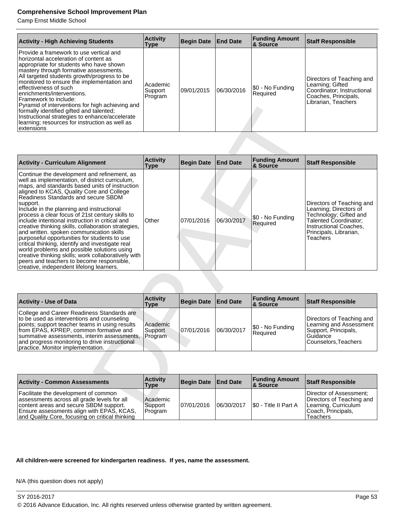Camp Ernst Middle School

| <b>Activity - High Achieving Students</b>                                                                                                                                                                                                                                                                                                                                                                                                                                                                                                                            | <b>Activity</b><br><b>Type</b> | Begin Date  | <b>End Date</b> | <b>Funding Amount</b><br><b>&amp; Source</b> | <b>Staff Responsible</b>                                                                                                   |
|----------------------------------------------------------------------------------------------------------------------------------------------------------------------------------------------------------------------------------------------------------------------------------------------------------------------------------------------------------------------------------------------------------------------------------------------------------------------------------------------------------------------------------------------------------------------|--------------------------------|-------------|-----------------|----------------------------------------------|----------------------------------------------------------------------------------------------------------------------------|
| Provide a framework to use vertical and<br>horizontal acceleration of content as<br>appropriate for students who have shown<br>mastery through formative assessments.<br>All targeted students growth/progress to be<br>monitored to ensure the implementation and<br>effectiveness of such<br>enrichments/interventions.<br>Framework to include:<br>Pyramid of interventions for high achieving and<br>formally identified gifted and talented;<br>Instructional strategies to enhance/accelerate<br>learning; resources for instruction as well as<br>lextensions | Academic<br>Support<br>Program | 109/01/2015 | 06/30/2016      | \$0 - No Funding<br>Required                 | Directors of Teaching and<br>Learning; Gifted<br>Coordinator: Instructional<br>Coaches, Principals,<br>Librarian, Teachers |

| Pyramid of interventions for high achieving and<br>formally identified gifted and talented;<br>Instructional strategies to enhance/accelerate<br>learning; resources for instruction as well as<br>extensions                                                                                                                                                                                                                                                                                                                                                                                                                                                                                                                                                                                             |                                |                   |                 |                                   |                                                                                                                                                                        |
|-----------------------------------------------------------------------------------------------------------------------------------------------------------------------------------------------------------------------------------------------------------------------------------------------------------------------------------------------------------------------------------------------------------------------------------------------------------------------------------------------------------------------------------------------------------------------------------------------------------------------------------------------------------------------------------------------------------------------------------------------------------------------------------------------------------|--------------------------------|-------------------|-----------------|-----------------------------------|------------------------------------------------------------------------------------------------------------------------------------------------------------------------|
|                                                                                                                                                                                                                                                                                                                                                                                                                                                                                                                                                                                                                                                                                                                                                                                                           |                                |                   |                 |                                   |                                                                                                                                                                        |
| <b>Activity - Curriculum Alignment</b>                                                                                                                                                                                                                                                                                                                                                                                                                                                                                                                                                                                                                                                                                                                                                                    | <b>Activity</b><br><b>Type</b> | <b>Begin Date</b> | <b>End Date</b> | <b>Funding Amount</b><br>& Source | <b>Staff Responsible</b>                                                                                                                                               |
| Continue the development and refinement, as<br>well as implementation, of district curriculum,<br>maps, and standards based units of instruction<br>aligned to KCAS, Quality Core and College<br>Readiness Standards and secure SBDM<br>support.<br>Include in the planning and instructional<br>process a clear focus of 21st century skills to<br>include intentional instruction in critical and<br>creative thinking skills, collaboration strategies,<br>and written. spoken communication skills<br>purposeful opportunities for students to use<br>critical thinking, identify and investigate real<br>world problems and possible solutions using<br>creative thinking skills; work collaboratively with<br>peers and teachers to become responsible,<br>creative, independent lifelong learners. | Other                          | 07/01/2016        | 06/30/2017      | \$0 - No Funding<br>Required      | Directors of Teaching and<br>Learning; Directors of<br>Technology; Gifted and<br>Talented Coordinator;<br>Instructional Coaches,<br>Principals, Librarian,<br>Teachers |
|                                                                                                                                                                                                                                                                                                                                                                                                                                                                                                                                                                                                                                                                                                                                                                                                           |                                |                   |                 |                                   |                                                                                                                                                                        |
| <b>Activity - Use of Data</b>                                                                                                                                                                                                                                                                                                                                                                                                                                                                                                                                                                                                                                                                                                                                                                             | <b>Activity</b><br><b>Type</b> | <b>Begin Date</b> | <b>End Date</b> | <b>Funding Amount</b><br>& Source | <b>Staff Responsible</b>                                                                                                                                               |
| College and Career Readiness Standards are<br>to be used as interventions and counseling<br>points; support teacher teams in using results<br>from EPAS, KPREP, common formative and<br>summative assessments, interim assessments,<br>and progress monitoring to drive instructional<br>practice. Monitor implementation.                                                                                                                                                                                                                                                                                                                                                                                                                                                                                | Academic<br>Support<br>Program | 07/01/2016        | 06/30/2017      | \$0 - No Funding<br>Required      | Directors of Teaching and<br>Learning and Assessment<br>Support, Principals,<br>Guidance<br>Counselors, Teachers                                                       |
|                                                                                                                                                                                                                                                                                                                                                                                                                                                                                                                                                                                                                                                                                                                                                                                                           |                                |                   |                 |                                   |                                                                                                                                                                        |
| <b>Activity - Common Assessments</b>                                                                                                                                                                                                                                                                                                                                                                                                                                                                                                                                                                                                                                                                                                                                                                      | <b>Activity</b><br><b>Type</b> | <b>Begin Date</b> | <b>End Date</b> | <b>Funding Amount</b><br>& Source | <b>Staff Responsible</b>                                                                                                                                               |
| Facilitate the development of common<br>assessments across all grade levels for all<br>content areas and secure SBDM support.                                                                                                                                                                                                                                                                                                                                                                                                                                                                                                                                                                                                                                                                             | Academic<br>Support            | 07/01/2016        | 06/30/2017      | \$0 - Title II Part A             | Director of Assessment;<br>Directors of Teaching and<br>Learning, Curriculum                                                                                           |

| <b>Activity - Use of Data</b>                                                                                                                                                                                                                                                                                              | <b>Activity</b><br>Type        | Begin Date   End Date |            | <b>Funding Amount</b><br><b>8 Source</b> | <b>Staff Responsible</b>                                                                                           |
|----------------------------------------------------------------------------------------------------------------------------------------------------------------------------------------------------------------------------------------------------------------------------------------------------------------------------|--------------------------------|-----------------------|------------|------------------------------------------|--------------------------------------------------------------------------------------------------------------------|
| College and Career Readiness Standards are<br>to be used as interventions and counseling<br>points; support teacher teams in using results<br>from EPAS, KPREP, common formative and<br>summative assessments, interim assessments,<br>and progress monitoring to drive instructional<br>practice. Monitor implementation. | Academic<br>Support<br>Program | 07/01/2016            | 06/30/2017 | \$0 - No Funding<br>Required             | Directors of Teaching and<br>Learning and Assessment<br>Support, Principals,<br>l Guidance<br>Counselors. Teachers |

| <b>Activity - Common Assessments</b>                                                                                                                                                                                          | <b>Activity</b><br>Type        | Begin Date   End Date |            | <b>Funding Amount</b><br>8 Source | Staff Responsible                                                                                              |
|-------------------------------------------------------------------------------------------------------------------------------------------------------------------------------------------------------------------------------|--------------------------------|-----------------------|------------|-----------------------------------|----------------------------------------------------------------------------------------------------------------|
| Facilitate the development of common<br>assessments across all grade levels for all<br>content areas and secure SBDM support.<br>Ensure assessments align with EPAS, KCAS,<br>and Quality Core, focusing on critical thinking | Academic<br>Support<br>Program | 07/01/2016            | 06/30/2017 | S0 - Title II Part A              | Director of Assessment:<br>Directors of Teaching and<br>Learning, Curriculum<br>Coach, Principals,<br>Teachers |

# **All children-were screened for kindergarten readiness. If yes, name the assessment.**

N/A (this question does not apply)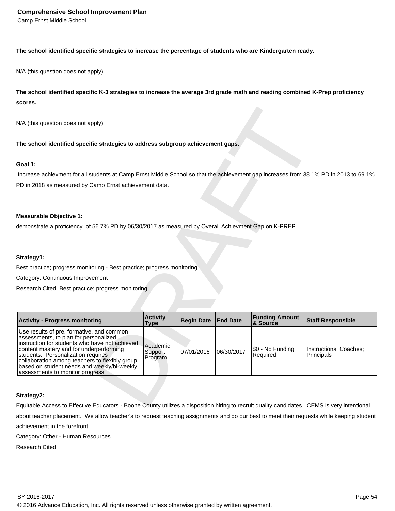Camp Ernst Middle School

# **The school identified specific strategies to increase the percentage of students who are Kindergarten ready.**

N/A (this question does not apply)

**The school identified specific K-3 strategies to increase the average 3rd grade math and reading combined K-Prep proficiency scores.** 

## **Goal 1:**

## **Measurable Objective 1:**

# **Strategy1:**

| N/A (this question does not apply)                                                                                                                                                                                                                                                                                                                         |                                |                   |                 |                              |                                      |
|------------------------------------------------------------------------------------------------------------------------------------------------------------------------------------------------------------------------------------------------------------------------------------------------------------------------------------------------------------|--------------------------------|-------------------|-----------------|------------------------------|--------------------------------------|
| The school identified specific strategies to address subgroup achievement gaps.                                                                                                                                                                                                                                                                            |                                |                   |                 |                              |                                      |
| Goal 1:                                                                                                                                                                                                                                                                                                                                                    |                                |                   |                 |                              |                                      |
| Increase achievment for all students at Camp Ernst Middle School so that the achievement gap increases from 38.1% PD in 2013 to 69.1%                                                                                                                                                                                                                      |                                |                   |                 |                              |                                      |
| PD in 2018 as measured by Camp Ernst achievement data.                                                                                                                                                                                                                                                                                                     |                                |                   |                 |                              |                                      |
|                                                                                                                                                                                                                                                                                                                                                            |                                |                   |                 |                              |                                      |
|                                                                                                                                                                                                                                                                                                                                                            |                                |                   |                 |                              |                                      |
| <b>Measurable Objective 1:</b>                                                                                                                                                                                                                                                                                                                             |                                |                   |                 |                              |                                      |
| demonstrate a proficiency of 56.7% PD by 06/30/2017 as measured by Overall Achievment Gap on K-PREP.                                                                                                                                                                                                                                                       |                                |                   |                 |                              |                                      |
|                                                                                                                                                                                                                                                                                                                                                            |                                |                   |                 |                              |                                      |
|                                                                                                                                                                                                                                                                                                                                                            |                                |                   |                 |                              |                                      |
| Strategy1:                                                                                                                                                                                                                                                                                                                                                 |                                |                   |                 |                              |                                      |
| Best practice; progress monitoring - Best practice; progress monitoring                                                                                                                                                                                                                                                                                    |                                |                   |                 |                              |                                      |
| Category: Continuous Improvement                                                                                                                                                                                                                                                                                                                           |                                |                   |                 |                              |                                      |
| Research Cited: Best practice; progress monitoring                                                                                                                                                                                                                                                                                                         |                                |                   |                 |                              |                                      |
|                                                                                                                                                                                                                                                                                                                                                            |                                |                   |                 |                              |                                      |
|                                                                                                                                                                                                                                                                                                                                                            | <b>Activity</b>                |                   |                 | <b>Funding Amount</b>        |                                      |
| <b>Activity - Progress monitoring</b>                                                                                                                                                                                                                                                                                                                      | <b>Type</b>                    | <b>Begin Date</b> | <b>End Date</b> | & Source                     | <b>Staff Responsible</b>             |
| Use results of pre, formative, and common<br>assessments, to plan for personalized<br>instruction for students who have not achieved<br>content mastery and for underperforming<br>students. Personalization requires<br>collaboration among teachers to flexibly group<br>based on student needs and weekly/bi-weekly<br>assessments to monitor progress. | Academic<br>Support<br>Program | 07/01/2016        | 06/30/2017      | \$0 - No Funding<br>Required | Instructional Coaches;<br>Principals |
| Strategy2:                                                                                                                                                                                                                                                                                                                                                 |                                |                   |                 |                              |                                      |
| Equitable Access to Effective Educators - Boone County utilizes a disposition biring to recruit quality candidates. CEMS is very intentional                                                                                                                                                                                                               |                                |                   |                 |                              |                                      |

## **Strategy2:**

Equitable Access to Effective Educators - Boone County utilizes a disposition hiring to recruit quality candidates. CEMS is very intentional about teacher placement. We allow teacher's to request teaching assignments and do our best to meet their requests while keeping student achievement in the forefront. Category: Other - Human Resources

Research Cited: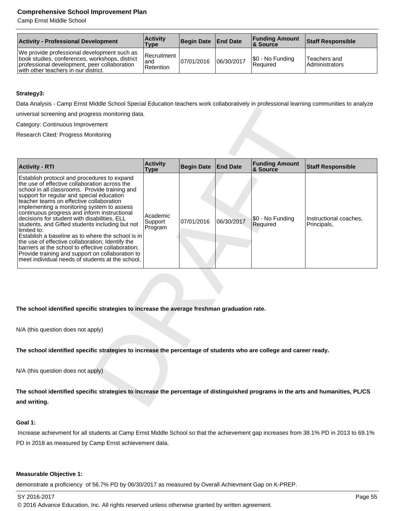Camp Ernst Middle School

| <b>Activity - Professional Development</b>                                                                                                                                            | <b>Activity</b><br>Type         | Begin Date   End Date |            | <b>Funding Amount</b><br><b>8 Source</b> | <b>Staff Responsible</b>       |
|---------------------------------------------------------------------------------------------------------------------------------------------------------------------------------------|---------------------------------|-----------------------|------------|------------------------------------------|--------------------------------|
| We provide professional development such as<br>book studies, conferences, workshops, district<br>professional development, peer collaboration<br>with other teachers in our district. | Recruitment<br>and<br>Retention | 07/01/2016            | 06/30/2017 | S0 - No Funding<br><b>Required</b>       | Teachers and<br>Administrators |

# **Strategy3:**

Data Analysis - Camp Ernst Middle School Special Education teachers work collaboratively in professional learning communities to analyze universal screening and progress monitoring data.

| Data Anarysis - Oamp Emst middle Ochool Opecial Education teachers work collaboratively in professional learning communities to anaryze                                                                                                                                                                                                                                                                                                                                                                                                                                                                                                                                                                                        |                                |                   |                 |                                   |                                       |  |
|--------------------------------------------------------------------------------------------------------------------------------------------------------------------------------------------------------------------------------------------------------------------------------------------------------------------------------------------------------------------------------------------------------------------------------------------------------------------------------------------------------------------------------------------------------------------------------------------------------------------------------------------------------------------------------------------------------------------------------|--------------------------------|-------------------|-----------------|-----------------------------------|---------------------------------------|--|
| universal screening and progress monitoring data.                                                                                                                                                                                                                                                                                                                                                                                                                                                                                                                                                                                                                                                                              |                                |                   |                 |                                   |                                       |  |
| Category: Continuous Improvement                                                                                                                                                                                                                                                                                                                                                                                                                                                                                                                                                                                                                                                                                               |                                |                   |                 |                                   |                                       |  |
| Research Cited: Progress Monitoring                                                                                                                                                                                                                                                                                                                                                                                                                                                                                                                                                                                                                                                                                            |                                |                   |                 |                                   |                                       |  |
|                                                                                                                                                                                                                                                                                                                                                                                                                                                                                                                                                                                                                                                                                                                                |                                |                   |                 |                                   |                                       |  |
|                                                                                                                                                                                                                                                                                                                                                                                                                                                                                                                                                                                                                                                                                                                                |                                |                   |                 |                                   |                                       |  |
| <b>Activity - RTI</b>                                                                                                                                                                                                                                                                                                                                                                                                                                                                                                                                                                                                                                                                                                          | <b>Activity</b><br><b>Type</b> | <b>Begin Date</b> | <b>End Date</b> | <b>Funding Amount</b><br>& Source | <b>Staff Responsible</b>              |  |
| Establish protocol and procedures to expand<br>the use of effective collaboration across the<br>school in all classrooms. Provide training and<br>support for regular and special education<br>teacher teams on effective collaboration<br>implementing a monitoring system to assess<br>continuous progress and inform instructional<br>decisions for student with disabilities, ELL<br>students, and Gifted students including but not<br>limited to:<br>Establish a baseline as to where the school is in<br>the use of effective collaboration; Identify the<br>barriers at the school to effective collaboration;<br>Provide training and support on collaboration to<br>meet individual needs of students at the school. | Academic<br>Support<br>Program | 07/01/2016        | 06/30/2017      | \$0 - No Funding<br>Required      | Instructional coaches,<br>Principals, |  |
| The school identified specific strategies to increase the average freshman graduation rate.                                                                                                                                                                                                                                                                                                                                                                                                                                                                                                                                                                                                                                    |                                |                   |                 |                                   |                                       |  |
| N/A (this question does not apply)                                                                                                                                                                                                                                                                                                                                                                                                                                                                                                                                                                                                                                                                                             |                                |                   |                 |                                   |                                       |  |
| The school identified specific strategies to increase the percentage of students who are college and career ready.                                                                                                                                                                                                                                                                                                                                                                                                                                                                                                                                                                                                             |                                |                   |                 |                                   |                                       |  |
| N/A (this question does not apply)                                                                                                                                                                                                                                                                                                                                                                                                                                                                                                                                                                                                                                                                                             |                                |                   |                 |                                   |                                       |  |
| The school identified specific strategies to increase the percentage of distinguished programs in the arts and humanities, PL/CS                                                                                                                                                                                                                                                                                                                                                                                                                                                                                                                                                                                               |                                |                   |                 |                                   |                                       |  |
| and writing.                                                                                                                                                                                                                                                                                                                                                                                                                                                                                                                                                                                                                                                                                                                   |                                |                   |                 |                                   |                                       |  |
|                                                                                                                                                                                                                                                                                                                                                                                                                                                                                                                                                                                                                                                                                                                                |                                |                   |                 |                                   |                                       |  |

# **Goal 1:**

 Increase achievment for all students at Camp Ernst Middle School so that the achievement gap increases from 38.1% PD in 2013 to 69.1% PD in 2018 as measured by Camp Ernst achievement data.

## **Measurable Objective 1:**

demonstrate a proficiency of 56.7% PD by 06/30/2017 as measured by Overall Achievment Gap on K-PREP.

SY 2016-2017 Page 55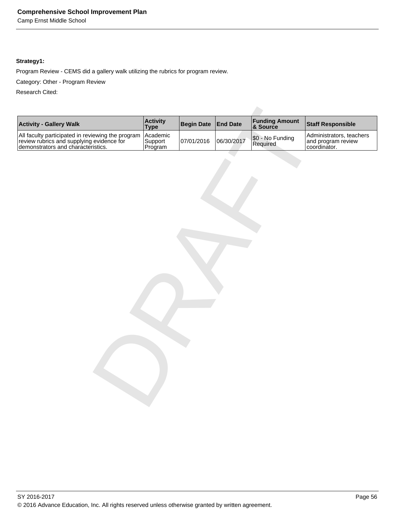Camp Ernst Middle School

# **Strategy1:**

Program Review - CEMS did a gallery walk utilizing the rubrics for program review.

Category: Other - Program Review

Research Cited:

| <b>Activity</b><br>Type<br><b>Funding Amount &amp; Source</b><br><b>Activity - Gallery Walk</b><br><b>Begin Date</b><br><b>End Date</b><br><b>Staff Responsible</b><br>All faculty participated in reviewing the program<br>review rubrics and supplying evidence for<br>demonstrators and characteristics.<br>Academic<br>Administrators, teachers<br>\$0 - No Funding<br>Required<br>06/30/2017<br>and program review<br>coordinator.<br>Support<br>07/01/2016<br>Program |  |  |  |
|-----------------------------------------------------------------------------------------------------------------------------------------------------------------------------------------------------------------------------------------------------------------------------------------------------------------------------------------------------------------------------------------------------------------------------------------------------------------------------|--|--|--|
|                                                                                                                                                                                                                                                                                                                                                                                                                                                                             |  |  |  |
|                                                                                                                                                                                                                                                                                                                                                                                                                                                                             |  |  |  |
|                                                                                                                                                                                                                                                                                                                                                                                                                                                                             |  |  |  |
|                                                                                                                                                                                                                                                                                                                                                                                                                                                                             |  |  |  |
|                                                                                                                                                                                                                                                                                                                                                                                                                                                                             |  |  |  |
|                                                                                                                                                                                                                                                                                                                                                                                                                                                                             |  |  |  |
|                                                                                                                                                                                                                                                                                                                                                                                                                                                                             |  |  |  |
|                                                                                                                                                                                                                                                                                                                                                                                                                                                                             |  |  |  |
|                                                                                                                                                                                                                                                                                                                                                                                                                                                                             |  |  |  |
|                                                                                                                                                                                                                                                                                                                                                                                                                                                                             |  |  |  |
|                                                                                                                                                                                                                                                                                                                                                                                                                                                                             |  |  |  |
|                                                                                                                                                                                                                                                                                                                                                                                                                                                                             |  |  |  |
|                                                                                                                                                                                                                                                                                                                                                                                                                                                                             |  |  |  |
|                                                                                                                                                                                                                                                                                                                                                                                                                                                                             |  |  |  |
|                                                                                                                                                                                                                                                                                                                                                                                                                                                                             |  |  |  |
|                                                                                                                                                                                                                                                                                                                                                                                                                                                                             |  |  |  |
|                                                                                                                                                                                                                                                                                                                                                                                                                                                                             |  |  |  |
|                                                                                                                                                                                                                                                                                                                                                                                                                                                                             |  |  |  |
|                                                                                                                                                                                                                                                                                                                                                                                                                                                                             |  |  |  |
|                                                                                                                                                                                                                                                                                                                                                                                                                                                                             |  |  |  |
|                                                                                                                                                                                                                                                                                                                                                                                                                                                                             |  |  |  |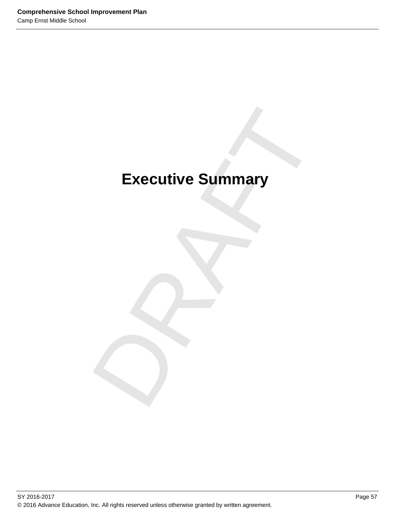# Executive Summary **Executive Summary**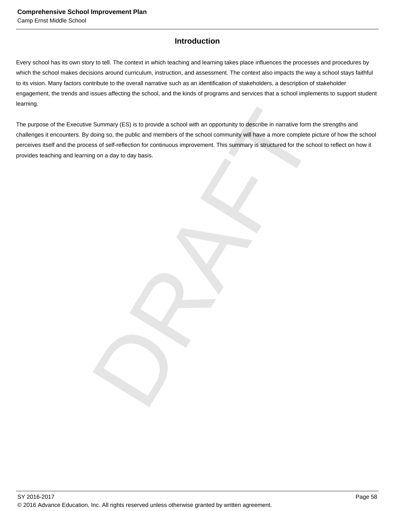# **Introduction**

Every school has its own story to tell. The context in which teaching and learning takes place influences the processes and procedures by which the school makes decisions around curriculum, instruction, and assessment. The context also impacts the way a school stays faithful to its vision. Many factors contribute to the overall narrative such as an identification of stakeholders, a description of stakeholder engagement, the trends and issues affecting the school, and the kinds of programs and services that a school implements to support student learning.

Summary (ES) is to provide a school with an opportunity to describe in narrative form the strength<br>doing so, the public and members of the school community will have a more complete picture of ht<br>iss of self-reflection for The purpose of the Executive Summary (ES) is to provide a school with an opportunity to describe in narrative form the strengths and challenges it encounters. By doing so, the public and members of the school community will have a more complete picture of how the school perceives itself and the process of self-reflection for continuous improvement. This summary is structured for the school to reflect on how it provides teaching and learning on a day to day basis.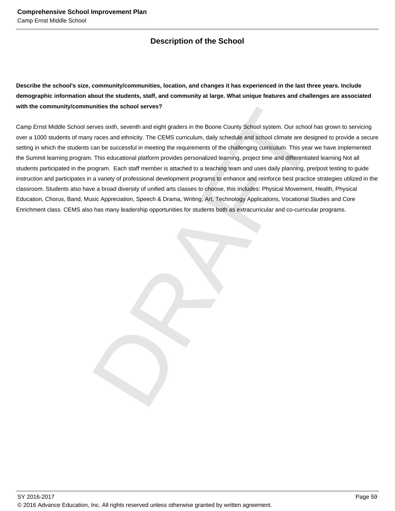# **Description of the School**

**Describe the school's size, community/communities, location, and changes it has experienced in the last three years. Include demographic information about the students, staff, and community at large. What unique features and challenges are associated with the community/communities the school serves?**

unities the school serves?<br>The school serves in the Boone County School system, Our school has grown<br>The school of the state counterpart of the School serves and the challenging curriculum. This year we have in<br>This educat Camp Ernst Middle School serves sixth, seventh and eight graders in the Boone County School system. Our school has grown to servicing over a 1000 students of many races and ethnicity. The CEMS curriculum, daily schedule and school climate are designed to provide a secure setting in which the students can be successful in meeting the requirements of the challenging curriculum. This year we have implemented the Summit learning program. This educational platform provides personalized learning, project time and differentiated learning Not all students participated in the program. Each staff member is attached to a teaching team and uses daily planning, pre/post testing to guide instruction and participates in a variety of professional development programs to enhance and reinforce best practice strategies utilized in the classroom. Students also have a broad diversity of unified arts classes to choose, this includes: Physical Movement, Health, Physical Education, Chorus, Band, Music Appreciation, Speech & Drama, Writing, Art, Technology Applications, Vocational Studies and Core Enrichment class. CEMS also has many leadership opportunities for students both as extracurricular and co-curricular programs.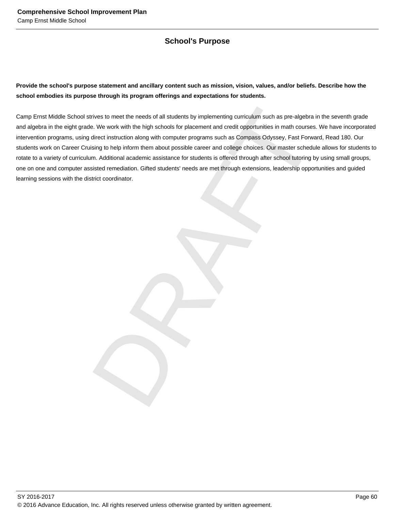# **School's Purpose**

# **Provide the school's purpose statement and ancillary content such as mission, vision, values, and/or beliefs. Describe how the school embodies its purpose through its program offerings and expectations for students.**

rives to meet the needs of all students by implementing curriculum such as pre-algebra in the seve.<br>We work with the high schools for placement and credit opportunities in math courses. We have<br>direct instruction along wit Camp Ernst Middle School strives to meet the needs of all students by implementing curriculum such as pre-algebra in the seventh grade and algebra in the eight grade. We work with the high schools for placement and credit opportunities in math courses. We have incorporated intervention programs, using direct instruction along with computer programs such as Compass Odyssey, Fast Forward, Read 180. Our students work on Career Cruising to help inform them about possible career and college choices. Our master schedule allows for students to rotate to a variety of curriculum. Additional academic assistance for students is offered through after school tutoring by using small groups, one on one and computer assisted remediation. Gifted students' needs are met through extensions, leadership opportunities and guided learning sessions with the district coordinator.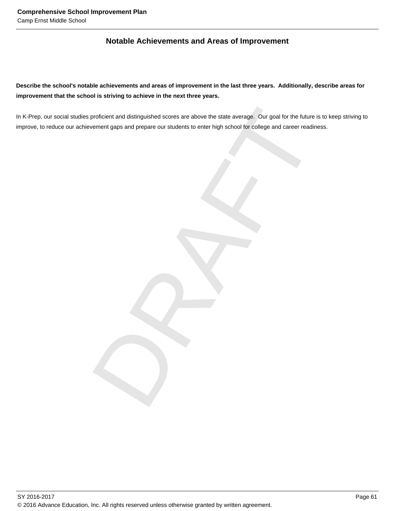# **Notable Achievements and Areas of Improvement**

**Describe the school's notable achievements and areas of improvement in the last three years. Additionally, describe areas for improvement that the school is striving to achieve in the next three years.**

proficient and distinguished scores are above the state average. Our goal for the future is to keep<br>vernent gaps and prepare our students to enter high school for college and career readiness. In K-Prep, our social studies proficient and distinguished scores are above the state average. Our goal for the future is to keep striving to improve, to reduce our achievement gaps and prepare our students to enter high school for college and career readiness.